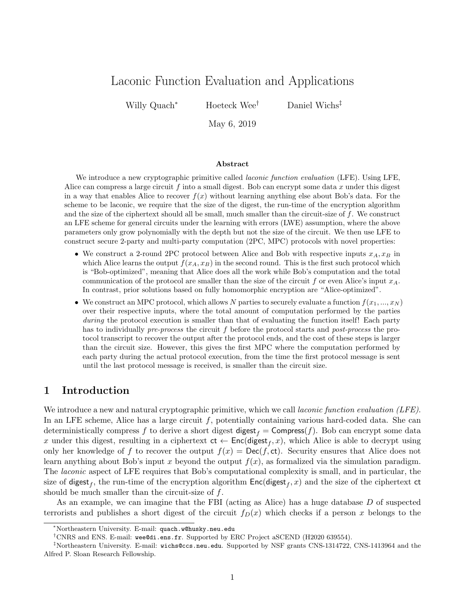# Laconic Function Evaluation and Applications

Willy Quach<sup>∗</sup> Hoeteck Wee† Daniel Wichs‡

May 6, 2019

#### Abstract

We introduce a new cryptographic primitive called *laconic function evaluation* (LFE). Using LFE, Alice can compress a large circuit  $f$  into a small digest. Bob can encrypt some data  $x$  under this digest in a way that enables Alice to recover  $f(x)$  without learning anything else about Bob's data. For the scheme to be laconic, we require that the size of the digest, the run-time of the encryption algorithm and the size of the ciphertext should all be small, much smaller than the circuit-size of f. We construct an LFE scheme for general circuits under the learning with errors (LWE) assumption, where the above parameters only grow polynomially with the depth but not the size of the circuit. We then use LFE to construct secure 2-party and multi-party computation (2PC, MPC) protocols with novel properties:

- We construct a 2-round 2PC protocol between Alice and Bob with respective inputs  $x_A, x_B$  in which Alice learns the output  $f(x_A, x_B)$  in the second round. This is the first such protocol which is "Bob-optimized", meaning that Alice does all the work while Bob's computation and the total communication of the protocol are smaller than the size of the circuit f or even Alice's input  $x_A$ . In contrast, prior solutions based on fully homomorphic encryption are "Alice-optimized".
- We construct an MPC protocol, which allows N parties to securely evaluate a function  $f(x_1, ..., x_N)$ over their respective inputs, where the total amount of computation performed by the parties during the protocol execution is smaller than that of evaluating the function itself! Each party has to individually *pre-process* the circuit f before the protocol starts and *post-process* the protocol transcript to recover the output after the protocol ends, and the cost of these steps is larger than the circuit size. However, this gives the first MPC where the computation performed by each party during the actual protocol execution, from the time the first protocol message is sent until the last protocol message is received, is smaller than the circuit size.

### 1 Introduction

We introduce a new and natural cryptographic primitive, which we call *laconic function evaluation* (LFE). In an LFE scheme, Alice has a large circuit f, potentially containing various hard-coded data. She can deterministically compress f to derive a short digest  $\text{digest}_f = \text{Compress}(f)$ . Bob can encrypt some data x under this digest, resulting in a ciphertext  $ct \leftarrow Enc(digest_f, x)$ , which Alice is able to decrypt using only her knowledge of f to recover the output  $f(x) = \text{Dec}(f, ct)$ . Security ensures that Alice does not learn anything about Bob's input x beyond the output  $f(x)$ , as formalized via the simulation paradigm. The *laconic* aspect of LFE requires that Bob's computational complexity is small, and in particular, the size of digest<sub>f</sub>, the run-time of the encryption algorithm  $Enc(digest_f, x)$  and the size of the ciphertext ct should be much smaller than the circuit-size of  $f$ .

As an example, we can imagine that the FBI (acting as Alice) has a huge database D of suspected terrorists and publishes a short digest of the circuit  $f_D(x)$  which checks if a person x belongs to the

<sup>∗</sup>Northeastern University. E-mail: quach.w@husky.neu.edu

<sup>†</sup>CNRS and ENS. E-mail: wee@di.ens.fr. Supported by ERC Project aSCEND (H2020 639554).

<sup>‡</sup>Northeastern University. E-mail: wichs@ccs.neu.edu. Supported by NSF grants CNS-1314722, CNS-1413964 and the Alfred P. Sloan Research Fellowship.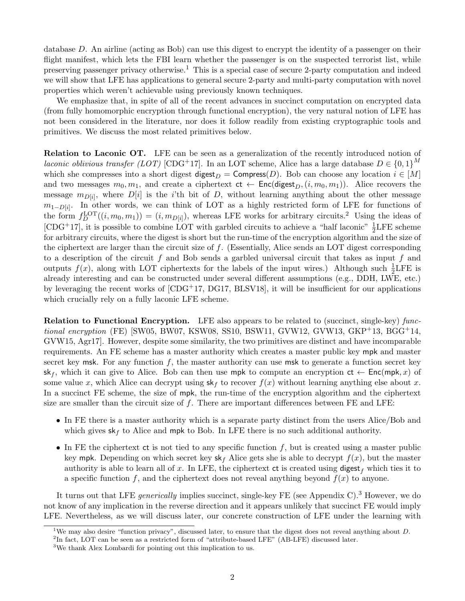database D. An airline (acting as Bob) can use this digest to encrypt the identity of a passenger on their flight manifest, which lets the FBI learn whether the passenger is on the suspected terrorist list, while preserving passenger privacy otherwise.<sup>[1](#page-1-0)</sup> This is a special case of secure 2-party computation and indeed we will show that LFE has applications to general secure 2-party and multi-party computation with novel properties which weren't achievable using previously known techniques.

We emphasize that, in spite of all of the recent advances in succinct computation on encrypted data (from fully homomorphic encryption through functional encryption), the very natural notion of LFE has not been considered in the literature, nor does it follow readily from existing cryptographic tools and primitives. We discuss the most related primitives below.

Relation to Laconic OT. LFE can be seen as a generalization of the recently introduced notion of laconic oblivious transfer (LOT) [\[CDG](#page-36-0)<sup>+</sup>17]. In an LOT scheme, Alice has a large database  $D \in \{0,1\}^M$ which she compresses into a short digest digest<sub>D</sub> = Compress(D). Bob can choose any location  $i \in [M]$ and two messages  $m_0, m_1$ , and create a ciphertext  $ct \leftarrow \text{Enc}($ digest $_D, (i, m_0, m_1)$ ). Alice recovers the message  $m_{D[i]}$ , where  $D[i]$  is the *i*'th bit of D, without learning anything about the other message  $m_{1-D[i]}$ . In other words, we can think of LOT as a highly restricted form of LFE for functions of the form  $f_D^{\text{LOT}}((i, m_0, m_1)) = (i, m_{D[i]})$ , whereas LFE works for arbitrary circuits.<sup>[2](#page-1-1)</sup> Using the ideas of [\[CDG](#page-36-0)<sup>+</sup>17], it is possible to combine LOT with garbled circuits to achieve a "half laconic"  $\frac{1}{2}$ LFE scheme for arbitrary circuits, where the digest is short but the run-time of the encryption algorithm and the size of the ciphertext are larger than the circuit size of  $f$ . (Essentially, Alice sends an LOT digest corresponding to a description of the circuit f and Bob sends a garbled universal circuit that takes as input f and outputs  $f(x)$ , along with LOT ciphertexts for the labels of the input wires.) Although such  $\frac{1}{2}$ LFE is already interesting and can be constructed under several different assumptions (e.g., DDH, LWE, etc.) by leveraging the recent works of [\[CDG](#page-36-0)+17, [DG17,](#page-36-1) [BLSV18\]](#page-36-2), it will be insufficient for our applications which crucially rely on a fully laconic LFE scheme.

Relation to Functional Encryption. LFE also appears to be related to (succinct, single-key) functional encryption (FE) [\[SW05,](#page-38-0) [BW07,](#page-36-3) [KSW08,](#page-37-0) [SS10,](#page-38-1) [BSW11,](#page-36-4) [GVW12,](#page-37-1) [GVW13,](#page-37-2) [GKP](#page-36-5)+13, [BGG](#page-35-0)+14, [GVW15,](#page-37-3) [Agr17\]](#page-35-1). However, despite some similarity, the two primitives are distinct and have incomparable requirements. An FE scheme has a master authority which creates a master public key mpk and master secret key msk. For any function  $f$ , the master authority can use msk to generate a function secret key sk<sub>f</sub>, which it can give to Alice. Bob can then use mpk to compute an encryption  $ct \leftarrow Enc(mpk, x)$  of some value x, which Alice can decrypt using  $sk_f$  to recover  $f(x)$  without learning anything else about x. In a succinct FE scheme, the size of mpk, the run-time of the encryption algorithm and the ciphertext size are smaller than the circuit size of  $f$ . There are important differences between FE and LFE:

- In FE there is a master authority which is a separate party distinct from the users Alice/Bob and which gives  $sk_f$  to Alice and mpk to Bob. In LFE there is no such additional authority.
- In FE the ciphertext  $ct$  is not tied to any specific function f, but is created using a master public key mpk. Depending on which secret key  $s \cdot k_f$  Alice gets she is able to decrypt  $f(x)$ , but the master authority is able to learn all of x. In LFE, the ciphertext ct is created using digest  $_f$  which ties it to a specific function f, and the ciphertext does not reveal anything beyond  $f(x)$  to anyone.

It turns out that LFE *generically* implies succinct, single-key FE (see Appendix [C\)](#page-41-0).<sup>[3](#page-1-2)</sup> However, we do not know of any implication in the reverse direction and it appears unlikely that succinct FE would imply LFE. Nevertheless, as we will discuss later, our concrete construction of LFE under the learning with

<span id="page-1-0"></span><sup>&</sup>lt;sup>1</sup>We may also desire "function privacy", discussed later, to ensure that the digest does not reveal anything about D.

<span id="page-1-1"></span><sup>&</sup>lt;sup>2</sup>In fact, LOT can be seen as a restricted form of "attribute-based LFE" (AB-LFE) discussed later.

<span id="page-1-2"></span> $^3\mathrm{We}$  thank Alex Lombardi for pointing out this implication to us.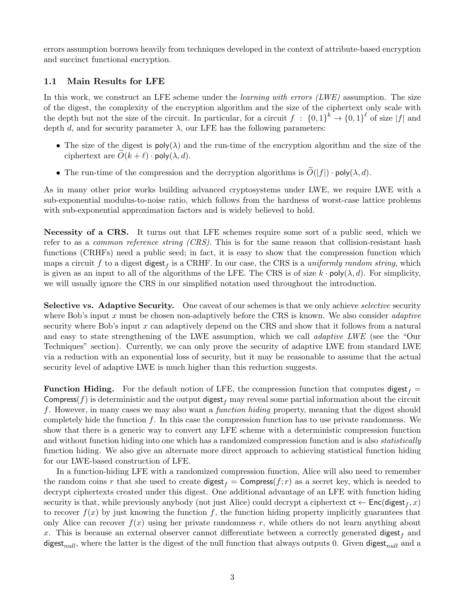errors assumption borrows heavily from techniques developed in the context of attribute-based encryption and succinct functional encryption.

### 1.1 Main Results for LFE

In this work, we construct an LFE scheme under the *learning with errors (LWE)* assumption. The size of the digest, the complexity of the encryption algorithm and the size of the ciphertext only scale with the depth but not the size of the circuit. In particular, for a circuit  $f: \{0,1\}^k \to \{0,1\}^{\ell}$  of size  $|f|$  and depth  $d$ , and for security parameter  $\lambda$ , our LFE has the following parameters:

- The size of the digest is  $poly(\lambda)$  and the run-time of the encryption algorithm and the size of the ciphertext are  $\tilde{O}(k + \ell) \cdot \text{poly}(\lambda, d)$ .
- The run-time of the compression and the decryption algorithms is  $\widetilde{O}(|f|) \cdot \text{poly}(\lambda, d)$ .

As in many other prior works building advanced cryptosystems under LWE, we require LWE with a sub-exponential modulus-to-noise ratio, which follows from the hardness of worst-case lattice problems with sub-exponential approximation factors and is widely believed to hold.

Necessity of a CRS. It turns out that LFE schemes require some sort of a public seed, which we refer to as a *common reference string (CRS)*. This is for the same reason that collision-resistant hash functions (CRHFs) need a public seed; in fact, it is easy to show that the compression function which maps a circuit f to a digest digest<sub>f</sub> is a CRHF. In our case, the CRS is a uniformly random string, which is given as an input to all of the algorithms of the LFE. The CRS is of size  $k \cdot poly(\lambda, d)$ . For simplicity, we will usually ignore the CRS in our simplified notation used throughout the introduction.

Selective vs. Adaptive Security. One caveat of our schemes is that we only achieve selective security where Bob's input x must be chosen non-adaptively before the CRS is known. We also consider *adaptive* security where Bob's input x can adaptively depend on the CRS and show that it follows from a natural and easy to state strengthening of the LWE assumption, which we call adaptive LWE (see the "Our Techniques" section). Currently, we can only prove the security of adaptive LWE from standard LWE via a reduction with an exponential loss of security, but it may be reasonable to assume that the actual security level of adaptive LWE is much higher than this reduction suggests.

**Function Hiding.** For the default notion of LFE, the compression function that computes digest  $f =$ Compress(f) is deterministic and the output digest  $_f$  may reveal some partial information about the circuit f. However, in many cases we may also want a function hiding property, meaning that the digest should completely hide the function  $f$ . In this case the compression function has to use private randomness. We show that there is a generic way to convert any LFE scheme with a deterministic compression function and without function hiding into one which has a randomized compression function and is also *statistically* function hiding. We also give an alternate more direct approach to achieving statistical function hiding for our LWE-based construction of LFE.

In a function-hiding LFE with a randomized compression function, Alice will also need to remember the random coins r that she used to create digest  $f = \text{Compress}(f; r)$  as a secret key, which is needed to decrypt ciphertexts created under this digest. One additional advantage of an LFE with function hiding security is that, while previously anybody (not just Alice) could decrypt a ciphertext  $ct \leftarrow \mathsf{Enc}(\mathsf{digest}_f, x)$ to recover  $f(x)$  by just knowing the function f, the function hiding property implicitly guarantees that only Alice can recover  $f(x)$  using her private randomness r, while others do not learn anything about x. This is because an external observer cannot differentiate between a correctly generated digest and digest<sub>null</sub>, where the latter is the digest of the null function that always outputs 0. Given digest<sub>null</sub> and a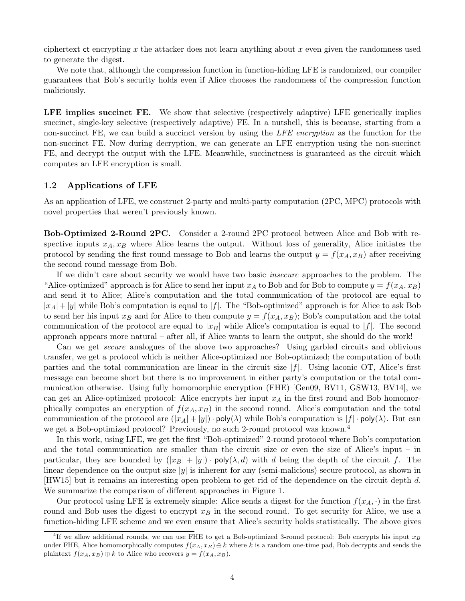ciphertext  $\alpha$  encrypting x the attacker does not learn anything about x even given the randomness used to generate the digest.

We note that, although the compression function in function-hiding LFE is randomized, our compiler guarantees that Bob's security holds even if Alice chooses the randomness of the compression function maliciously.

LFE implies succinct FE. We show that selective (respectively adaptive) LFE generically implies succinct, single-key selective (respectively adaptive) FE. In a nutshell, this is because, starting from a non-succinct FE, we can build a succinct version by using the LFE encryption as the function for the non-succinct FE. Now during decryption, we can generate an LFE encryption using the non-succinct FE, and decrypt the output with the LFE. Meanwhile, succinctness is guaranteed as the circuit which computes an LFE encryption is small.

#### 1.2 Applications of LFE

As an application of LFE, we construct 2-party and multi-party computation (2PC, MPC) protocols with novel properties that weren't previously known.

Bob-Optimized 2-Round 2PC. Consider a 2-round 2PC protocol between Alice and Bob with respective inputs  $x_A, x_B$  where Alice learns the output. Without loss of generality, Alice initiates the protocol by sending the first round message to Bob and learns the output  $y = f(x_A, x_B)$  after receiving the second round message from Bob.

If we didn't care about security we would have two basic insecure approaches to the problem. The "Alice-optimized" approach is for Alice to send her input  $x_A$  to Bob and for Bob to compute  $y = f(x_A, x_B)$ and send it to Alice; Alice's computation and the total communication of the protocol are equal to  $|x_A|+|y|$  while Bob's computation is equal to  $|f|$ . The "Bob-optimized" approach is for Alice to ask Bob to send her his input  $x_B$  and for Alice to then compute  $y = f(x_A, x_B)$ ; Bob's computation and the total communication of the protocol are equal to  $|x_B|$  while Alice's computation is equal to  $|f|$ . The second approach appears more natural – after all, if Alice wants to learn the output, she should do the work!

Can we get secure analogues of the above two approaches? Using garbled circuits and oblivious transfer, we get a protocol which is neither Alice-optimized nor Bob-optimized; the computation of both parties and the total communication are linear in the circuit size  $|f|$ . Using laconic OT, Alice's first message can become short but there is no improvement in either party's computation or the total communication otherwise. Using fully homomorphic encryption (FHE) [\[Gen09,](#page-36-6) [BV11,](#page-36-7) [GSW13,](#page-37-4) [BV14\]](#page-36-8), we can get an Alice-optimized protocol: Alice encrypts her input  $x_A$  in the first round and Bob homomorphically computes an encryption of  $f(x_A, x_B)$  in the second round. Alice's computation and the total communication of the protocol are  $(|x_A| + |y|) \cdot \text{poly}(\lambda)$  while Bob's computation is  $|f| \cdot \text{poly}(\lambda)$ . But can we get a Bob-optimized protocol? Previously, no such 2-round protocol was known.<sup>[4](#page-3-0)</sup>

In this work, using LFE, we get the first "Bob-optimized" 2-round protocol where Bob's computation and the total communication are smaller than the circuit size or even the size of Alice's input – in particular, they are bounded by  $(|x_B| + |y|) \cdot \text{poly}(\lambda, d)$  with d being the depth of the circuit f. The linear dependence on the output size  $|y|$  is inherent for any (semi-malicious) secure protocol, as shown in [\[HW15\]](#page-37-5) but it remains an interesting open problem to get rid of the dependence on the circuit depth d. We summarize the comparison of different approaches in Figure [1.](#page-4-0)

Our protocol using LFE is extremely simple: Alice sends a digest for the function  $f(x_A, \cdot)$  in the first round and Bob uses the digest to encrypt  $x_B$  in the second round. To get security for Alice, we use a function-hiding LFE scheme and we even ensure that Alice's security holds statistically. The above gives

<span id="page-3-0"></span><sup>&</sup>lt;sup>4</sup>If we allow additional rounds, we can use FHE to get a Bob-optimized 3-round protocol: Bob encrypts his input  $x_B$ under FHE, Alice homomorphically computes  $f(x_A, x_B) \oplus k$  where k is a random one-time pad, Bob decrypts and sends the plaintext  $f(x_A, x_B) \oplus k$  to Alice who recovers  $y = f(x_A, x_B)$ .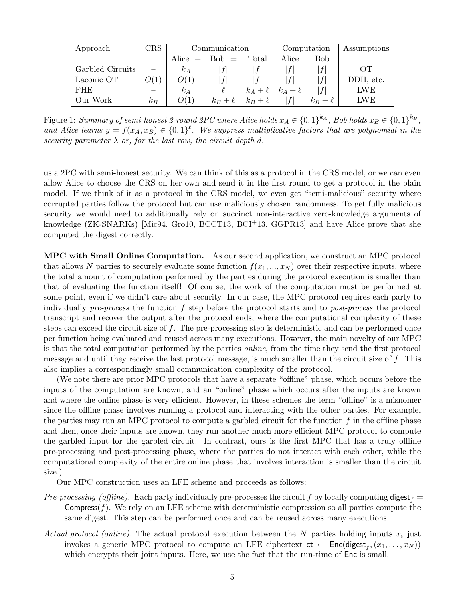| Approach         | <b>CRS</b> | Communication |            |            | Computation |            | Assumptions |
|------------------|------------|---------------|------------|------------|-------------|------------|-------------|
|                  |            | Alice         | $Bob =$    | Total      | Alice       | Bob        |             |
| Garbled Circuits |            | $\kappa_A$    |            |            |             |            | OТ          |
| Laconic OT       | O(1)       | O(1)          |            |            |             |            | DDH, etc.   |
| FHE              |            | $k_A$         |            | $k_A+\ell$ | $k_A+\ell$  |            | <b>LWE</b>  |
| Our Work         | $k_B$      | O(1)          | $k_B+\ell$ | $k_B+\ell$ |             | $k_B+\ell$ | <b>LWE</b>  |

<span id="page-4-0"></span>Figure 1: Summary of semi-honest 2-round 2PC where Alice holds  $x_A \in \{0,1\}^{k_A}$ , Bob holds  $x_B \in \{0,1\}^{k_B}$ , and Alice learns  $y = f(x_A, x_B) \in \{0,1\}^{\ell}$ . We suppress multiplicative factors that are polynomial in the security parameter  $\lambda$  or, for the last row, the circuit depth d.

us a 2PC with semi-honest security. We can think of this as a protocol in the CRS model, or we can even allow Alice to choose the CRS on her own and send it in the first round to get a protocol in the plain model. If we think of it as a protocol in the CRS model, we even get "semi-malicious" security where corrupted parties follow the protocol but can use maliciously chosen randomness. To get fully malicious security we would need to additionally rely on succinct non-interactive zero-knowledge arguments of knowledge (ZK-SNARKs) [\[Mic94,](#page-37-6) [Gro10,](#page-37-7) [BCCT13,](#page-35-2) [BCI](#page-35-3)<sup>+</sup>13, [GGPR13\]](#page-36-9) and have Alice prove that she computed the digest correctly.

MPC with Small Online Computation. As our second application, we construct an MPC protocol that allows N parties to securely evaluate some function  $f(x_1, ..., x_N)$  over their respective inputs, where the total amount of computation performed by the parties during the protocol execution is smaller than that of evaluating the function itself! Of course, the work of the computation must be performed at some point, even if we didn't care about security. In our case, the MPC protocol requires each party to individually pre-process the function f step before the protocol starts and to post-process the protocol transcript and recover the output after the protocol ends, where the computational complexity of these steps can exceed the circuit size of f. The pre-processing step is deterministic and can be performed once per function being evaluated and reused across many executions. However, the main novelty of our MPC is that the total computation performed by the parties online, from the time they send the first protocol message and until they receive the last protocol message, is much smaller than the circuit size of f. This also implies a correspondingly small communication complexity of the protocol.

(We note there are prior MPC protocols that have a separate "offline" phase, which occurs before the inputs of the computation are known, and an "online" phase which occurs after the inputs are known and where the online phase is very efficient. However, in these schemes the term "offline" is a misnomer since the offline phase involves running a protocol and interacting with the other parties. For example, the parties may run an MPC protocol to compute a garbled circuit for the function  $f$  in the offline phase and then, once their inputs are known, they run another much more efficient MPC protocol to compute the garbled input for the garbled circuit. In contrast, ours is the first MPC that has a truly offline pre-processing and post-processing phase, where the parties do not interact with each other, while the computational complexity of the entire online phase that involves interaction is smaller than the circuit size.)

Our MPC construction uses an LFE scheme and proceeds as follows:

- Pre-processing (offline). Each party individually pre-processes the circuit f by locally computing digest  $_f =$ Compress $(f)$ . We rely on an LFE scheme with deterministic compression so all parties compute the same digest. This step can be performed once and can be reused across many executions.
- Actual protocol (online). The actual protocol execution between the N parties holding inputs  $x_i$  just invokes a generic MPC protocol to compute an LFE ciphertext  $ct \leftarrow \mathsf{Enc}(\mathsf{digest}_f, (x_1, \ldots, x_N))$ which encrypts their joint inputs. Here, we use the fact that the run-time of  $Enc$  is small.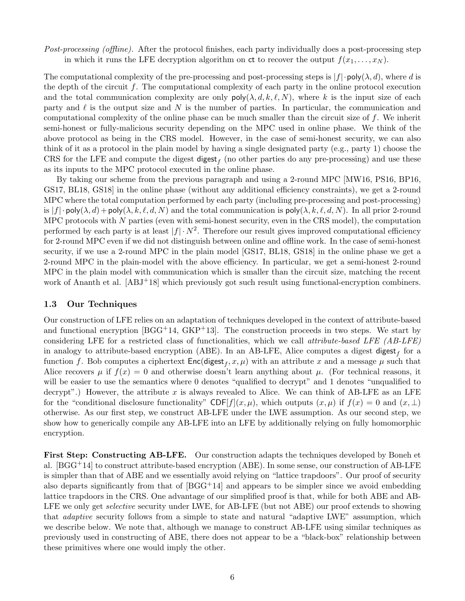Post-processing (offline). After the protocol finishes, each party individually does a post-processing step in which it runs the LFE decryption algorithm on ct to recover the output  $f(x_1, \ldots, x_N)$ .

The computational complexity of the pre-processing and post-processing steps is  $|f|\cdot \text{poly}(\lambda, d)$ , where d is the depth of the circuit  $f$ . The computational complexity of each party in the online protocol execution and the total communication complexity are only  $\text{poly}(\lambda, d, k, \ell, N)$ , where k is the input size of each party and  $\ell$  is the output size and N is the number of parties. In particular, the communication and computational complexity of the online phase can be much smaller than the circuit size of f. We inherit semi-honest or fully-malicious security depending on the MPC used in online phase. We think of the above protocol as being in the CRS model. However, in the case of semi-honest security, we can also think of it as a protocol in the plain model by having a single designated party (e.g., party 1) choose the CRS for the LFE and compute the digest  $\mathsf{digest}_f$  (no other parties do any pre-processing) and use these as its inputs to the MPC protocol executed in the online phase.

By taking our scheme from the previous paragraph and using a 2-round MPC [\[MW16,](#page-38-2) [PS16,](#page-38-3) [BP16,](#page-36-10) [GS17,](#page-37-8) [BL18,](#page-35-4) [GS18\]](#page-37-9) in the online phase (without any additional efficiency constraints), we get a 2-round MPC where the total computation performed by each party (including pre-processing and post-processing) is  $|f| \cdot \text{poly}(\lambda, d) + \text{poly}(\lambda, k, \ell, d, N)$  and the total communication is  $\text{poly}(\lambda, k, \ell, d, N)$ . In all prior 2-round MPC protocols with  $N$  parties (even with semi-honest security, even in the CRS model), the computation performed by each party is at least  $|f| \cdot N^2$ . Therefore our result gives improved computational efficiency for 2-round MPC even if we did not distinguish between online and offline work. In the case of semi-honest security, if we use a 2-round MPC in the plain model [\[GS17,](#page-37-8) [BL18,](#page-35-4) [GS18\]](#page-37-9) in the online phase we get a 2-round MPC in the plain-model with the above efficiency. In particular, we get a semi-honest 2-round MPC in the plain model with communication which is smaller than the circuit size, matching the recent work of Ananth et al. [\[ABJ](#page-35-5)+18] which previously got such result using functional-encryption combiners.

### 1.3 Our Techniques

Our construction of LFE relies on an adaptation of techniques developed in the context of attribute-based and functional encryption [\[BGG](#page-35-0)<sup>+</sup>14, [GKP](#page-36-5)<sup>+</sup>13]. The construction proceeds in two steps. We start by considering LFE for a restricted class of functionalities, which we call attribute-based LFE (AB-LFE) in analogy to attribute-based encryption (ABE). In an AB-LFE, Alice computes a digest  $\mathsf{digest}_f$  for a function f. Bob computes a ciphertext  $Enc(\text{digest}_f, x, \mu)$  with an attribute x and a message  $\mu$  such that Alice recovers  $\mu$  if  $f(x) = 0$  and otherwise doesn't learn anything about  $\mu$ . (For technical reasons, it will be easier to use the semantics where 0 denotes "qualified to decrypt" and 1 denotes "unqualified to decrypt".) However, the attribute  $x$  is always revealed to Alice. We can think of AB-LFE as an LFE for the "conditional disclosure functionality" CDF[f](x,  $\mu$ ), which outputs  $(x, \mu)$  if  $f(x) = 0$  and  $(x, \perp)$ otherwise. As our first step, we construct AB-LFE under the LWE assumption. As our second step, we show how to generically compile any AB-LFE into an LFE by additionally relying on fully homomorphic encryption.

First Step: Constructing AB-LFE. Our construction adapts the techniques developed by Boneh et al. [\[BGG](#page-35-0)+14] to construct attribute-based encryption (ABE). In some sense, our construction of AB-LFE is simpler than that of ABE and we essentially avoid relying on "lattice trapdoors". Our proof of security also departs significantly from that of  $[BGG+14]$  and appears to be simpler since we avoid embedding lattice trapdoors in the CRS. One advantage of our simplified proof is that, while for both ABE and AB-LFE we only get *selective* security under LWE, for AB-LFE (but not ABE) our proof extends to showing that adaptive security follows from a simple to state and natural "adaptive LWE" assumption, which we describe below. We note that, although we manage to construct AB-LFE using similar techniques as previously used in constructing of ABE, there does not appear to be a "black-box" relationship between these primitives where one would imply the other.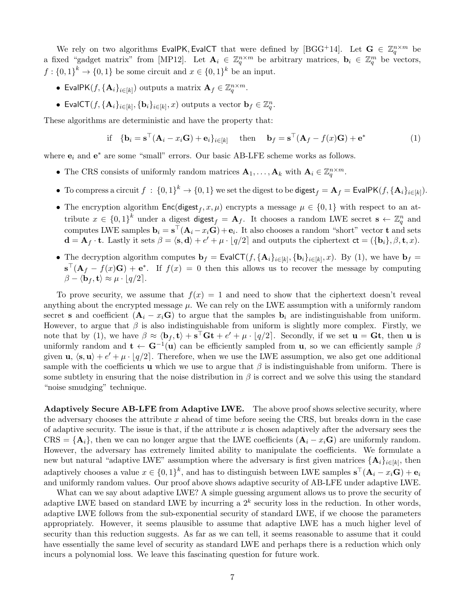We rely on two algorithms EvalPK, EvalCT that were defined by [\[BGG](#page-35-0)<sup>+</sup>14]. Let  $G \in \mathbb{Z}_q^{n \times m}$  be a fixed "gadget matrix" from [\[MP12\]](#page-38-4). Let  $\mathbf{A}_i \in \mathbb{Z}_q^{n \times m}$  be arbitrary matrices,  $\mathbf{b}_i \in \mathbb{Z}_q^m$  be vectors,  $f: \{0,1\}^k \to \{0,1\}$  be some circuit and  $x \in \{0,1\}^k$  be an input.

- EvalPK( $f$ , { $\mathbf{A}_i$ }<sub>i∈[k]</sub>) outputs a matrix  $\mathbf{A}_f \in \mathbb{Z}_q^{n \times m}$ .
- EvalCT $(f, {\mathbf{A}_i}_{i \in [k]}, {\mathbf{b}_i}_{i \in [k]}, x)$  outputs a vector  $\mathbf{b}_f \in \mathbb{Z}_q^n$ .

These algorithms are deterministic and have the property that:

<span id="page-6-0"></span>if 
$$
{\mathbf{b}_i = \mathbf{s}^\top (\mathbf{A}_i - x_i \mathbf{G}) + \mathbf{e}_i}_{i \in [k]}
$$
 then  $\mathbf{b}_f = \mathbf{s}^\top (\mathbf{A}_f - f(x) \mathbf{G}) + \mathbf{e}^*$  (1)

where  $e_i$  and  $e^*$  are some "small" errors. Our basic AB-LFE scheme works as follows.

- The CRS consists of uniformly random matrices  $\mathbf{A}_1, \ldots, \mathbf{A}_k$  with  $\mathbf{A}_i \in \mathbb{Z}_q^{n \times m}$ .
- To compress a circuit  $f: \{0,1\}^k \to \{0,1\}$  we set the digest to be  $\mathsf{digest}_f = \mathbf{A}_f = \mathsf{EvalPK}(f, \{\mathbf{A}_i\}_{i \in [k]}).$
- The encryption algorithm  $Enc(digest_f, x, \mu)$  encrypts a message  $\mu \in \{0, 1\}$  with respect to an attribute  $x \in \{0,1\}^k$  under a digest digest  $f = A_f$ . It chooses a random LWE secret  $s \leftarrow \mathbb{Z}_q^n$  and computes LWE samples  $\mathbf{b}_i = \mathbf{s}^\top (\mathbf{A}_i - x_i \mathbf{G}) + \mathbf{e}_i$ . It also chooses a random "short" vector **t** and sets  $\mathbf{d} = \mathbf{A}_f \cdot \mathbf{t}$ . Lastly it sets  $\beta = \langle \mathbf{s}, \mathbf{d} \rangle + e' + \mu \cdot [q/2]$  and outputs the ciphertext  $\mathbf{ct} = (\{\mathbf{b}_i\}, \beta, \mathbf{t}, x)$ .
- The decryption algorithm computes  $\mathbf{b}_f = \mathsf{EvalCT}(f, {\mathbf{A}_i}_{i\in[k]}, {\mathbf{b}_i}_{i\in[k]}, x)$ . By [\(1\)](#page-6-0), we have  $\mathbf{b}_f =$  $\mathbf{s}^{\top}(\mathbf{A}_f - f(x)\mathbf{G}) + \mathbf{e}^*$ . If  $f(x) = 0$  then this allows us to recover the message by computing  $\beta - \langle \mathbf{b}_f, \mathbf{t} \rangle \approx \mu \cdot |q/2|.$

To prove security, we assume that  $f(x) = 1$  and need to show that the ciphertext doesn't reveal anything about the encrypted message  $\mu$ . We can rely on the LWE assumption with a uniformly random secret s and coefficient  $(A_i - x_iG)$  to argue that the samples  $b_i$  are indistinguishable from uniform. However, to argue that  $\beta$  is also indistinguishable from uniform is slightly more complex. Firstly, we note that by [\(1\)](#page-6-0), we have  $\beta \approx \langle \mathbf{b}_f, \mathbf{t} \rangle + \mathbf{s}^\top \mathbf{G} \mathbf{t} + e' + \mu \cdot [q/2]$ . Secondly, if we set  $\mathbf{u} = \mathbf{G} \mathbf{t}$ , then  $\mathbf{u}$  is uniformly random and  $\mathbf{t} \leftarrow \mathbf{G}^{-1}(\mathbf{u})$  can be efficiently sampled from **u**, so we can efficiently sample  $\beta$ given  $\mathbf{u}, \langle \mathbf{s}, \mathbf{u} \rangle + e' + \mu \cdot |q/2|$ . Therefore, when we use the LWE assumption, we also get one additional sample with the coefficients **u** which we use to argue that  $\beta$  is indistinguishable from uniform. There is some subtlety in ensuring that the noise distribution in  $\beta$  is correct and we solve this using the standard "noise smudging" technique.

Adaptively Secure AB-LFE from Adaptive LWE. The above proof shows selective security, where the adversary chooses the attribute  $x$  ahead of time before seeing the CRS, but breaks down in the case of adaptive security. The issue is that, if the attribute  $x$  is chosen adaptively after the adversary sees the  $CRS = {\mathbf{A}_i}$ , then we can no longer argue that the LWE coefficients  $({\mathbf{A}_i - x_i \mathbf{G}})$  are uniformly random. However, the adversary has extremely limited ability to manipulate the coefficients. We formulate a new but natural "adaptive LWE" assumption where the adversary is first given matrices  $\{A_i\}_{i\in[k]}$ , then adaptively chooses a value  $x \in \{0,1\}^k$ , and has to distinguish between LWE samples  $\mathbf{s}^\top (\mathbf{A}_i - x_i \mathbf{G}) + \mathbf{e}_i$ and uniformly random values. Our proof above shows adaptive security of AB-LFE under adaptive LWE.

What can we say about adaptive LWE? A simple guessing argument allows us to prove the security of adaptive LWE based on standard LWE by incurring a  $2^k$  security loss in the reduction. In other words, adaptive LWE follows from the sub-exponential security of standard LWE, if we choose the parameters appropriately. However, it seems plausible to assume that adaptive LWE has a much higher level of security than this reduction suggests. As far as we can tell, it seems reasonable to assume that it could have essentially the same level of security as standard LWE and perhaps there is a reduction which only incurs a polynomial loss. We leave this fascinating question for future work.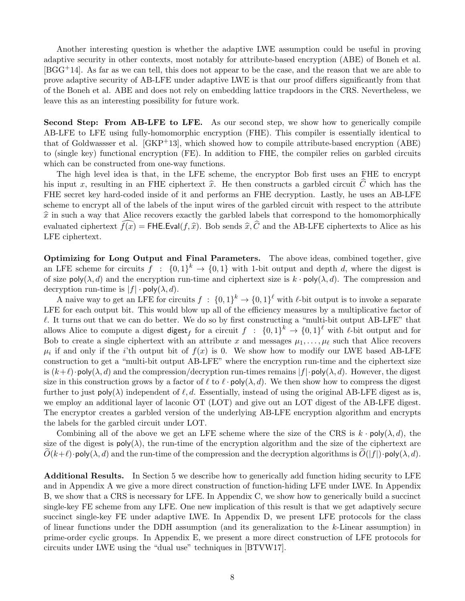Another interesting question is whether the adaptive LWE assumption could be useful in proving adaptive security in other contexts, most notably for attribute-based encryption (ABE) of Boneh et al. [\[BGG](#page-35-0)+14]. As far as we can tell, this does not appear to be the case, and the reason that we are able to prove adaptive security of AB-LFE under adaptive LWE is that our proof differs significantly from that of the Boneh et al. ABE and does not rely on embedding lattice trapdoors in the CRS. Nevertheless, we leave this as an interesting possibility for future work.

Second Step: From AB-LFE to LFE. As our second step, we show how to generically compile AB-LFE to LFE using fully-homomorphic encryption (FHE). This compiler is essentially identical to that of Goldwassser et al.  $[GKP^+13]$ , which showed how to compile attribute-based encryption  $(ABE)$ to (single key) functional encryption (FE). In addition to FHE, the compiler relies on garbled circuits which can be constructed from one-way functions.

The high level idea is that, in the LFE scheme, the encryptor Bob first uses an FHE to encrypt his input x, resulting in an FHE ciphertext  $\hat{x}$ . He then constructs a garbled circuit  $\hat{C}$  which has the FHE secret key hard-coded inside of it and performs an FHE decryption. Lastly, he uses an AB-LFE scheme to encrypt all of the labels of the input wires of the garbled circuit with respect to the attribute  $\hat{x}$  in such a way that Alice recovers exactly the garbled labels that correspond to the homomorphically evaluated ciphertext  $\widehat{f(x)} = \text{FHE.Eval}(f, \widehat{x})$ . Bob sends  $\widehat{x}, \widehat{C}$  and the AB-LFE ciphertexts to Alice as his LFE ciphertext.

Optimizing for Long Output and Final Parameters. The above ideas, combined together, give an LFE scheme for circuits  $f : \{0,1\}^k \to \{0,1\}$  with 1-bit output and depth d, where the digest is of size  $\text{poly}(\lambda, d)$  and the encryption run-time and ciphertext size is  $k \cdot \text{poly}(\lambda, d)$ . The compression and decryption run-time is  $|f| \cdot \text{poly}(\lambda, d)$ .

A naive way to get an LFE for circuits  $f : \{0,1\}^k \to \{0,1\}^{\ell}$  with  $\ell$ -bit output is to invoke a separate LFE for each output bit. This would blow up all of the efficiency measures by a multiplicative factor of  $\ell$ . It turns out that we can do better. We do so by first constructing a "multi-bit output AB-LFE" that allows Alice to compute a digest digest for a circuit  $f : \{0,1\}^k \to \{0,1\}^{\ell}$  with  $\ell$ -bit output and for Bob to create a single ciphertext with an attribute x and messages  $\mu_1, \ldots, \mu_\ell$  such that Alice recovers  $\mu_i$  if and only if the *i*'th output bit of  $f(x)$  is 0. We show how to modify our LWE based AB-LFE construction to get a "multi-bit output AB-LFE" where the encryption run-time and the ciphertext size is  $(k+\ell)$ ·poly $(\lambda, d)$  and the compression/decryption run-times remains  $|f|\cdot \text{poly}(\lambda, d)$ . However, the digest size in this construction grows by a factor of  $\ell$  to  $\ell \cdot \text{poly}(\lambda, d)$ . We then show how to compress the digest further to just  $\text{poly}(\lambda)$  independent of  $\ell, d$ . Essentially, instead of using the original AB-LFE digest as is, we employ an additional layer of laconic OT (LOT) and give out an LOT digest of the AB-LFE digest. The encryptor creates a garbled version of the underlying AB-LFE encryption algorithm and encrypts the labels for the garbled circuit under LOT.

Combining all of the above we get an LFE scheme where the size of the CRS is  $k \cdot \text{poly}(\lambda, d)$ , the size of the digest is  $poly(\lambda)$ , the run-time of the encryption algorithm and the size of the ciphertext are  $O(k+\ell)$ ·poly( $\lambda, d$ ) and the run-time of the compression and the decryption algorithms is  $O(|f|)$ ·poly( $\lambda, d$ ).

Additional Results. In Section [5](#page-24-0) we describe how to generically add function hiding security to LFE and in Appendix [A](#page-39-0) we give a more direct construction of function-hiding LFE under LWE. In Appendix [B,](#page-40-0) we show that a CRS is necessary for LFE. In Appendix [C,](#page-41-0) we show how to generically build a succinct single-key FE scheme from any LFE. One new implication of this result is that we get adaptively secure succinct single-key FE under adaptive LWE. In Appendix [D,](#page-43-0) we present LFE protocols for the class of linear functions under the DDH assumption (and its generalization to the k-Linear assumption) in prime-order cyclic groups. In Appendix [E,](#page-45-0) we present a more direct construction of LFE protocols for circuits under LWE using the "dual use" techniques in [\[BTVW17\]](#page-36-11).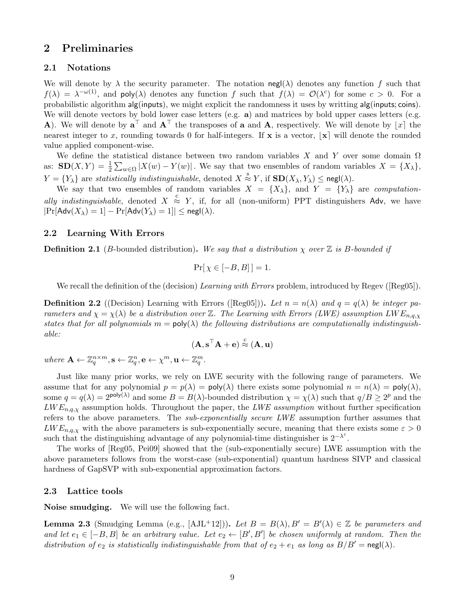## 2 Preliminaries

### 2.1 Notations

We will denote by  $\lambda$  the security parameter. The notation negl( $\lambda$ ) denotes any function f such that  $f(\lambda) = \lambda^{-\omega(1)}$ , and poly $(\lambda)$  denotes any function f such that  $f(\lambda) = \mathcal{O}(\lambda^c)$  for some  $c > 0$ . For a probabilistic algorithm alg(inputs), we might explicit the randomness it uses by writting alg(inputs; coins). We will denote vectors by bold lower case letters (e.g.  $\bf{a}$ ) and matrices by bold upper cases letters (e.g. **A**). We will denote by  $a^{\top}$  and  $A^{\top}$  the transposes of **a** and **A**, respectively. We will denote by  $|x|$  the nearest integer to x, rounding towards 0 for half-integers. If  $x$  is a vector,  $|x|$  will denote the rounded value applied component-wise.

We define the statistical distance between two random variables X and Y over some domain  $\Omega$ as:  $\mathbf{SD}(X,Y) = \frac{1}{2} \sum_{w \in \Omega} |X(w) - Y(w)|$ . We say that two ensembles of random variables  $X = \{X_{\lambda}\},$  $Y = \{Y_{\lambda}\}\$ are statistically indistinguishable, denoted  $X \stackrel{\text{s}}{\approx} Y$ , if  $\text{SD}(X_{\lambda}, Y_{\lambda}) \leq \text{negl}(\lambda)$ .

We say that two ensembles of random variables  $X = \{X_{\lambda}\}\$ , and  $Y = \{Y_{\lambda}\}\$ are computationally indistinguishable, denoted  $X \stackrel{c}{\approx} Y$ , if, for all (non-uniform) PPT distinguishers Adv, we have  $|\Pr[\mathsf{Adv}(X_\lambda) = 1] - \Pr[\mathsf{Adv}(Y_\lambda) = 1]| \leq \mathsf{negl}(\lambda).$ 

#### <span id="page-8-0"></span>2.2 Learning With Errors

**Definition 2.1** (B-bounded distribution). We say that a distribution  $\chi$  over  $\mathbb{Z}$  is B-bounded if

$$
\Pr[\chi \in [-B, B]] = 1.
$$

Werecall the definition of the (decision) Learning with Errors problem, introduced by Regev ([\[Reg05\]](#page-38-5)).

**Definition2.2** ((Decision) Learning with Errors ([\[Reg05\]](#page-38-5))). Let  $n = n(\lambda)$  and  $q = q(\lambda)$  be integer parameters and  $\chi = \chi(\lambda)$  be a distribution over Z. The Learning with Errors (LWE) assumption LW  $E_{n,q,\chi}$ states that for all polynomials  $m = \text{poly}(\lambda)$  the following distributions are computationally indistinguishable:

$$
(\mathbf{A}, \mathbf{s}^\top \mathbf{A} + \mathbf{e}) \stackrel{c}{\approx} (\mathbf{A}, \mathbf{u})
$$

where  $\mathbf{A} \leftarrow \mathbb{Z}_q^{n \times m}, \mathbf{s} \leftarrow \mathbb{Z}_q^n, \mathbf{e} \leftarrow \chi^m, \mathbf{u} \leftarrow \mathbb{Z}_q^m.$ 

Just like many prior works, we rely on LWE security with the following range of parameters. We assume that for any polynomial  $p = p(\lambda) = \text{poly}(\lambda)$  there exists some polynomial  $n = n(\lambda) = \text{poly}(\lambda)$ , some  $q = q(\lambda) = 2^{\text{poly}(\lambda)}$  and some  $B = B(\lambda)$ -bounded distribution  $\chi = \chi(\lambda)$  such that  $q/B \geq 2^p$  and the  $LWE_{n,q,\chi}$  assumption holds. Throughout the paper, the LWE assumption without further specification refers to the above parameters. The sub-exponentially secure LWE assumption further assumes that  $LWE_{n,q,\chi}$  with the above parameters is sub-exponentially secure, meaning that there exists some  $\varepsilon > 0$ such that the distinguishing advantage of any polynomial-time distinguisher is  $2^{-\lambda^{\varepsilon}}$ .

The works of [\[Reg05,](#page-38-5) [Pei09\]](#page-38-6) showed that the (sub-exponentially secure) LWE assumption with the above parameters follows from the worst-case (sub-exponential) quantum hardness SIVP and classical hardness of GapSVP with sub-exponential approximation factors.

#### <span id="page-8-1"></span>2.3 Lattice tools

Noise smudging. We will use the following fact.

<span id="page-8-2"></span>**Lemma 2.3** (Smudging Lemma (e.g., [\[AJL](#page-35-6)<sup>+</sup>12])). Let  $B = B(\lambda), B' = B'(\lambda) \in \mathbb{Z}$  be parameters and and let  $e_1 \in [-B, B]$  be an arbitrary value. Let  $e_2 \leftarrow [B', B']$  be chosen uniformly at random. Then the distribution of  $e_2$  is statistically indistinguishable from that of  $e_2 + e_1$  as long as  $B/B' = \text{negl}(\lambda)$ .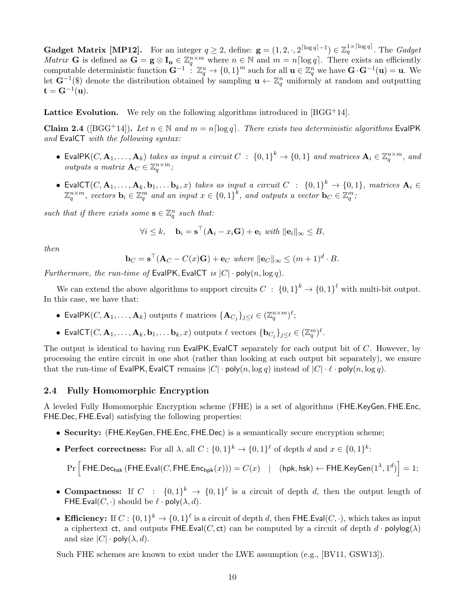**Gadget Matrix [\[MP12\]](#page-38-4).** For an integer  $q \geq 2$ , define:  $\mathbf{g} = (1, 2, \cdot, 2^{\lceil \log q \rceil - 1}) \in \mathbb{Z}_q^{1 \times \lceil \log q \rceil}$ . The *Gadget Matrix* **G** is defined as  $\mathbf{G} = \mathbf{g} \otimes \mathbf{I_n} \in \mathbb{Z}_q^{n \times m}$  where  $n \in \mathbb{N}$  and  $m = n \lceil \log q \rceil$ . There exists an efficiently computable deterministic function  $\mathbf{G}^{-1}$ :  $\mathbb{Z}_q^n \to \{0,1\}^m$  such for all  $\mathbf{u} \in \mathbb{Z}_q^n$  we have  $\mathbf{G} \cdot \mathbf{G}^{-1}(\mathbf{u}) = \mathbf{u}$ . We let  $\mathbf{G}^{-1}(\mathbf{\$})$  denote the distribution obtained by sampling  $\mathbf{u} \leftarrow \mathbb{Z}_q^n$  uniformly at random and outputting  $\mathbf{t} = \mathbf{G}^{-1}(\mathbf{u}).$ 

**Lattice Evolution.** We rely on the following algorithms introduced in  $[BGG^+14]$ .

Claim 2.4 ([\[BGG](#page-35-0)<sup>+</sup>14]). Let  $n \in \mathbb{N}$  and  $m = n \lceil \log q \rceil$ . There exists two deterministic algorithms EvalPK and EvalCT with the following syntax:

- EvalPK(C,  $\mathbf{A}_1, \ldots, \mathbf{A}_k$ ) takes as input a circuit  $C : \{0,1\}^k \to \{0,1\}$  and matrices  $\mathbf{A}_i \in \mathbb{Z}_q^{n \times m}$ , and outputs a matrix  $\mathbf{A}_C \in \mathbb{Z}_q^{n \times m}$ ;
- EvalCT $(C, \mathbf{A}_1, \ldots, \mathbf{A}_k, \mathbf{b}_1, \ldots \mathbf{b}_k, x)$  takes as input a circuit  $C$  :  $\{0,1\}^k \rightarrow \{0,1\}$ , matrices  $\mathbf{A}_i \in$  $\mathbb{Z}_q^{n \times m}$ , vectors  $\mathbf{b}_i \in \mathbb{Z}_q^m$  and an input  $x \in \{0,1\}^k$ , and outputs a vector  $\mathbf{b}_C \in \mathbb{Z}_q^m$ ,

such that if there exists some  $\mathbf{s} \in \mathbb{Z}_q^n$  such that:

$$
\forall i \leq k, \quad \mathbf{b}_i = \mathbf{s}^\top (\mathbf{A}_i - x_i \mathbf{G}) + \mathbf{e}_i \text{ with } ||\mathbf{e}_i||_{\infty} \leq B,
$$

then

$$
\mathbf{b}_C = \mathbf{s}^\top (\mathbf{A}_C - C(x)\mathbf{G}) + \mathbf{e}_C \text{ where } ||\mathbf{e}_C||_{\infty} \le (m+1)^d \cdot B.
$$

Furthermore, the run-time of EvalPK, EvalCT is  $|C| \cdot \text{poly}(n, \log q)$ .

We can extend the above algorithms to support circuits  $C: \{0,1\}^k \to \{0,1\}^{\ell}$  with multi-bit output. In this case, we have that:

- EvalPK( $C, \mathbf{A}_1, \ldots, \mathbf{A}_k$ ) outputs  $\ell$  matrices  $\{\mathbf{A}_{C_j}\}_{j\leq\ell} \in (\mathbb{Z}_q^{n\times m})^{\ell};$
- EvalCT $(C, \mathbf{A}_1, \dots, \mathbf{A}_k, \mathbf{b}_1, \dots \mathbf{b}_k, x)$  outputs  $\ell$  vectors  $\{\mathbf{b}_{C_j}\}_{j\leq \ell} \in (\mathbb{Z}_q^m)^{\ell}$ .

The output is identical to having run EvalPK, EvalCT separately for each output bit of C. However, by processing the entire circuit in one shot (rather than looking at each output bit separately), we ensure that the run-time of EvalPK, EvalCT remains  $|C| \cdot \text{poly}(n, \log q)$  instead of  $|C| \cdot \ell \cdot \text{poly}(n, \log q)$ .

### <span id="page-9-0"></span>2.4 Fully Homomorphic Encryption

A leveled Fully Homomorphic Encryption scheme (FHE) is a set of algorithms (FHE.KeyGen, FHE.Enc, FHE.Dec, FHE.Eval) satisfying the following properties:

- Security: (FHE.KeyGen, FHE.Enc, FHE.Dec) is a semantically secure encryption scheme;
- Perfect correctness: For all  $\lambda$ , all  $C: \{0,1\}^k \to \{0,1\}^{\ell}$  of depth d and  $x \in \{0,1\}^k$ :

 $\Pr\Big[\, \mathsf{FHE}.\mathsf{Dec}_{\mathsf{hsk}}\,(\mathsf{FHE}.\mathsf{Eval}(C,\mathsf{FHE}.\mathsf{Enc}_{\mathsf{hpk}}(x))) = C(x) \quad | \quad (\mathsf{hpk},\mathsf{hsk}) \leftarrow \mathsf{FHE}.\mathsf{KeyGen}(1^\lambda,1^d) \Big] = 1;$ 

- Compactness: If  $C : \{0,1\}^k \to \{0,1\}^{\ell}$  is a circuit of depth d, then the output length of FHE.Eval(C, ·) should be  $\ell \cdot \text{poly}(\lambda, d)$ .
- Efficiency: If  $C: \{0,1\}^k \to \{0,1\}^{\ell}$  is a circuit of depth d, then FHE. Eval( $C, \cdot$ ), which takes as input a ciphertext ct, and outputs FHE.Eval(C, ct) can be computed by a circuit of depth  $d \cdot \text{polylog}(\lambda)$ and size  $|C| \cdot \text{poly}(\lambda, d)$ .

Such FHE schemes are known to exist under the LWE assumption (e.g., [\[BV11,](#page-36-7) [GSW13\]](#page-37-4)).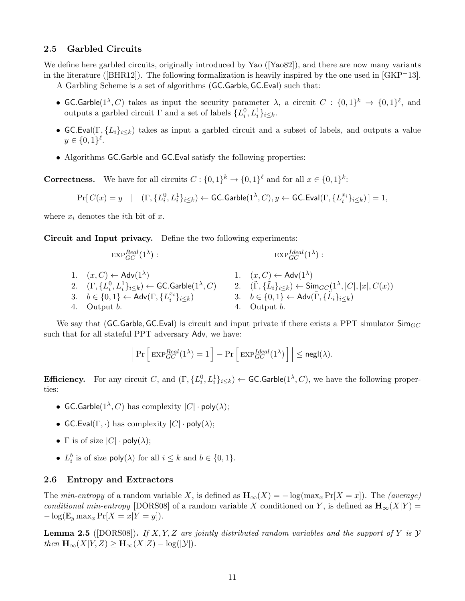### <span id="page-10-0"></span>2.5 Garbled Circuits

Wedefine here garbled circuits, originally introduced by Yao ([\[Yao82\]](#page-38-7)), and there are now many variants inthe literature ([\[BHR12\]](#page-35-7)). The following formalization is heavily inspired by the one used in  $\lfloor GKP^+13 \rfloor$ .

A Garbling Scheme is a set of algorithms (GC.Garble, GC.Eval) such that:

- GC.Garble $(1^{\lambda}, C)$  takes as input the security parameter  $\lambda$ , a circuit  $C : \{0,1\}^k \to \{0,1\}^{\ell}$ , and outputs a garbled circuit  $\Gamma$  and a set of labels  $\{L_i^0, L_i^1\}_{i \leq k}$ .
- GC.Eval(Γ,  $\{L_i\}_{i\leq k}$ ) takes as input a garbled circuit and a subset of labels, and outputs a value  $y \in \{0,1\}^{\ell}$ .
- Algorithms GC.Garble and GC.Eval satisfy the following properties:

**Correctness.** We have for all circuits  $C: \{0,1\}^k \to \{0,1\}^{\ell}$  and for all  $x \in \{0,1\}^k$ :

$$
\Pr[\,C(x) = y \quad | \quad (\Gamma, \{L^0_i, L^1_i\}_{i \leq k}) \leftarrow \textsf{GC}.\textsf{Garble}(1^\lambda, C), y \leftarrow \textsf{GC}.\textsf{Eval}(\Gamma, \{L^{x_i}_i\}_{i \leq k}) \,] = 1,
$$

where  $x_i$  denotes the *i*th bit of  $x$ .

Circuit and Input privacy. Define the two following experiments:

$$
\begin{array}{ll}\n\text{EXP}_{GC}^{Real} (1^{\lambda}) : & \text{EXP}_{GC}^{Ideal} (1^{\lambda}) : \\
1. \quad (x, C) \leftarrow \text{Adv}(1^{\lambda}) & 1. \quad (x, C) \leftarrow \text{Adv}(1^{\lambda}) \\
2. \quad (\Gamma, \{L_i^0, L_i^1\}_{i \le k}) \leftarrow \text{GC}.\text{Garble}(1^{\lambda}, C) & 2. \quad (\tilde{\Gamma}, \{\tilde{L}_i\}_{i \le k}) \leftarrow \text{Sim}_{GC}(1^{\lambda}, |C|, |x|, C(x)) \\
3. \quad b \in \{0, 1\} \leftarrow \text{Adv}(\Gamma, \{L_i^{x_i}\}_{i \le k}) & 3. \quad b \in \{0, 1\} \leftarrow \text{Adv}(\tilde{\Gamma}, \{\tilde{L}_i\}_{i \le k}) \\
4. \quad \text{Output } b. & 4. \quad \text{Output } b.\n\end{array}
$$

We say that (GC.Garble, GC.Eval) is circuit and input private if there exists a PPT simulator  $\mathsf{Sim}_{GC}$ such that for all stateful PPT adversary Adv, we have:

$$
\left| \Pr \left[ \exp_{GC}^{Real} (1^{\lambda}) = 1 \right] - \Pr \left[ \exp_{GC}^{Ideal} (1^{\lambda}) \right] \right| \leq \mathsf{negl}(\lambda).
$$

**Efficiency.** For any circuit C, and  $(\Gamma, \{L_i^0, L_i^1\}_{i \leq k}) \leftarrow$  GC.Garble $(1^{\lambda}, C)$ , we have the following properties:

- GC.Garble $(1^{\lambda}, C)$  has complexity  $|C| \cdot \mathsf{poly}(\lambda);$
- GC.Eval( $\Gamma$ , ·) has complexity  $|C|$  · poly( $\lambda$ );
- Γ is of size  $|C| \cdot \text{poly}(\lambda)$ ;
- $L_i^b$  is of size  $\text{poly}(\lambda)$  for all  $i \leq k$  and  $b \in \{0, 1\}.$

### <span id="page-10-1"></span>2.6 Entropy and Extractors

The min-entropy of a random variable X, is defined as  $\mathbf{H}_{\infty}(X) = -\log(\max_{x} \Pr[X = x])$ . The (average) conditional min-entropy [\[DORS08\]](#page-36-12) of a random variable X conditioned on Y, is defined as  $\mathbf{H}_{\infty}(X|Y) =$  $-\log(\mathbb{E}_y \max_x \Pr[X = x | Y = y]).$ 

<span id="page-10-2"></span>**Lemma 2.5** ([\[DORS08\]](#page-36-12)). If X, Y, Z are jointly distributed random variables and the support of Y is  $\mathcal{Y}$ then  $\mathbf{H}_{\infty}(X|Y,Z) \geq \mathbf{H}_{\infty}(X|Z) - \log(|\mathcal{Y}|).$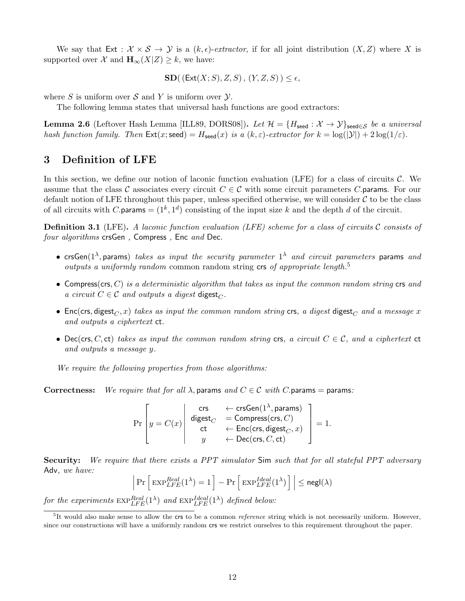We say that Ext :  $\mathcal{X} \times \mathcal{S} \rightarrow \mathcal{Y}$  is a  $(k, \epsilon)$ -extractor, if for all joint distribution  $(X, Z)$  where X is supported over X and  $\mathbf{H}_{\infty}(X|Z) \geq k$ , we have:

$$
SD((Ext(X; S), Z, S), (Y, Z, S)) \le \epsilon,
$$

where S is uniform over S and Y is uniform over  $\mathcal Y$ .

The following lemma states that universal hash functions are good extractors:

<span id="page-11-2"></span>**Lemma 2.6** (Leftover Hash Lemma [\[ILL89,](#page-37-10) [DORS08\]](#page-36-12)). Let  $\mathcal{H} = \{H_{\text{seed}} : \mathcal{X} \to \mathcal{Y}\}_{\text{seed} \in \mathcal{S}}$  be a universal hash function family. Then  $\text{Ext}(x;\text{seed}) = H_{\text{seed}}(x)$  is a  $(k,\varepsilon)$ -extractor for  $k = \log(|\mathcal{Y}|) + 2\log(1/\varepsilon)$ .

### 3 Definition of LFE

In this section, we define our notion of laconic function evaluation (LFE) for a class of circuits  $\mathcal{C}$ . We assume that the class C associates every circuit  $C \in \mathcal{C}$  with some circuit parameters C params. For our default notion of LFE throughout this paper, unless specified otherwise, we will consider  $\mathcal C$  to be the class of all circuits with C.params =  $(1^k, 1^d)$  consisting of the input size k and the depth d of the circuit.

<span id="page-11-1"></span>**Definition 3.1** (LFE). A laconic function evaluation (LFE) scheme for a class of circuits  $C$  consists of four algorithms crsGen, Compress, Enc and Dec.

- crsGen( $1^{\lambda}$ , params) takes as input the security parameter  $1^{\lambda}$  and circuit parameters params and outputs a uniformly random common random string  $crs$  of appropriate length.<sup>[5](#page-11-0)</sup>
- Compress(crs, C) is a deterministic algorithm that takes as input the common random string crs and a circuit  $C \in \mathcal{C}$  and outputs a digest digest<sub>C</sub>.
- Enc(crs, digest<sub>C</sub>, x) takes as input the common random string crs, a digest digest<sub>C</sub> and a message x and outputs a ciphertext ct.
- Dec(crs, C, ct) takes as input the common random string crs, a circuit  $C \in \mathcal{C}$ , and a ciphertext ct and outputs a message y.

We require the following properties from those algorithms:

Correctness: We require that for all  $\lambda$ , params and  $C \in \mathcal{C}$  with C. params = params:

$$
\Pr\left[y = C(x) \middle| \begin{array}{ccc} \text{crs} & \leftarrow \text{crsGen}(1^\lambda, \text{params}) \\ \text{digest}_C & = \text{Compress}(\text{crs}, C) \\ \text{ct} & \leftarrow \text{Enc}(\text{crs}, \text{digest}_C, x) \\ y & \leftarrow \text{Dec}(\text{crs}, C, \text{ct}) \end{array} \right] = 1.
$$

Security: We require that there exists a PPT simulator Sim such that for all stateful PPT adversary Adv, we have:

$$
\Pr\left[\,\mathrm{EXP}_{LFE}^{Real}(1^{\lambda})=1\,\right]-\Pr\left[\,\mathrm{EXP}_{LFE}^{Ideal}(1^{\lambda})\,\right]\,\middle|\,\leq \mathsf{negl}(\lambda)
$$

for the experiments  $\exp_{LFE}^{Real}(\mathbb{1}^{\lambda})$  and  $\exp_{LFE}^{Ideal}(\mathbb{1}^{\lambda})$  defined below:

 $\overline{\phantom{a}}$ I  $\mid$ 

<span id="page-11-0"></span> ${}^{5}$ It would also make sense to allow the crs to be a common *reference* string which is not necessarily uniform. However, since our constructions will have a uniformly random crs we restrict ourselves to this requirement throughout the paper.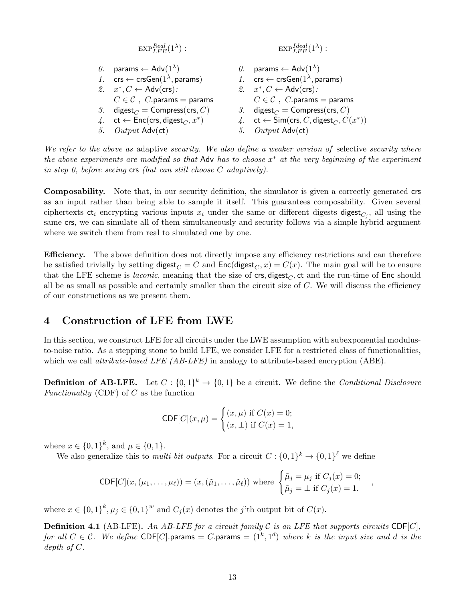| \n $\text{EXP}_{LFE}^{Real}(1^{\lambda}) : \text{EXP}_{LFE}^{Ideal}(1^{\lambda}) : \text{Exp}_{LFE}^{Ideal}(1^{\lambda}) : \text{Params} \leftarrow \text{Adv}(1^{\lambda})$ \n                                                                                                                                                                                                                                                                                                                                                                                                                                                                                                                                                                                                                                                                                                                                                                                                                                                                                              | \n $\text{Or} \leftarrow \text{crsGen}(1^{\lambda}, \text{params})$ \n | \n $\text{Or} \leftarrow \text{Adv}(1^{\lambda})$ \n |
|------------------------------------------------------------------------------------------------------------------------------------------------------------------------------------------------------------------------------------------------------------------------------------------------------------------------------------------------------------------------------------------------------------------------------------------------------------------------------------------------------------------------------------------------------------------------------------------------------------------------------------------------------------------------------------------------------------------------------------------------------------------------------------------------------------------------------------------------------------------------------------------------------------------------------------------------------------------------------------------------------------------------------------------------------------------------------|------------------------------------------------------------------------|------------------------------------------------------|
| \n $\text{Or} \leftarrow \text{crsGen}(1^{\lambda}, \text{params})$ \n                                                                                                                                                                                                                                                                                                                                                                                                                                                                                                                                                                                                                                                                                                                                                                                                                                                                                                                                                                                                       | \n $\text{or} \leftarrow \text{crsGen}(1^{\lambda}, \text{params})$ \n |                                                      |
| \n $\text{or} \leftarrow \text{crsGen}(1^{\lambda}, \text{params})$ \n                                                                                                                                                                                                                                                                                                                                                                                                                                                                                                                                                                                                                                                                                                                                                                                                                                                                                                                                                                                                       | \n $\text{or} \leftarrow \text{crsGen}(1^{\lambda}, \text{params})$ \n |                                                      |
| \n $\text{or} \leftarrow \text{C} \leftarrow \text{Adv}(\text{crs}) : \text{S} \leftarrow \text{C} \leftarrow \text{Adv}(\text{crs}) : \text{S} \leftarrow \text{Adv}(\text{crs}) : \text{S} \leftarrow \text{Grs} \leftarrow \text{S} \leftarrow \text{Grs} \leftarrow \text{Grs} \leftarrow \text{Grs} \leftarrow \text{Grs} \leftarrow \text{Grs} \leftarrow \text{Grs} \leftarrow \text{Grs} \leftarrow \text{Grs} \leftarrow \text{Grs} \leftarrow \text{Grs} \leftarrow \text{Grs} \leftarrow \text{Grs} \leftarrow \text{Grs} \leftarrow \text{Grs} \leftarrow \text{Grs} \leftarrow \text{Grs} \leftarrow \text{Grs} \leftarrow \text{Grs} \leftarrow \text{Grs} \leftarrow \text{Grs} \leftarrow \text{Grs} \leftarrow \text{Grs} \leftarrow \text{Grs} \leftarrow \text{Grs} \leftarrow \text{Grs} \leftarrow \text{Grs} \leftarrow \text{Grs} \leftarrow \text{Grs} \leftarrow \text{Grs} \leftarrow \text{Grs} \leftarrow \text{Grs} \leftarrow \text{Grs} \leftarrow \text{Grs} \leftarrow \text{Grs} \leftarrow \text{Grs} \leftarrow \text{Grs} \leftarrow \$ |                                                                        |                                                      |

We refer to the above as adaptive security. We also define a weaker version of selective security where the above experiments are modified so that Adv has to choose  $x^*$  at the very beginning of the experiment in step 0, before seeing  $\mathsf{crs}\nolimits$  (but can still choose C adaptively).

Composability. Note that, in our security definition, the simulator is given a correctly generated crs as an input rather than being able to sample it itself. This guarantees composability. Given several ciphertexts  $ct_i$  encrypting various inputs  $x_i$  under the same or different digests digest<sub> $C_j$ </sub>, all using the same crs, we can simulate all of them simultaneously and security follows via a simple hybrid argument where we switch them from real to simulated one by one.

Efficiency. The above definition does not directly impose any efficiency restrictions and can therefore be satisfied trivially by setting digest<sub>C</sub> = C and  $Enc(\text{digest}_C, x) = C(x)$ . The main goal will be to ensure that the LFE scheme is *laconic*, meaning that the size of crs, digest<sub>C</sub>, ct and the run-time of Enc should all be as small as possible and certainly smaller than the circuit size of  $C$ . We will discuss the efficiency of our constructions as we present them.

## <span id="page-12-0"></span>4 Construction of LFE from LWE

In this section, we construct LFE for all circuits under the LWE assumption with subexponential modulusto-noise ratio. As a stepping stone to build LFE, we consider LFE for a restricted class of functionalities, which we call *attribute-based LFE (AB-LFE)* in analogy to attribute-based encryption (ABE).

**Definition of AB-LFE.** Let  $C: \{0,1\}^k \to \{0,1\}$  be a circuit. We define the *Conditional Disclosure* Functionality (CDF) of  $C$  as the function

$$
\mathsf{CDF}[C](x,\mu) = \begin{cases} (x,\mu) \text{ if } C(x) = 0; \\ (x,\perp) \text{ if } C(x) = 1, \end{cases}
$$

where  $x \in \{0,1\}^k$ , and  $\mu \in \{0,1\}$ .

We also generalize this to *multi-bit outputs*. For a circuit  $C: \{0,1\}^k \to \{0,1\}^{\ell}$  we define

$$
\mathsf{CDF}[C](x, (\mu_1, \ldots, \mu_\ell)) = (x, (\tilde{\mu}_1, \ldots, \tilde{\mu}_\ell)) \text{ where } \begin{cases} \tilde{\mu}_j = \mu_j \text{ if } C_j(x) = 0; \\ \tilde{\mu}_j = \bot \text{ if } C_j(x) = 1. \end{cases}
$$

where  $x \in \{0,1\}^k$ ,  $\mu_j \in \{0,1\}^w$  and  $C_j(x)$  denotes the j'th output bit of  $C(x)$ .

**Definition 4.1** (AB-LFE). An AB-LFE for a circuit family  $C$  is an LFE that supports circuits CDF[C], for all  $C \in \mathcal{C}$ . We define CDF[C].params = C.params =  $(1^k, 1^d)$  where k is the input size and d is the depth of C.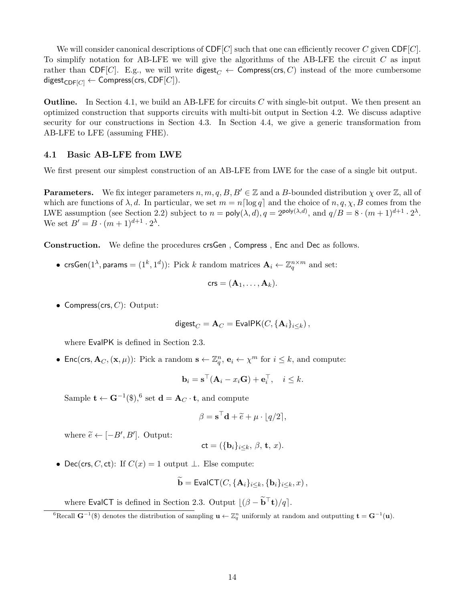We will consider canonical descriptions of  $\mathsf{CDF}[C]$  such that one can efficiently recover C given  $\mathsf{CDF}[C]$ . To simplify notation for AB-LFE we will give the algorithms of the AB-LFE the circuit  $C$  as input rather than CDF[C]. E.g., we will write digest<sub>C</sub>  $\leftarrow$  Compress(crs, C) instead of the more cumbersome digest<sub>CDF[C]</sub>  $\leftarrow$  Compress(crs, CDF[C]).

**Outline.** In Section [4.1,](#page-13-0) we build an AB-LFE for circuits C with single-bit output. We then present an optimized construction that supports circuits with multi-bit output in Section [4.2.](#page-15-0) We discuss adaptive security for our constructions in Section [4.3.](#page-19-0) In Section [4.4,](#page-21-0) we give a generic transformation from AB-LFE to LFE (assuming FHE).

#### <span id="page-13-0"></span>4.1 Basic AB-LFE from LWE

We first present our simplest construction of an AB-LFE from LWE for the case of a single bit output.

**Parameters.** We fix integer parameters  $n, m, q, B, B' \in \mathbb{Z}$  and a B-bounded distribution  $\chi$  over  $\mathbb{Z}$ , all of which are functions of  $\lambda$ , d. In particular, we set  $m = n \lceil \log q \rceil$  and the choice of  $n, q, \chi, B$  comes from the LWE assumption (see Section [2.2\)](#page-8-0) subject to  $n = \text{poly}(\lambda, d)$ ,  $q = 2^{\text{poly}(\lambda, d)}$ , and  $q/B = 8 \cdot (m+1)^{d+1} \cdot 2^{\lambda}$ . We set  $B' = B \cdot (m+1)^{d+1} \cdot 2^{\lambda}$ .

Construction. We define the procedures crsGen , Compress , Enc and Dec as follows.

•  $\mathsf{crsGen}(1^\lambda, \mathsf{params} = (1^k, 1^d))$ : Pick  $k$  random matrices  $\mathbf{A}_i \leftarrow \mathbb{Z}_q^{n \times m}$  and set:

$$
\mathsf{crs} = (\mathbf{A}_1, \ldots, \mathbf{A}_k).
$$

• Compress(crs,  $C$ ): Output:

$$
\mathsf{digest}_C = \mathbf{A}_C = \mathsf{EvalPK}(C, \{\mathbf{A}_i\}_{i \leq k}),
$$

where EvalPK is defined in Section [2.3.](#page-8-1)

• Enc(crs,  $\mathbf{A}_C$ ,  $(\mathbf{x}, \mu)$ ): Pick a random  $\mathbf{s} \leftarrow \mathbb{Z}_q^n$ ,  $\mathbf{e}_i \leftarrow \chi^m$  for  $i \leq k$ , and compute:

$$
\mathbf{b}_i = \mathbf{s}^\top (\mathbf{A}_i - x_i \mathbf{G}) + \mathbf{e}_i^\top, \quad i \leq k.
$$

Sample  $\mathbf{t} \leftarrow \mathbf{G}^{-1}(\$),^6$  $\mathbf{t} \leftarrow \mathbf{G}^{-1}(\$),^6$  set  $\mathbf{d} = \mathbf{A}_C \cdot \mathbf{t}$ , and compute

$$
\beta = \mathbf{s}^\top \mathbf{d} + \widetilde{e} + \mu \cdot \lfloor q/2 \rceil,
$$

where  $\widetilde{e} \leftarrow [-B', B']$ . Output:

$$
\mathsf{ct} = (\{\mathbf{b}_i\}_{i \leq k}, \beta, \mathbf{t}, x).
$$

• Dec(crs, C, ct): If  $C(x) = 1$  output  $\perp$ . Else compute:

$$
\widetilde{\mathbf{b}} = \mathsf{EvalCT}(C, \{\mathbf{A}_i\}_{i \leq k}, \{\mathbf{b}_i\}_{i \leq k}, x),
$$

where EvalCT is defined in Section [2.3.](#page-8-1) Output  $|(\beta - \tilde{b}^T t)/q|$ .

<span id="page-13-1"></span> ${}^{6}$ Recall  $G^{-1}$ (\$) denotes the distribution of sampling  $u \leftarrow \mathbb{Z}_q^n$  uniformly at random and outputting  $t = G^{-1}(u)$ .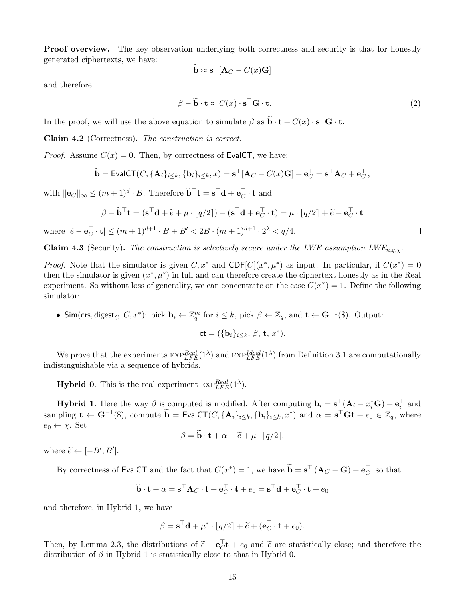**Proof overview.** The key observation underlying both correctness and security is that for honestly generated ciphertexts, we have:

$$
\widetilde{\mathbf{b}} \approx \mathbf{s}^\top [\mathbf{A}_C - C(x)\mathbf{G}]
$$

and therefore

$$
\beta - \widetilde{\mathbf{b}} \cdot \mathbf{t} \approx C(x) \cdot \mathbf{s}^\top \mathbf{G} \cdot \mathbf{t}.
$$
 (2)

 $\Box$ 

In the proof, we will use the above equation to simulate  $\beta$  as  $\tilde{\mathbf{b}} \cdot \mathbf{t} + C(x) \cdot \mathbf{s}^\top \mathbf{G} \cdot \mathbf{t}$ .

<span id="page-14-0"></span>Claim 4.2 (Correctness). The construction is correct.

*Proof.* Assume  $C(x) = 0$ . Then, by correctness of EvalCT, we have:

$$
\widetilde{\mathbf{b}} = \mathsf{EvalCT}(C, \{\mathbf{A}_i\}_{i \leq k}, \{\mathbf{b}_i\}_{i \leq k}, x) = \mathbf{s}^\top [\mathbf{A}_C - C(x)\mathbf{G}] + \mathbf{e}_C^\top = \mathbf{s}^\top \mathbf{A}_C + \mathbf{e}_C^\top,
$$

with  $\|\mathbf{e}_C\|_{\infty} \leq (m+1)^d \cdot B$ . Therefore  $\widetilde{\mathbf{b}}^{\top} \mathbf{t} = \mathbf{s}^{\top} \mathbf{d} + \mathbf{e}_C^{\top} \cdot \mathbf{t}$  and

$$
\beta - \widetilde{\mathbf{b}}^{\top} \mathbf{t} = (\mathbf{s}^{\top} \mathbf{d} + \widetilde{e} + \mu \cdot [q/2]) - (\mathbf{s}^{\top} \mathbf{d} + \mathbf{e}_C^{\top} \cdot \mathbf{t}) = \mu \cdot [q/2] + \widetilde{e} - \mathbf{e}_C^{\top} \cdot \mathbf{t}
$$

where  $|\tilde{e} - \mathbf{e}_C^{\top} \cdot \mathbf{t}| \le (m+1)^{d+1} \cdot B + B' < 2B \cdot (m+1)^{d+1} \cdot 2^{\lambda} < q/4.$ 

**Claim 4.3** (Security). The construction is selectively secure under the LWE assumption  $LWE_{n,q,\chi}$ .

*Proof.* Note that the simulator is given  $C, x^*$  and  $CDF[C](x^*, \mu^*)$  as input. In particular, if  $C(x^*) = 0$ then the simulator is given  $(x^*, \mu^*)$  in full and can therefore create the ciphertext honestly as in the Real experiment. So without loss of generality, we can concentrate on the case  $C(x^*) = 1$ . Define the following simulator:

• Sim(crs, digest<sub>C</sub>, C, x<sup>\*</sup>): pick  $\mathbf{b}_i \leftarrow \mathbb{Z}_q^m$  for  $i \leq k$ , pick  $\beta \leftarrow \mathbb{Z}_q$ , and  $\mathbf{t} \leftarrow \mathbf{G}^{-1}(\$)$ . Output:

$$
\mathsf{ct} = (\{\mathbf{b}_i\}_{i \leq k}, \beta, \mathbf{t}, x^*).
$$

We prove that the experiments  $\exp_{LFE}^{Real} (1^{\lambda})$  and  $\exp_{LFE}^{Ideal} (1^{\lambda})$  from Definition [3.1](#page-11-1) are computationally indistinguishable via a sequence of hybrids.

**Hybrid 0.** This is the real experiment  $\text{EXP}_{LFE}^{Real}(1^{\lambda})$ .

**Hybrid 1**. Here the way  $\beta$  is computed is modified. After computing  $\mathbf{b}_i = \mathbf{s}^\top (\mathbf{A}_i - x_i^* \mathbf{G}) + \mathbf{e}_i^\top$  and sampling  $\mathbf{t} \leftarrow \mathbf{G}^{-1}(\mathbf{\$})$ , compute  $\widetilde{\mathbf{b}} = \mathsf{EvalCT}(C, {\mathbf{A}_i}_{i \leq k}, {\mathbf{b}_i}_{i \leq k}, x^*)$  and  $\alpha = \mathbf{s}^\top \mathbf{G} \mathbf{t} + e_0 \in \mathbb{Z}_q$ , where  $e_0 \leftarrow \chi$ . Set

$$
\beta = \mathbf{b} \cdot \mathbf{t} + \alpha + \widetilde{e} + \mu \cdot \lfloor q/2 \rfloor,
$$

where  $\widetilde{e} \leftarrow [-B', B']$ .

By correctness of EvalCT and the fact that  $C(x^*) = 1$ , we have  $\widetilde{\mathbf{b}} = \mathbf{s}^\top (\mathbf{A}_C - \mathbf{G}) + \mathbf{e}_C^\top$ , so that

$$
\widetilde{\mathbf{b}} \cdot \mathbf{t} + \alpha = \mathbf{s}^{\top} \mathbf{A}_C \cdot \mathbf{t} + \mathbf{e}_C^{\top} \cdot \mathbf{t} + e_0 = \mathbf{s}^{\top} \mathbf{d} + \mathbf{e}_C^{\top} \cdot \mathbf{t} + e_0
$$

and therefore, in Hybrid 1, we have

$$
\beta = \mathbf{s}^\top \mathbf{d} + \mu^* \cdot \left[ q/2 \right] + \widetilde{e} + (\mathbf{e}_C^\top \cdot \mathbf{t} + e_0).
$$

Then, by Lemma [2.3,](#page-8-2) the distributions of  $\tilde{e} + e_C^{\top}t + e_0$  and  $\tilde{e}$  are statistically close; and therefore the distribution of  $\beta$  in Hybrid 1 is statistically close to that in Hybrid 0. distribution of  $\beta$  in Hybrid 1 is statistically close to that in Hybrid 0.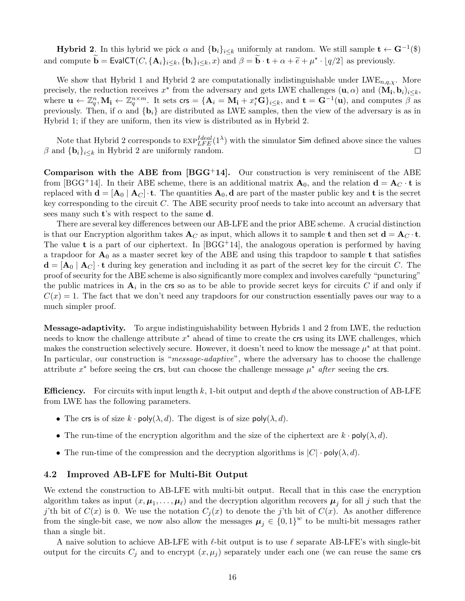**Hybrid 2**. In this hybrid we pick  $\alpha$  and  $\{b_i\}_{i\leq k}$  uniformly at random. We still sample  $\mathbf{t} \leftarrow \mathbf{G}^{-1}(\$)$ and compute  $\widetilde{\mathbf{b}} = \text{EvalCT}(C, {\mathbf{A}_i}_{i \leq k}, {\mathbf{b}_i}_{i \leq k}, x)$  and  $\beta = \widetilde{\mathbf{b}} \cdot \mathbf{t} + \alpha + \widetilde{e} + \mu^* \cdot \lfloor q/2 \rfloor$  as previously.

We show that Hybrid 1 and Hybrid 2 are computationally indistinguishable under  $LWE_{n,q,\chi}$ . More precisely, the reduction receives  $x^*$  from the adversary and gets LWE challenges  $(\mathbf{u}, \alpha)$  and  $(\mathbf{M}_i, \mathbf{b}_i)_{i \leq k}$ , where  $\mathbf{u} \leftarrow \mathbb{Z}_q^n, \mathbf{M_i} \leftarrow \mathbb{Z}_q^{n \times m}$ . It sets  $\mathsf{crs} = {\mathbf{A}_i = \mathbf{M_i} + x_i^* \mathbf{G}}_{i \leq k}$ , and  $\mathbf{t} = \mathbf{G}^{-1}(\mathbf{u})$ , and computes  $\beta$  as previously. Then, if  $\alpha$  and  $\{b_i\}$  are distributed as LWE samples, then the view of the adversary is as in Hybrid 1; if they are uniform, then its view is distributed as in Hybrid 2.

Note that Hybrid 2 corresponds to  $\exp_{LFE}^{Ideal}(1^{\lambda})$  with the simulator Sim defined above since the values  $\beta$  and  $\{b_i\}_{i\leq k}$  in Hybrid 2 are uniformly random.  $\Box$ 

**Comparison with the ABE from [\[BGG](#page-35-0)<sup>+</sup>14].** Our construction is very reminiscent of the ABE from [\[BGG](#page-35-0)<sup>+</sup>14]. In their ABE scheme, there is an additional matrix  $\mathbf{A}_0$ , and the relation  $\mathbf{d} = \mathbf{A}_C \cdot \mathbf{t}$  is replaced with  $\mathbf{d} = [\mathbf{A}_0 \mid \mathbf{A}_C] \cdot \mathbf{t}$ . The quantities  $\mathbf{A}_0$ ,  $\mathbf{d}$  are part of the master public key and  $\mathbf{t}$  is the secret key corresponding to the circuit C. The ABE security proof needs to take into account an adversary that sees many such t's with respect to the same d.

There are several key differences between our AB-LFE and the prior ABE scheme. A crucial distinction is that our Encryption algorithm takes  $A_C$  as input, which allows it to sample t and then set  $d = A_C \cdot t$ . The value **t** is a part of our ciphertext. In  $[\text{BGG}^+14]$ , the analogous operation is performed by having a trapdoor for  $A_0$  as a master secret key of the ABE and using this trapdoor to sample t that satisfies  $\mathbf{d} = [\mathbf{A}_0 \mid \mathbf{A}_C] \cdot \mathbf{t}$  during key generation and including it as part of the secret key for the circuit C. The proof of security for the ABE scheme is also significantly more complex and involves carefully "puncturing" the public matrices in  $A_i$  in the crs so as to be able to provide secret keys for circuits C if and only if  $C(x) = 1$ . The fact that we don't need any trapdoors for our construction essentially paves our way to a much simpler proof.

Message-adaptivity. To argue indistinguishability between Hybrids 1 and 2 from LWE, the reduction needs to know the challenge attribute  $x^*$  ahead of time to create the crs using its LWE challenges, which makes the construction selectively secure. However, it doesn't need to know the message  $\mu^*$  at that point. In particular, our construction is "message-adaptive", where the adversary has to choose the challenge attribute  $x^*$  before seeing the crs, but can choose the challenge message  $\mu^*$  after seeing the crs.

**Efficiency.** For circuits with input length k, 1-bit output and depth d the above construction of AB-LFE from LWE has the following parameters.

- The crs is of size  $k \cdot \text{poly}(\lambda, d)$ . The digest is of size poly $(\lambda, d)$ .
- The run-time of the encryption algorithm and the size of the ciphertext are  $k \cdot \text{poly}(\lambda, d)$ .
- The run-time of the compression and the decryption algorithms is  $|C| \cdot \text{poly}(\lambda, d)$ .

#### <span id="page-15-0"></span>4.2 Improved AB-LFE for Multi-Bit Output

We extend the construction to AB-LFE with multi-bit output. Recall that in this case the encryption algorithm takes as input  $(x, \mu_1, \ldots, \mu_\ell)$  and the decryption algorithm recovers  $\mu_j$  for all j such that the j'th bit of  $C(x)$  is 0. We use the notation  $C_i(x)$  to denote the j'th bit of  $C(x)$ . As another difference from the single-bit case, we now also allow the messages  $\mu_j \in \{0,1\}^w$  to be multi-bit messages rather than a single bit.

A naive solution to achieve AB-LFE with  $\ell$ -bit output is to use  $\ell$  separate AB-LFE's with single-bit output for the circuits  $C_j$  and to encrypt  $(x, \mu_j)$  separately under each one (we can reuse the same crs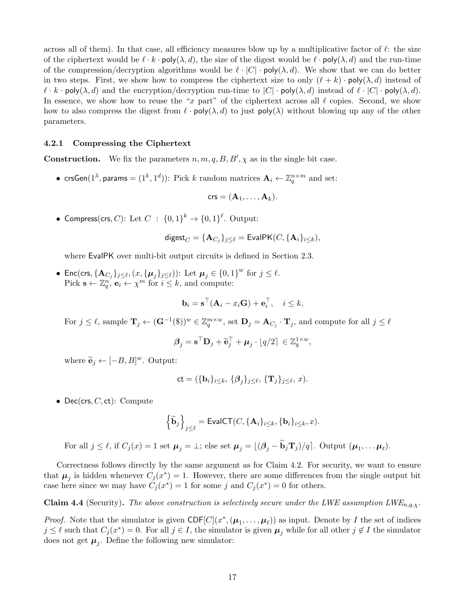across all of them). In that case, all efficiency measures blow up by a multiplicative factor of  $\ell$ : the size of the ciphertext would be  $\ell \cdot k \cdot \text{poly}(\lambda, d)$ , the size of the digest would be  $\ell \cdot \text{poly}(\lambda, d)$  and the run-time of the compression/decryption algorithms would be  $\ell \cdot |C| \cdot \text{poly}(\lambda, d)$ . We show that we can do better in two steps. First, we show how to compress the ciphertext size to only  $(\ell + k) \cdot \text{poly}(\lambda, d)$  instead of  $\ell \cdot k \cdot \text{poly}(\lambda, d)$  and the encryption/decryption run-time to  $|C| \cdot \text{poly}(\lambda, d)$  instead of  $\ell \cdot |C| \cdot \text{poly}(\lambda, d)$ . In essence, we show how to reuse the "x part" of the ciphertext across all  $\ell$  copies. Second, we show how to also compress the digest from  $\ell \cdot \text{poly}(\lambda, d)$  to just  $\text{poly}(\lambda)$  without blowing up any of the other parameters.

#### <span id="page-16-0"></span>4.2.1 Compressing the Ciphertext

**Construction.** We fix the parameters  $n, m, q, B, B', \chi$  as in the single bit case.

•  $\mathsf{crsGen}(1^\lambda, \mathsf{params} = (1^k, 1^d))$ : Pick  $k$  random matrices  $\mathbf{A}_i \leftarrow \mathbb{Z}_q^{n \times m}$  and set:

$$
\mathsf{crs} = (\mathbf{A}_1, \ldots, \mathbf{A}_k).
$$

• Compress(crs, C): Let  $C: \{0,1\}^k \rightarrow \{0,1\}^{\ell}$ . Output:

$$
\mathsf{digest}_C = \{\mathbf{A}_{C_j}\}_{j\leq \ell} = \mathsf{EvalPK}(C, \{\mathbf{A}_i\}_{i\leq k}),
$$

where EvalPK over multi-bit output circuits is defined in Section [2.3.](#page-8-1)

• Enc(crs,  $\{A_{C_j}\}_{j\leq \ell}, (x, \{\mu_j\}_{j\leq \ell})$ ): Let  $\mu_j \in \{0, 1\}^w$  for  $j \leq \ell$ . Pick  $\mathbf{s} \leftarrow \mathbb{Z}_q^n$ ,  $\mathbf{e}_i \leftarrow \chi^m$  for  $i \leq k$ , and compute:

$$
\mathbf{b}_i = \mathbf{s}^\top (\mathbf{A}_i - x_i \mathbf{G}) + \mathbf{e}_i^\top, \quad i \leq k,
$$

For  $j \leq \ell$ , sample  $\mathbf{T}_j \leftarrow (\mathbf{G}^{-1}(\mathbf{F}))^w \in \mathbb{Z}_q^{m \times w}$ , set  $\mathbf{D}_j = \mathbf{A}_{C_j} \cdot \mathbf{T}_j$ , and compute for all  $j \leq \ell$ 

$$
\boldsymbol{\beta}_j = \mathbf{s}^\top \mathbf{D}_j + \widetilde{\mathbf{e}}_j^\top + \boldsymbol{\mu}_j \cdot \lfloor q/2 \rceil \in \mathbb{Z}_q^{1 \times w},
$$

where  $\widetilde{\mathbf{e}}_j \leftarrow [-B, B]^w$ . Output:

$$
\mathsf{ct} = (\{\mathbf{b}_i\}_{i \leq k}, \{\boldsymbol{\beta}_j\}_{j \leq \ell}, \{\mathbf{T}_j\}_{j \leq \ell}, x).
$$

• Dec(crs,  $C$ , ct): Compute

$$
\left\{ \widetilde{\mathbf{b}}_j \right\}_{j \leq \ell} = \text{EvalCT}(C, \{ \mathbf{A}_i \}_{i \leq k}, \{ \mathbf{b}_i \}_{i \leq k}, x).
$$

For all  $j \leq \ell$ , if  $C_j(x) = 1$  set  $\mu_j = \bot$ ; else set  $\mu_j = \lfloor (\beta_j - \mathbf{b}_j \mathbf{T}_j)/q \rfloor$ . Output  $(\mu_1, \dots \mu_\ell)$ .

Correctness follows directly by the same argument as for Claim [4.2.](#page-14-0) For security, we want to ensure that  $\mu_j$  is hidden whenever  $C_j(x^*) = 1$ . However, there are some differences from the single output bit case here since we may have  $C_j(x^*) = 1$  for some j and  $C_j(x^*) = 0$  for others.

**Claim 4.4** (Security). The above construction is selectively secure under the LWE assumption  $LWE_{n,q,\chi}$ .

*Proof.* Note that the simulator is given  $CDF[C](x^*, (\mu_1, ..., \mu_\ell))$  as input. Denote by I the set of indices  $j \leq \ell$  such that  $C_j (x^*) = 0$ . For all  $j \in I$ , the simulator is given  $\mu_j$  while for all other  $j \notin I$  the simulator does not get  $\mu_j$ . Define the following new simulator: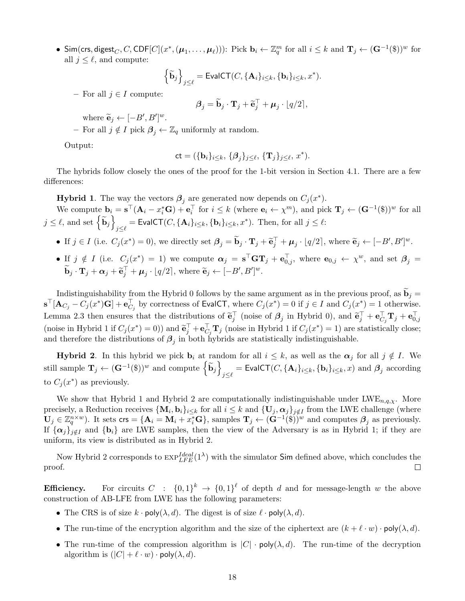• Sim(crs, digest<sub>C</sub>, C, CDF[C]( $x^*$ ,  $(\mu_1, \ldots, \mu_\ell)$ )): Pick  $\mathbf{b}_i \leftarrow \mathbb{Z}_q^m$  for all  $i \leq k$  and  $\mathbf{T}_j \leftarrow (\mathbf{G}^{-1}(\mathbf{\$}))^w$  for all  $j \leq \ell$ , and compute:

$$
\left\{ \widetilde{\mathbf{b}}_j \right\}_{j \leq \ell} = \text{EvalCT}(C, \{ \mathbf{A}_i \}_{i \leq k}, \{ \mathbf{b}_i \}_{i \leq k}, x^*).
$$

– For all  $j \in I$  compute:

$$
\boldsymbol{\beta}_j = \widetilde{\mathbf{b}}_j \cdot \mathbf{T}_j + \widetilde{\mathbf{e}}_j^{\top} + \boldsymbol{\mu}_j \cdot \lfloor q/2 \rfloor,
$$

where  $\widetilde{\mathbf{e}}_j \leftarrow [-B', B']^w$ .

– For all  $j \notin I$  pick  $\beta_j \leftarrow \mathbb{Z}_q$  uniformly at random.

Output:

$$
\mathsf{ct} = (\{\mathbf{b}_i\}_{i \leq k}, \, \{\boldsymbol{\beta}_j\}_{j \leq \ell}, \, \{\mathbf{T}_j\}_{j \leq \ell}, \, x^*).
$$

The hybrids follow closely the ones of the proof for the 1-bit version in Section [4.1.](#page-13-0) There are a few differences:

**Hybrid 1**. The way the vectors  $\beta_j$  are generated now depends on  $C_j(x^*)$ .

We compute  $\mathbf{b}_i = \mathbf{s}^\top (\mathbf{A}_i - x_i^* \mathbf{G}) + \mathbf{e}_i^\top$  for  $i \leq k$  (where  $\mathbf{e}_i \leftarrow \chi^m$ ), and pick  $\mathbf{T}_j \leftarrow (\mathbf{G}^{-1}(\mathbf{\$}))^w$  for all  $j \leq \ell$ , and set  $\left\{ \widetilde{\mathbf{b}}_j \right\}$  $j \leq \ell$  = EvalCT(C, { $\mathbf{A}_i\}_{i \leq k}$ , { $\mathbf{b}_i\}_{i \leq k}$ ,  $x^*$ ). Then, for all  $j \leq \ell$ :

- If  $j \in I$  (i.e.  $C_j(x^*) = 0$ ), we directly set  $\beta_j = \tilde{\mathbf{b}}_j \cdot \mathbf{T}_j + \tilde{\mathbf{e}}_j^{\top} + \mu_j \cdot \lfloor q/2 \rfloor$ , where  $\tilde{\mathbf{e}}_j \leftarrow [-B', B']^w$ .
- If  $j \notin I$  (i.e.  $C_j(x^*) = 1$ ) we compute  $\alpha_j = s^{\top} G T_j + e_{0,j}^{\top}$ , where  $e_{0,j} \leftarrow \chi^w$ , and set  $\beta_j =$  $\widetilde{\mathbf{b}}_j \cdot \mathbf{T}_j + \boldsymbol{\alpha}_j + \widetilde{\mathbf{e}}_j^{\top} + \boldsymbol{\mu}_j \cdot \lfloor q/2 \rfloor$ , where  $\widetilde{\mathbf{e}}_j \leftarrow [-B', B']^w$ .

Indistinguishability from the Hybrid 0 follows by the same argument as in the previous proof, as  $\widetilde{\mathbf{b}}_j =$  $\mathbf{s}^\top[\mathbf{A}_{C_j} - C_j(x^*)\mathbf{G}] + \mathbf{e}_{C_j}^\top$  by correctness of EvalCT, where  $C_j(x^*) = 0$  if  $j \in I$  and  $C_j(x^*) = 1$  otherwise. Lemma [2.3](#page-8-2) then ensures that the distributions of  $\tilde{\mathbf{e}}_j^{\top}$  (noise of  $\beta_j$  in Hybrid 0), and  $\tilde{\mathbf{e}}_j^{\top} + \mathbf{e}_{C_j}^{\top} \mathbf{T}_j + \mathbf{e}_{0,j}^{\top}$ (noise in Hybrid 1 if  $C_j(x^*) = 0$ )) and  $\tilde{\mathbf{e}}_j^{\top} + \mathbf{e}_{C_j}^{\top} \mathbf{T}_j$  (noise in Hybrid 1 if  $C_j(x^*) = 1$ ) are statistically close; and therefore the distributions of  $\beta_j$  in both hybrids are statistically indistinguishable.

**Hybrid 2.** In this hybrid we pick  $\mathbf{b}_i$  at random for all  $i \leq k$ , as well as the  $\alpha_j$  for all  $j \notin I$ . We still sample  $\mathbf{T}_j \leftarrow (\mathbf{G}^{-1}(\$))^{w}$  and compute  $\left\{ \widetilde{\mathbf{b}}_j \right\}$  $j \leq \ell} = \mathsf{EvalCT}(C, \{\mathbf{A}_i\}_{i \leq k}, \{\mathbf{b}_i\}_{i \leq k}, x) \text{ and } \boldsymbol{\beta}_j \text{ according}$ to  $C_j(x^*)$  as previously.

We show that Hybrid 1 and Hybrid 2 are computationally indistinguishable under  $LWE_{n,q,\chi}$ . More precisely, a Reduction receives  $\{\mathbf{M}_i, \mathbf{b}_i\}_{i \leq k}$  for all  $i \leq k$  and  $\{\mathbf{U}_j, \alpha_j\}_{j \notin I}$  from the LWE challenge (where  $\mathbf{U}_j \in \mathbb{Z}_q^{n \times w}$ ). It sets  $\textsf{crs} = {\mathbf{A}_i = \mathbf{M}_i + \overline{x_i^*} \mathbf{G}}$ , samples  $\mathbf{T}_j \leftarrow (\mathbf{G}^{-1}(\hat{\mathbb{S}}))^w$  and computes  $\boldsymbol{\beta}_j$  as previously. If  $\{\alpha_j\}_{j \notin I}$  and  $\{b_i\}$  are LWE samples, then the view of the Adversary is as in Hybrid 1; if they are uniform, its view is distributed as in Hybrid 2.

Now Hybrid 2 corresponds to  $\exp_{LFE}^{Ideal}(1^{\lambda})$  with the simulator Sim defined above, which concludes the  $\Box$ proof.

**Efficiency.** For circuits  $C : \{0,1\}^k \to \{0,1\}^{\ell}$  of depth d and for message-length w the above construction of AB-LFE from LWE has the following parameters:

- The CRS is of size  $k \cdot \text{poly}(\lambda, d)$ . The digest is of size  $\ell \cdot \text{poly}(\lambda, d)$ .
- The run-time of the encryption algorithm and the size of the ciphertext are  $(k + \ell \cdot w) \cdot \text{poly}(\lambda, d)$ .
- The run-time of the compression algorithm is  $|C| \cdot \text{poly}(\lambda, d)$ . The run-time of the decryption algorithm is  $(|C| + \ell \cdot w) \cdot \text{poly}(\lambda, d)$ .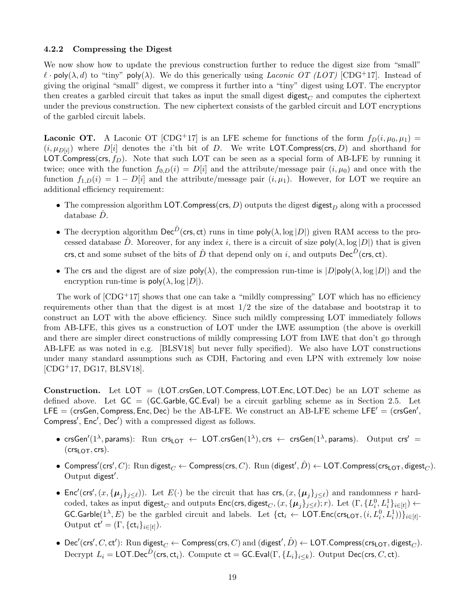#### 4.2.2 Compressing the Digest

We now show how to update the previous construction further to reduce the digest size from "small"  $\ell$  · poly( $\lambda$ , d) to "tiny" poly( $\lambda$ ). We do this generically using Laconic OT (LOT) [\[CDG](#page-36-0)+17]. Instead of giving the original "small" digest, we compress it further into a "tiny" digest using LOT. The encryptor then creates a garbled circuit that takes as input the small digest digest<sub> $C$ </sub> and computes the ciphertext under the previous construction. The new ciphertext consists of the garbled circuit and LOT encryptions of the garbled circuit labels.

**Laconic OT.** A Laconic OT [\[CDG](#page-36-0)<sup>+</sup>17] is an LFE scheme for functions of the form  $f_D(i, \mu_0, \mu_1)$  =  $(i, \mu_{D[i]})$  where  $D[i]$  denotes the *i*'th bit of D. We write LOT. Compress(crs, D) and shorthand for LOT.Compress(crs,  $f_D$ ). Note that such LOT can be seen as a special form of AB-LFE by running it twice; once with the function  $f_{0,D}(i) = D[i]$  and the attribute/message pair  $(i,\mu_0)$  and once with the function  $f_{1,D}(i) = 1 - D[i]$  and the attribute/message pair  $(i, \mu_1)$ . However, for LOT we require an additional efficiency requirement:

- The compression algorithm LOT. Compress(crs, D) outputs the digest digest  $_D$  along with a processed  $database$   $D$ .
- The decryption algorithm  $\text{Dec}^{\hat{D}}(\text{crs}, \text{ct})$  runs in time  $\text{poly}(\lambda, \log|D|)$  given RAM access to the processed database  $\hat{D}$ . Moreover, for any index i, there is a circuit of size poly $(\lambda, \log |D|)$  that is given crs, ct and some subset of the bits of  $\hat{D}$  that depend only on i, and outputs  $\mathsf{Dec}^{\hat{D}}(\mathsf{crs}, \mathsf{ct}).$
- The crs and the digest are of size  $poly(\lambda)$ , the compression run-time is  $|D|poly(\lambda, \log |D|)$  and the encryption run-time is  $poly(\lambda, \log |D|)$ .

The work of  $[CDG^+17]$  shows that one can take a "mildly compressing" LOT which has no efficiency requirements other than that the digest is at most  $1/2$  the size of the database and bootstrap it to construct an LOT with the above efficiency. Since such mildly compressing LOT immediately follows from AB-LFE, this gives us a construction of LOT under the LWE assumption (the above is overkill and there are simpler direct constructions of mildly compressing LOT from LWE that don't go through AB-LFE as was noted in e.g. [\[BLSV18\]](#page-36-2) but never fully specified). We also have LOT constructions under many standard assumptions such as CDH, Factoring and even LPN with extremely low noise [\[CDG](#page-36-0)+17, [DG17,](#page-36-1) [BLSV18\]](#page-36-2).

Construction. Let LOT = (LOT.crsGen, LOT.Compress, LOT.Enc, LOT.Dec) be an LOT scheme as defined above. Let  $GC = (GC.Garble, GC.Eval)$  be a circuit garbling scheme as in Section [2.5.](#page-10-0) Let LFE = (crsGen, Compress, Enc, Dec) be the AB-LFE. We construct an AB-LFE scheme LFE' = (crsGen', Compress', Enc', Dec') with a compressed digest as follows.

- $\bullet$  crsGen'(1<sup> $\lambda$ </sup>, params): Run crs<sub>LOT</sub>  $\leftarrow$  LOT.crsGen(1 $^\lambda$ ), crs  $\leftarrow$  crsGen(1 $^\lambda$ , params). Output crs'  $=$  $(crs<sub>LOT</sub>, crs).$
- $\bullet$  Compress'(crs', C):  $\mathrm{Run}$  digest $_C$   $\leftarrow$  Compress(crs, C).  $\mathrm{Run}$  (digest',  $\hat{D}$ )  $\leftarrow$  LOT.Compress(crs<sub>LOT</sub>, digest $_C$ ). Output digest'.
- Enc'(crs',  $(x, {\mu_j}_{j \leq \ell})$ ). Let  $E(\cdot)$  be the circuit that has crs,  $(x, {\mu_j}_{j \leq \ell})$  and randomness r hardcoded, takes as input digest<sub>C</sub> and outputs  $\mathsf{Enc}(\mathsf{crs}, \mathsf{digest}_C, (x, \{\pmb{\mu}_j\}_{j\leq \ell}); r)$ . Let  $(\Gamma, \{L_i^0, L_i^1\}_{i\in[t]}) \leftarrow$  $\mathsf{GC}.\mathsf{Garble}(1^\lambda,E)$  be the garbled circuit and labels. Let  $\{\mathsf{ct}_i\leftarrow\mathsf{LOT}.\mathsf{Enc}(\mathsf{crs}_\mathsf{LOT},(i,L_i^0,L_i^1))\}_{i\in[t]}$ . Output  $ct' = (\Gamma, \{ct_i\}_{i \in [t]})$ .
- $\bullet\;\text{Dec}'(\textsf{crs}',C,\textsf{ct}')\colon \text{Run }\textsf{digest}_C\leftarrow\textsf{Compress}(\textsf{crs},C)\text{ and }(\textsf{digest}',\hat{D})\leftarrow\textsf{LOT}.\textsf{Compress}(\textsf{crs}_\textsf{LOT},\textsf{digest}_C).$ Decrypt  $L_i = \mathsf{LOT}.\mathsf{Dec}^{\hat{D}}(\mathsf{crs},\mathsf{ct}_i)$ . Compute  $\mathsf{ct} = \mathsf{GC}.\mathsf{Eval}(\Gamma,\{L_i\}_{i\leq k}).$  Output  $\mathsf{Dec}(\mathsf{crs},C,\mathsf{ct}).$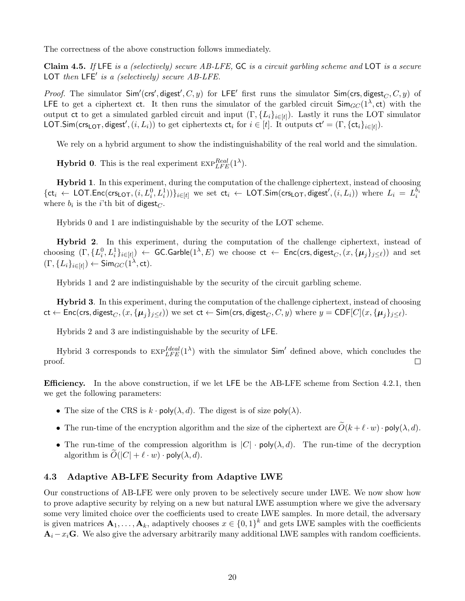The correctness of the above construction follows immediately.

Claim 4.5. If LFE is a (selectively) secure AB-LFE, GC is a circuit garbling scheme and LOT is a secure LOT then  $LFE'$  is a (selectively) secure  $AB\text{-}LFE$ .

*Proof.* The simulator  $Sim'(crs', digest', C, y)$  for LFE' first runs the simulator  $Sim(crs, digest_C, C, y)$  of LFE to get a ciphertext ct. It then runs the simulator of the garbled circuit  $\mathsf{Sim}_{GC}(1^{\lambda}, ct)$  with the output ct to get a simulated garbled circuit and input  $(\Gamma, \{L_i\}_{i \in [t]})$ . Lastly it runs the LOT simulator LOT.Sim(crs<sub>LOT</sub>, digest',  $(i, L_i)$ ) to get ciphertexts  $ct_i$  for  $i \in [t]$ . It outputs  $ct' = (\Gamma, \{ct_i\}_{i \in [t]})$ .

We rely on a hybrid argument to show the indistinguishability of the real world and the simulation.

**Hybrid 0.** This is the real experiment  $\text{exp}_{\text{LFE}}^{Real}(1^{\lambda})$ .

Hybrid 1. In this experiment, during the computation of the challenge ciphertext, instead of choosing  $\{\mathsf{ct}_i \leftarrow \mathsf{LOT}.\mathsf{Enc}(\mathsf{crs}_\mathsf{LOT},(i,L_i^0,L_i^1))\}_{i\in[t]}$  we set  $\mathsf{ct}_i \leftarrow \mathsf{LOT}.\mathsf{Sim}(\mathsf{crs}_\mathsf{LOT},\mathsf{digest}',(i,L_i))$  where  $L_i\,=\,L_i^{b_i}$ where  $b_i$  is the *i*'th bit of digest<sub> $C$ </sub>.

Hybrids 0 and 1 are indistinguishable by the security of the LOT scheme.

Hybrid 2. In this experiment, during the computation of the challenge ciphertext, instead of choosing  $(\Gamma, \{L_i^0, L_i^1\}_{i\in[t]}) \leftarrow \mathsf{GC}.\mathsf{Garble}(1^\lambda,E)$  we choose  $\mathsf{ct} \leftarrow \mathsf{Enc}(\mathsf{crs},\mathsf{digest}_C,(x,\{\boldsymbol{\mu}_j\}_{j\leq \ell}))$  and set  $(\Gamma, \{L_i\}_{i \in [t]}) \leftarrow \mathsf{Sim}_{GC}(\mathbb{1}^{\lambda}, \mathsf{ct}).$ 

Hybrids 1 and 2 are indistinguishable by the security of the circuit garbling scheme.

Hybrid 3. In this experiment, during the computation of the challenge ciphertext, instead of choosing  $ct \leftarrow \mathsf{Enc}(\mathsf{crs}, \mathsf{digest}_C, (x, {\mu_i}_{j \in \ell})$  we set  $ct \leftarrow \mathsf{Sim}(\mathsf{crs}, \mathsf{digest}_C, C, y)$  where  $y = \mathsf{CDF}[C](x, {\mu_i}_{j \in \ell}).$ 

Hybrids 2 and 3 are indistinguishable by the security of LFE.

Hybrid 3 corresponds to  $\exp_{LEE}^{Ideal}(1^{\lambda})$  with the simulator  $Sim'$  defined above, which concludes the proof.  $\Box$ 

Efficiency. In the above construction, if we let LFE be the AB-LFE scheme from Section [4.2.1,](#page-16-0) then we get the following parameters:

- The size of the CRS is  $k \cdot \text{poly}(\lambda, d)$ . The digest is of size  $\text{poly}(\lambda)$ .
- The run-time of the encryption algorithm and the size of the ciphertext are  $\tilde{O}(k + \ell \cdot w) \cdot \text{poly}(\lambda, d)$ .
- The run-time of the compression algorithm is  $|C| \cdot \text{poly}(\lambda, d)$ . The run-time of the decryption algorithm is  $O(|C| + \ell \cdot w) \cdot \text{poly}(\lambda, d)$ .

#### <span id="page-19-0"></span>4.3 Adaptive AB-LFE Security from Adaptive LWE

Our constructions of AB-LFE were only proven to be selectively secure under LWE. We now show how to prove adaptive security by relying on a new but natural LWE assumption where we give the adversary some very limited choice over the coefficients used to create LWE samples. In more detail, the adversary is given matrices  $A_1, \ldots, A_k$ , adaptively chooses  $x \in \{0,1\}^k$  and gets LWE samples with the coefficients  $A_i - x_i$ G. We also give the adversary arbitrarily many additional LWE samples with random coefficients.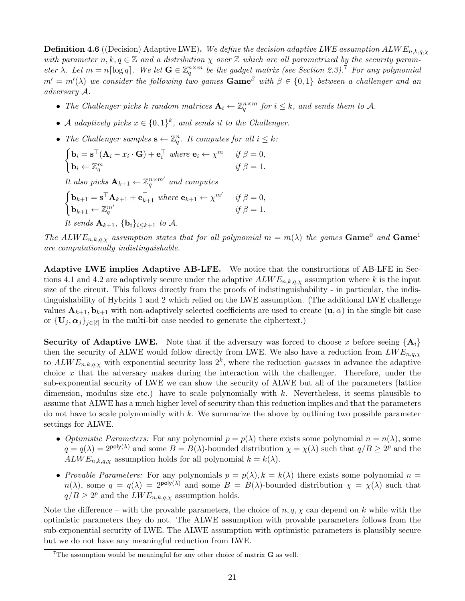**Definition 4.6** ((Decision) Adaptive LWE). We define the decision adaptive LWE assumption  $ALWE_{n,k,q,\chi}$ with parameter  $n, k, q \in \mathbb{Z}$  and a distribution  $\chi$  over  $\mathbb Z$  which are all parametrized by the security parameter  $\lambda$ . Let  $m = n \lceil \log q \rceil$ . We let  $\mathbf{G} \in \mathbb{Z}_q^{n \times m}$  be the gadget matrix (see Section [2.3\)](#page-8-1).<sup>[7](#page-20-0)</sup> For any polynomial  $m' = m'(\lambda)$  we consider the following two games  $\bf{Game}^{\beta}$  with  $\beta \in \{0,1\}$  between a challenger and an adversary A.

- The Challenger picks k random matrices  $A_i \leftarrow \mathbb{Z}_q^{n \times m}$  for  $i \leq k$ , and sends them to A.
- A adaptively picks  $x \in \{0,1\}^k$ , and sends it to the Challenger.
- The Challenger samples  $\mathbf{s} \leftarrow \mathbb{Z}_q^n$ . It computes for all  $i \leq k$ :

$$
\begin{cases} \mathbf{b}_i = \mathbf{s}^\top (\mathbf{A}_i - x_i \cdot \mathbf{G}) + \mathbf{e}_i^\top \text{ where } \mathbf{e}_i \leftarrow \chi^m & \text{ if } \beta = 0, \\ \mathbf{b}_i \leftarrow \mathbb{Z}_q^m & \text{ if } \beta = 1. \end{cases}
$$

It also picks  $\mathbf{A}_{k+1} \leftarrow \mathbb{Z}_q^{n \times m'}$  and computes

 $\int \mathbf{b}_{k+1} = \mathbf{s}^\top \mathbf{A}_{k+1} + \mathbf{e}_{k+1}^\top$  where  $\mathbf{e}_{k+1} \leftarrow \chi^{m'}$  if  $\beta = 0$ ,  $\mathbf{b}_{k+1} \leftarrow \mathbb{Z}_q^{m'}$  if  $\beta = 1$ .

It sends  $\mathbf{A}_{k+1}$ ,  $\{\mathbf{b}_i\}_{i\leq k+1}$  to A.

The ALW  $E_{n,k,q,\chi}$  assumption states that for all polynomial  $m = m(\lambda)$  the games Game<sup>0</sup> and Game<sup>1</sup> are computationally indistinguishable.

Adaptive LWE implies Adaptive AB-LFE. We notice that the constructions of AB-LFE in Sec-tions [4.1](#page-13-0) and [4.2](#page-15-0) are adaptively secure under the adaptive  $ALWE_{n,k,q,\chi}$  assumption where k is the input size of the circuit. This follows directly from the proofs of indistinguishability - in particular, the indistinguishability of Hybrids 1 and 2 which relied on the LWE assumption. (The additional LWE challenge values  $A_{k+1}, b_{k+1}$  with non-adaptively selected coefficients are used to create  $(u, \alpha)$  in the single bit case or  $\{\mathbf U_j, \boldsymbol{\alpha}_j\}_{j\in[\ell]}$  in the multi-bit case needed to generate the ciphertext.)

**Security of Adaptive LWE.** Note that if the adversary was forced to choose x before seeing  $\{A_i\}$ then the security of ALWE would follow directly from LWE. We also have a reduction from  $LWE_{n,q,\chi}$ to  $ALWE_{n,k,q,\chi}$  with exponential security loss  $2^k$ , where the reduction guesses in advance the adaptive choice x that the adversary makes during the interaction with the challenger. Therefore, under the sub-exponential security of LWE we can show the security of ALWE but all of the parameters (lattice dimension, modulus size etc.) have to scale polynomially with  $k$ . Nevertheless, it seems plausible to assume that ALWE has a much higher level of security than this reduction implies and that the parameters do not have to scale polynomially with  $k$ . We summarize the above by outlining two possible parameter settings for ALWE.

- Optimistic Parameters: For any polynomial  $p = p(\lambda)$  there exists some polynomial  $n = n(\lambda)$ , some  $q = q(\lambda) = 2^{\text{poly}(\lambda)}$  and some  $B = B(\lambda)$ -bounded distribution  $\chi = \chi(\lambda)$  such that  $q/B \geq 2^p$  and the  $ALWE_{n,k,q,\chi}$  assumption holds for all polynomial  $k = k(\lambda)$ .
- Provable Parameters: For any polynomials  $p = p(\lambda), k = k(\lambda)$  there exists some polynomial  $n =$  $n(\lambda)$ , some  $q = q(\lambda) = 2^{\text{poly}(\lambda)}$  and some  $B = B(\lambda)$ -bounded distribution  $\chi = \chi(\lambda)$  such that  $q/B \ge 2^p$  and the  $LWE_{n,k,q,\chi}$  assumption holds.

Note the difference – with the provable parameters, the choice of  $n, q, \chi$  can depend on k while with the optimistic parameters they do not. The ALWE assumption with provable parameters follows from the sub-exponential security of LWE. The ALWE assumption with optimistic parameters is plausibly secure but we do not have any meaningful reduction from LWE.

<span id="page-20-0"></span><sup>&</sup>lt;sup>7</sup>The assumption would be meaningful for any other choice of matrix  **as well.**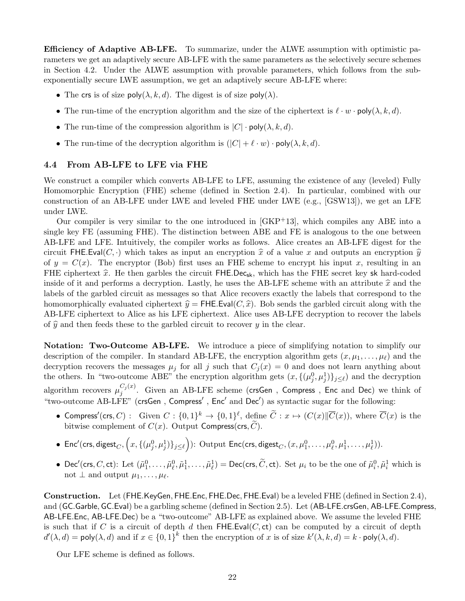Efficiency of Adaptive AB-LFE. To summarize, under the ALWE assumption with optimistic parameters we get an adaptively secure AB-LFE with the same parameters as the selectively secure schemes in Section [4.2.](#page-15-0) Under the ALWE assumption with provable parameters, which follows from the subexponentially secure LWE assumption, we get an adaptively secure AB-LFE where:

- The crs is of size  $poly(\lambda, k, d)$ . The digest is of size  $poly(\lambda)$ .
- The run-time of the encryption algorithm and the size of the ciphertext is  $\ell \cdot w \cdot \text{poly}(\lambda, k, d)$ .
- The run-time of the compression algorithm is  $|C| \cdot \text{poly}(\lambda, k, d)$ .
- The run-time of the decryption algorithm is  $(|C| + \ell \cdot w) \cdot \text{poly}(\lambda, k, d)$ .

### <span id="page-21-0"></span>4.4 From AB-LFE to LFE via FHE

We construct a compiler which converts AB-LFE to LFE, assuming the existence of any (leveled) Fully Homomorphic Encryption (FHE) scheme (defined in Section [2.4\)](#page-9-0). In particular, combined with our construction of an AB-LFE under LWE and leveled FHE under LWE (e.g., [\[GSW13\]](#page-37-4)), we get an LFE under LWE.

Our compiler is very similar to the one introduced in  $[GKP<sup>+</sup>13]$ , which compiles any ABE into a single key FE (assuming FHE). The distinction between ABE and FE is analogous to the one between AB-LFE and LFE. Intuitively, the compiler works as follows. Alice creates an AB-LFE digest for the circuit FHE.Eval(C, ·) which takes as input an encryption  $\hat{x}$  of a value x and outputs an encryption  $\hat{y}$ of  $y = C(x)$ . The encryptor (Bob) first uses an FHE scheme to encrypt his input x, resulting in an FHE ciphertext  $\hat{x}$ . He then garbles the circuit FHE.Dec<sub>sk</sub>, which has the FHE secret key sk hard-coded inside of it and performs a decryption. Lastly, he uses the AB-LFE scheme with an attribute  $\hat{x}$  and the labels of the garbled circuit as messages so that Alice recovers exactly the labels that correspond to the homomorphically evaluated ciphertext  $\hat{y} = \text{FHE.Eval}(C, \hat{x})$ . Bob sends the garbled circuit along with the AB-LFE ciphertext to Alice as his LFE ciphertext. Alice uses AB-LFE decryption to recover the labels of  $\hat{y}$  and then feeds these to the garbled circuit to recover y in the clear.

Notation: Two-Outcome AB-LFE. We introduce a piece of simplifying notation to simplify our description of the compiler. In standard AB-LFE, the encryption algorithm gets  $(x, \mu_1, \ldots, \mu_\ell)$  and the decryption recovers the messages  $\mu_j$  for all j such that  $C_j(x) = 0$  and does not learn anything about the others. In "two-outcome ABE" the encryption algorithm gets  $(x, \{(\mu_j^0, \mu_j^1)\}_{j\leq \ell})$  and the decryption algorithm recovers  $\mu_i^{C_j(x)}$  $j_j^{C_j(x)}$ . Given an AB-LFE scheme (crsGen, Compress, Enc and Dec) we think of "two-outcome AB-LFE" (crsGen, Compress', Enc' and Dec') as syntactic sugar for the following:

- Compress'(crs, C) : Given  $C : \{0,1\}^k \to \{0,1\}^{\ell}$ , define  $\widetilde{C} : x \mapsto (C(x)|\overline{C}(x))$ , where  $\overline{C}(x)$  is the bitwise complement of  $C(x)$ . Output Compress(crs,  $\widetilde{C}$ ).
- $\bullet \;\; {\sf Enc}'(\mathsf{crs},\mathsf{digest}_C,\Big(x,\{(\mu_j^0,\mu_j^1)\}_{j\leq \ell}\Big)) \colon \mathsf{Output} \;\mathsf{Enc}(\mathsf{crs},\mathsf{digest}_C,(x,\mu_1^0,\ldots,\mu_\ell^0,\mu_1^1,\ldots,\mu_\ell^1)).$
- Dec'(crs, C, ct): Let  $(\tilde{\mu}_1^0, \ldots, \tilde{\mu}_\ell^0, \tilde{\mu}_1^1, \ldots, \tilde{\mu}_\ell^1) = \text{Dec}(\text{crs}, \tilde{C}, \text{ct})$ . Set  $\mu_i$  to be the one of  $\tilde{\mu}_i^0, \tilde{\mu}_i^1$  which is not  $\perp$  and output  $\mu_1, \ldots, \mu_\ell$ .

Construction. Let (FHE.KeyGen, FHE.Enc, FHE.Dec, FHE.Eval) be a leveled FHE (defined in Section [2.4\)](#page-9-0), and (GC.Garble, GC.Eval) be a garbling scheme (defined in Section [2.5\)](#page-10-0). Let (AB-LFE.crsGen, AB-LFE.Compress, AB-LFE.Enc, AB-LFE.Dec) be a "two-outcome" AB-LFE as explained above. We assume the leveled FHE is such that if C is a circuit of depth d then  $FHE.Eval(C, ct)$  can be computed by a circuit of depth  $d'(\lambda, d) = \text{poly}(\lambda, d)$  and if  $x \in \{0, 1\}^k$  then the encryption of x is of size  $k'(\lambda, k, d) = k \cdot \text{poly}(\lambda, d)$ .

Our LFE scheme is defined as follows.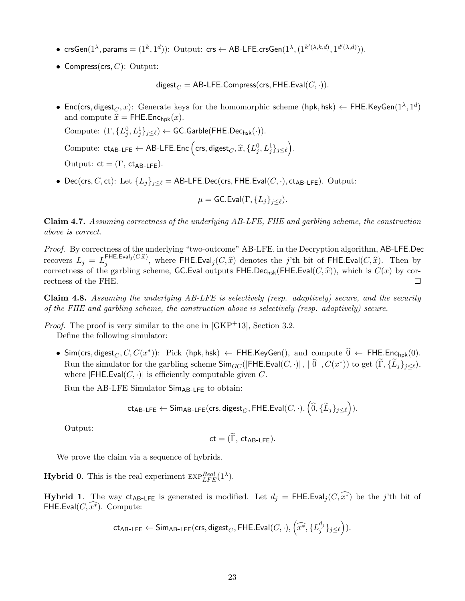- $\mathsf{crsGen}(1^\lambda, \mathsf{params} = (1^k, 1^d))$ :  $\mathsf{Output:} \ \mathsf{crs} \leftarrow \mathsf{AB-LFE}.\mathsf{crsGen}(1^\lambda, (1^{k'(\lambda, k, d)}, 1^{d'(\lambda, d)})).$
- Compress(crs,  $C$ ): Output:

digest<sub> $C$ </sub> = AB-LFE.Compress(crs, FHE.Eval( $C, \cdot$ )).

• Enc(crs, digest $_C, x$ ): Generate keys for the homomorphic scheme (hpk, hsk)  $\leftarrow$  FHE.KeyGen $(1^\lambda, 1^d)$ and compute  $\hat{x} =$  FHE.Enc<sub>hpk</sub> $(x)$ .

Compute:  $(\Gamma, \{L_j^0, L_j^1\}_{j\leq \ell}) \leftarrow \textsf{GC}.\textsf{Garble}(\textsf{FHE}.\textsf{Dec}_{\textsf{hsk}}(\cdot)).$ 

Compute:  $ct_{AB-LFE} \leftarrow AB-LFE. Enc\left( crs, digest_C, \hat{x}, \{L_j^0, L_j^1\}_{j \le \ell}\right).$ 

Output:  $ct = (\Gamma, ct_{AB-1FF}).$ 

• Dec(crs, C, ct): Let  $\{L_j\}_{j\leq\ell} =$  AB-LFE.Dec(crs, FHE.Eval( $C, \cdot$ ), ct<sub>AB-LFE</sub>). Output:

$$
\mu=\mathsf{GC}.\mathsf{Eval}(\Gamma,\{L_j\}_{j\leq \ell}).
$$

Claim 4.7. Assuming correctness of the underlying AB-LFE, FHE and garbling scheme, the construction above is correct.

Proof. By correctness of the underlying "two-outcome" AB-LFE, in the Decryption algorithm, AB-LFE.Dec recovers  $L_j = L_j^{\text{FHE.Eval}_j(C,\hat{x})}$ , where FHE.Eval<sub>j</sub> $(C, \hat{x})$  denotes the j'th bit of FHE.Eval $(C, \hat{x})$ . Then by correctness of the garbling scheme, GC.Eval outputs FHE.Dec<sub>hsk</sub>(FHE.Eval( $C, \hat{x}$ )), which is  $C(x)$  by cor-<br>rectness of the FHE rectness of the FHE.

Claim 4.8. Assuming the underlying AB-LFE is selectively (resp. adaptively) secure, and the security of the FHE and garbling scheme, the construction above is selectively (resp. adaptively) secure.

*Proof.* The proof is very similar to the one in  $\text{GKP}^+13$ , Section 3.2.

Define the following simulator:

• Sim(crs, digest<sub>C</sub>, C, C(x<sup>\*</sup>)): Pick (hpk, hsk) ← FHE.KeyGen(), and compute  $\widehat{0}$  ← FHE.Enc<sub>hpk</sub>(0). Run the simulator for the garbling scheme  $\textsf{Sim}_{GC}(|\textsf{FHE}.\textsf{Eval}(C, \cdot)|, |\, \widehat{0} \, |, C(x^*))$  to get  $(\widetilde{\Gamma}, \{\widetilde{L}_j\}_{j \le \ell}),$ where  $|FHE.Eval(C, \cdot)|$  is efficiently computable given C.

Run the AB-LFE Simulator  $Sim_{AB-LFE}$  to obtain:

$$
\mathsf{ct_{AB-LFE}} \leftarrow \mathsf{Sim_{AB-LFE}}(\mathsf{crs}, \mathsf{digest}_C, \mathsf{FHE}.\mathsf{Eval}(C, \cdot), \left(\widehat{0}, \{\widetilde{L}_j\}_{j \leq \ell}\right)).
$$

Output:

$$
\mathsf{ct} = (\Gamma, \, \mathsf{ct}_{\mathsf{AB-LFE}}).
$$

We prove the claim via a sequence of hybrids.

**Hybrid 0.** This is the real experiment  $\text{exp}_{\text{LFE}}^{\text{Real}}(1^{\lambda})$ .

**Hybrid 1.** The way ct<sub>AB-LFE</sub> is generated is modified. Let  $d_i = \text{FHE.Eval}_i(C, \widehat{x^*})$  be the j'th bit of FHE.Eval $(C, x^*)$ . Compute:

$$
\mathsf{ct}_{\mathsf{AB-LFE}} \leftarrow \mathsf{Sim}_{\mathsf{AB-LFE}}(\mathsf{crs}, \mathsf{digest}_C, \mathsf{FHE}.\mathsf{Eval}(C, \cdot), \left( \widehat{x^*}, \{L_j^{d_j}\}_{j \leq \ell} \right) ).
$$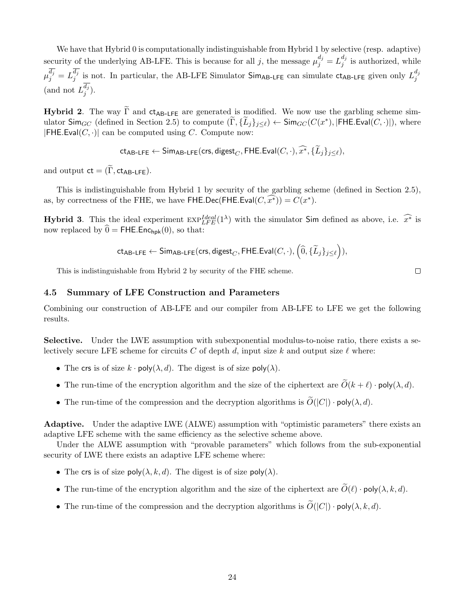We have that Hybrid 0 is computationally indistinguishable from Hybrid 1 by selective (resp. adaptive) security of the underlying AB-LFE. This is because for all j, the message  $\mu_j^{d_j} = L_j^{d_j}$  $j^{u_j}$  is authorized, while  $\mu_j^{d_j} = L_j^{d_j}$  $j_j^{d_j}$  is not. In particular, the AB-LFE Simulator Sim<sub>AB-LFE</sub> can simulate  $ct_{AB-LFE}$  given only  $L_j^{d_j}$ j (and not  $L_i^{d_j}$  $\binom{a_j}{j}$ .

**Hybrid 2.** The way  $\tilde{\Gamma}$  and  $ct_{AB-LFE}$  are generated is modified. We now use the garbling scheme simulator  $\textsf{Sim}_{GC}$  (defined in Section [2.5\)](#page-10-0) to compute  $(\widetilde{\Gamma}, {\{\widetilde{\mathcal{L}}_j\}_{j\leq \ell}}) \leftarrow \textsf{Sim}_{GC}(C(x^*), |\textsf{FHE}.\textsf{Eval}(C, \cdot)|),$  where  $|FHE.Eval(C, \cdot)|$  can be computed using C. Compute now:

$$
\mathsf{ct}_{\mathsf{AB-LFE}} \leftarrow \mathsf{Sim}_{\mathsf{AB-LFE}}(\mathsf{crs}, \mathsf{digest}_C, \mathsf{FHE}.\mathsf{Eval}(C, \cdot), \widehat{x^*}, \{\tilde{L}_j\}_{j \leq \ell}),
$$

and output  $ct = (\widetilde{\Gamma}, ct_{AB-1FF}).$ 

This is indistinguishable from Hybrid 1 by security of the garbling scheme (defined in Section [2.5\)](#page-10-0), as, by correctness of the FHE, we have FHE.Dec(FHE.Eval $(C, \widehat{x^*})$ ) =  $C(x^*)$ .

**Hybrid 3.** This the ideal experiment  $\exp^{Ideal}_{LFE}(1^{\lambda})$  with the simulator Sim defined as above, i.e.  $\widehat{x^*}$  is now replaced by  $\hat{\theta} = \text{FHE}$ . Enc<sub>hpk</sub>(0), so that:

$$
\mathsf{ct_{AB-LFE}} \leftarrow \mathsf{Sim_{AB-LFE}}(\mathsf{crs}, \mathsf{digest}_C, \mathsf{FHE}.\mathsf{Eval}(C, \cdot), \left(\widehat{0}, \{\widetilde{L}_j\}_{j \leq \ell}\right)),
$$

 $\Box$ 

This is indistinguishable from Hybrid 2 by security of the FHE scheme.

#### 4.5 Summary of LFE Construction and Parameters

Combining our construction of AB-LFE and our compiler from AB-LFE to LFE we get the following results.

Selective. Under the LWE assumption with subexponential modulus-to-noise ratio, there exists a selectively secure LFE scheme for circuits C of depth d, input size k and output size  $\ell$  where:

- The crs is of size  $k \cdot \text{poly}(\lambda, d)$ . The digest is of size  $\text{poly}(\lambda)$ .
- The run-time of the encryption algorithm and the size of the ciphertext are  $\widetilde{O}(k + \ell) \cdot \text{poly}(\lambda, d)$ .
- The run-time of the compression and the decryption algorithms is  $\widetilde{O}(|C|) \cdot \text{poly}(\lambda, d)$ .

Adaptive. Under the adaptive LWE (ALWE) assumption with "optimistic parameters" there exists an adaptive LFE scheme with the same efficiency as the selective scheme above.

Under the ALWE assumption with "provable parameters" which follows from the sub-exponential security of LWE there exists an adaptive LFE scheme where:

- The crs is of size poly $(\lambda, k, d)$ . The digest is of size poly $(\lambda)$ .
- The run-time of the encryption algorithm and the size of the ciphertext are  $\widetilde{O}(\ell) \cdot \text{poly}(\lambda, k, d)$ .
- The run-time of the compression and the decryption algorithms is  $\widetilde{O}(|C|) \cdot \text{poly}(\lambda, k, d)$ .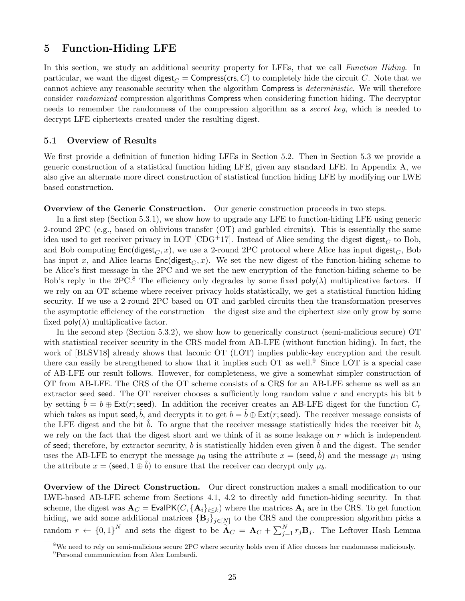### <span id="page-24-0"></span>5 Function-Hiding LFE

In this section, we study an additional security property for LFEs, that we call Function Hiding. In particular, we want the digest digest<sub>C</sub> = Compress(crs, C) to completely hide the circuit C. Note that we cannot achieve any reasonable security when the algorithm Compress is deterministic. We will therefore consider randomized compression algorithms Compress when considering function hiding. The decryptor needs to remember the randomness of the compression algorithm as a *secret key*, which is needed to decrypt LFE ciphertexts created under the resulting digest.

#### 5.1 Overview of Results

We first provide a definition of function hiding LFEs in Section [5.2.](#page-25-0) Then in Section [5.3](#page-26-0) we provide a generic construction of a statistical function hiding LFE, given any standard LFE. In Appendix [A,](#page-39-0) we also give an alternate more direct construction of statistical function hiding LFE by modifying our LWE based construction.

### Overview of the Generic Construction. Our generic construction proceeds in two steps.

In a first step (Section [5.3.1\)](#page-26-1), we show how to upgrade any LFE to function-hiding LFE using generic 2-round 2PC (e.g., based on oblivious transfer (OT) and garbled circuits). This is essentially the same idea used to get receiver privacy in LOT [\[CDG](#page-36-0)+17]. Instead of Alice sending the digest digest<sub>C</sub> to Bob, and Bob computing  $Enc(digest_C, x)$ , we use a 2-round 2PC protocol where Alice has input digest<sub>C</sub>, Bob has input x, and Alice learns  $Enc(digest<sub>C</sub>, x)$ . We set the new digest of the function-hiding scheme to be Alice's first message in the 2PC and we set the new encryption of the function-hiding scheme to be Bob's reply in the 2PC.<sup>[8](#page-24-1)</sup> The efficiency only degrades by some fixed  $poly(\lambda)$  multiplicative factors. If we rely on an OT scheme where receiver privacy holds statistically, we get a statistical function hiding security. If we use a 2-round 2PC based on OT and garbled circuits then the transformation preserves the asymptotic efficiency of the construction – the digest size and the ciphertext size only grow by some fixed  $\text{poly}(\lambda)$  multiplicative factor.

In the second step (Section [5.3.2\)](#page-29-0), we show how to generically construct (semi-malicious secure) OT with statistical receiver security in the CRS model from AB-LFE (without function hiding). In fact, the work of [\[BLSV18\]](#page-36-2) already shows that laconic OT (LOT) implies public-key encryption and the result there can easily be strengthened to show that it implies such  $OT$  as well.<sup>[9](#page-24-2)</sup> Since LOT is a special case of AB-LFE our result follows. However, for completeness, we give a somewhat simpler construction of OT from AB-LFE. The CRS of the OT scheme consists of a CRS for an AB-LFE scheme as well as an extractor seed seed. The OT receiver chooses a sufficiently long random value r and encrypts his bit b by setting  $b = b \oplus \text{Ext}(r; \text{seed})$ . In addition the receiver creates an AB-LFE digest for the function  $C_r$ which takes as input seed,  $\hat{b}$ , and decrypts it to get  $b = \hat{b} \oplus \text{Ext}(r; \text{seed})$ . The receiver message consists of the LFE digest and the bit  $b$ . To argue that the receiver message statistically hides the receiver bit  $b$ , we rely on the fact that the digest short and we think of it as some leakage on  $r$  which is independent of seed; therefore, by extractor security,  $b$  is statistically hidden even given  $b$  and the digest. The sender uses the AB-LFE to encrypt the message  $\mu_0$  using the attribute  $x = (\text{seed}, \hat{b})$  and the message  $\mu_1$  using the attribute  $x = (seed, 1 \oplus b)$  to ensure that the receiver can decrypt only  $\mu_b$ .

Overview of the Direct Construction. Our direct construction makes a small modification to our LWE-based AB-LFE scheme from Sections [4.1,](#page-13-0) [4.2](#page-15-0) to directly add function-hiding security. In that scheme, the digest was  $\mathbf{A}_C = \mathsf{EvalPK}(C, {\mathbf{A}_i}_{i \le k})$  where the matrices  $\mathbf{A}_i$  are in the CRS. To get function hiding, we add some additional matrices  ${B_j}_{j \in [N]}$  to the CRS and the compression algorithm picks a random  $r \leftarrow \{0,1\}^N$  and sets the digest to be  $\widetilde{A}_C = A_C + \sum_{j=1}^N r_j B_j$ . The Leftover Hash Lemma

<span id="page-24-2"></span><span id="page-24-1"></span><sup>&</sup>lt;sup>8</sup>We need to rely on semi-malicious secure 2PC where security holds even if Alice chooses her randomness maliciously. <sup>9</sup>Personal communication from Alex Lombardi.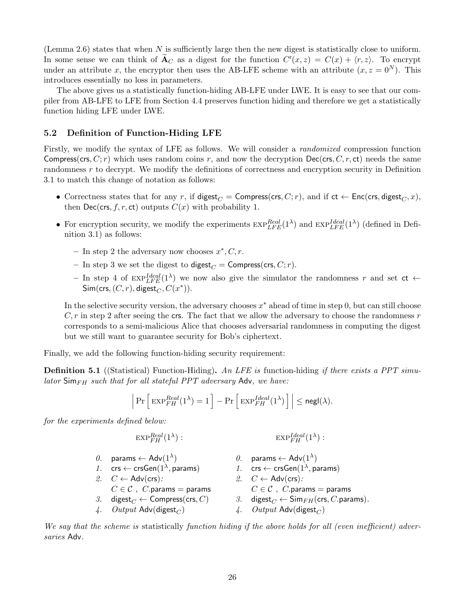(Lemma [2.6\)](#page-11-2) states that when  $N$  is sufficiently large then the new digest is statistically close to uniform. In some sense we can think of  $\widetilde{A}_C$  as a digest for the function  $C'(x, z) = C(x) + \langle r, z \rangle$ . To encrypt under an attribute x, the encryptor then uses the AB-LFE scheme with an attribute  $(x, z = 0<sup>N</sup>)$ . This introduces essentially no loss in parameters.

The above gives us a statistically function-hiding AB-LFE under LWE. It is easy to see that our compiler from AB-LFE to LFE from Section [4.4](#page-21-0) preserves function hiding and therefore we get a statistically function hiding LFE under LWE.

#### <span id="page-25-0"></span>5.2 Definition of Function-Hiding LFE

Firstly, we modify the syntax of LFE as follows. We will consider a randomized compression function Compress(crs,  $C; r$ ) which uses random coins r, and now the decryption Dec(crs,  $C, r$ , ct) needs the same randomness r to decrypt. We modify the definitions of correctness and encryption security in Definition [3.1](#page-11-1) to match this change of notation as follows:

- Correctness states that for any r, if digest<sub>C</sub> = Compress(crs, C; r), and if  $ct \leftarrow Enc(crs, digest_C, x)$ , then Dec(crs, f, r, ct) outputs  $C(x)$  with probability 1.
- For encryption security, we modify the experiments  $\exp_{LFE}^{Real} (1^{\lambda})$  and  $\exp_{LFE}^{Ideal}(1^{\lambda})$  (defined in Definition [3.1\)](#page-11-1) as follows:
	- $-$  In step 2 the adversary now chooses  $x^*, C, r$ .
	- In step 3 we set the digest to digest<sub>C</sub> = Compress(crs, C; r).
	- In step 4 of  $\exp^{Ideal}_{LFE}(1^{\lambda})$  we now also give the simulator the randomness r and set  $ct \leftarrow$  $\mathsf{Sim}(\mathsf{crs},(C,r),\mathsf{digest}_C, C(x^*)).$

In the selective security version, the adversary chooses  $x^*$  ahead of time in step 0, but can still choose  $C, r$  in step 2 after seeing the crs. The fact that we allow the adversary to choose the randomness r corresponds to a semi-malicious Alice that chooses adversarial randomness in computing the digest but we still want to guarantee security for Bob's ciphertext.

Finally, we add the following function-hiding security requirement:

<span id="page-25-1"></span>**Definition 5.1** ((Statistical) Function-Hiding). An LFE is function-hiding if there exists a PPT simulator  $\mathsf{Sim}_{FH}$  such that for all stateful PPT adversary Adv, we have:

$$
\Big|\Pr\Big[\exp_{FH}^{Real}(1^{\lambda}) = 1\Big] - \Pr\Big[\exp_{FH}^{Ideal}(1^{\lambda})\Big]\Big| \leq {\mathsf{negl}}(\lambda).
$$

for the experiments defined below:

 $\exp_{FH}^{Real} (1^{\lambda}$ ) :  $\mathrm{EXP}_{FH}^{Ideal}(1^{\lambda}) :$ 

0. params  $\leftarrow$  Adv $(1^{\lambda})$ ) 0. params ←  $Adv(1^{\lambda})$ 1. crs  $\leftarrow$  crsGen $(1^{\lambda},$  params) , params)  $1.$   $\mathsf{crs} \leftarrow \mathsf{crsGen}(1^\lambda, \mathsf{params})$ 2.  $C \leftarrow \text{Adv}(\text{crs})$ : 2.  $C \leftarrow \text{Adv}(\text{crs})$ :  $C \in \mathcal{C}$ , C.params = params  $C \in \mathcal{C}$ , C.params = params 3. digest $C \leftarrow$  Compress(crs, C) 3. digest $C \leftarrow$  Sim $_{FH}$ (crs, C.params). 4. Output Adv(digest<sub>C</sub>)  $\hspace{1cm}$  4. Output Adv(digest<sub>C</sub>)

We say that the scheme is statistically function hiding if the above holds for all (even inefficient) adversaries Adv.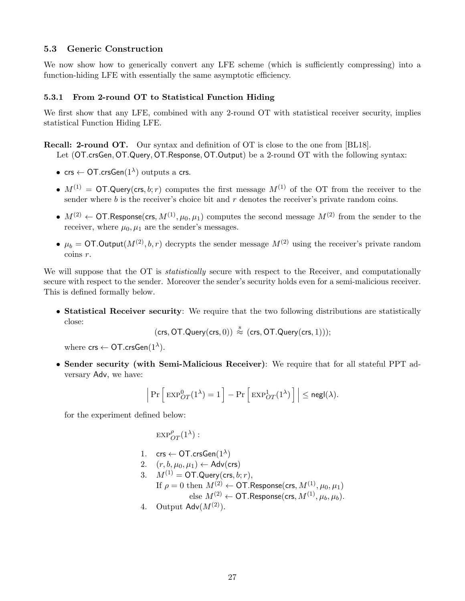### <span id="page-26-0"></span>5.3 Generic Construction

We now show how to generically convert any LFE scheme (which is sufficiently compressing) into a function-hiding LFE with essentially the same asymptotic efficiency.

### <span id="page-26-1"></span>5.3.1 From 2-round OT to Statistical Function Hiding

We first show that any LFE, combined with any 2-round OT with statistical receiver security, implies statistical Function Hiding LFE.

Recall: 2-round OT. Our syntax and definition of OT is close to the one from [\[BL18\]](#page-35-4).

Let (OT.crsGen, OT.Query, OT.Response, OT.Output) be a 2-round OT with the following syntax:

- crs  $\leftarrow$  OT.crsGen $(1^{\lambda})$  outputs a crs.
- $M^{(1)} = \text{OT.Querv(crs, b; r)}$  computes the first message  $M^{(1)}$  of the OT from the receiver to the sender where  $b$  is the receiver's choice bit and  $r$  denotes the receiver's private random coins.
- $M^{(2)} \leftarrow \text{OT}$ . Response(crs,  $M^{(1)}, \mu_0, \mu_1$ ) computes the second message  $M^{(2)}$  from the sender to the receiver, where  $\mu_0$ ,  $\mu_1$  are the sender's messages.
- $\mu_b = \text{OT}.$  Output $(M^{(2)}, b, r)$  decrypts the sender message  $M^{(2)}$  using the receiver's private random coins r.

We will suppose that the OT is *statistically* secure with respect to the Receiver, and computationally secure with respect to the sender. Moreover the sender's security holds even for a semi-malicious receiver. This is defined formally below.

• Statistical Receiver security: We require that the two following distributions are statistically close:

 $(\mathsf{crs}, \mathsf{OT}.\mathsf{Query}(\mathsf{crs}, 0)) \stackrel{\hspace{0.1em}\mathsf{\scriptscriptstyle S}}{\approx} (\mathsf{crs}, \mathsf{OT}.\mathsf{Query}(\mathsf{crs}, 1)));$ 

where  $\mathsf{crs} \leftarrow \mathsf{OT}.\mathsf{crsGen}(1^\lambda).$ 

• Sender security (with Semi-Malicious Receiver): We require that for all stateful PPT adversary Adv, we have:

$$
\left|\Pr\Big[\exp^0_{OT}(1^\lambda)=1\Big]-\Pr\Big[\exp^1_{OT}(1^\lambda)\Big]\Big|\le {\mathsf{negl}}(\lambda).
$$

for the experiment defined below:

 $\mathrm{exp}^\rho_{OT}(1^\lambda)$  :

- 1.  $\mathsf{crs} \leftarrow \mathsf{OT}.\mathsf{crsGen}(1^\lambda)$
- 2.  $(r, b, \mu_0, \mu_1) \leftarrow$  Adv(crs)
- 3.  $M^{(1)} = \text{OT.Query}(\text{crs}, b; r),$ 
	- If  $\rho = 0$  then  $M^{(2)} \leftarrow \text{OT}$ . Response(crs,  $M^{(1)}$ ,  $\mu_0, \mu_1$ ) else  $M^{(2)} \leftarrow \textsf{OT}$ . Response(crs,  $M^{(1)}$ ,  $\mu_b$ ,  $\mu_b$ ).
- 4. Output  $\mathsf{Adv}(M^{(2)})$ .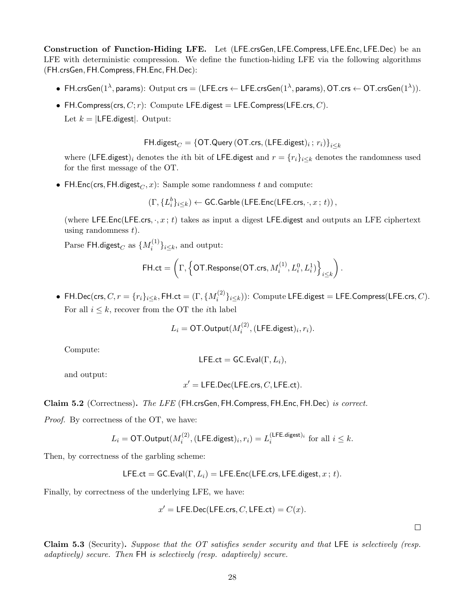Construction of Function-Hiding LFE. Let (LFE.crsGen, LFE.Compress, LFE.Enc, LFE.Dec) be an LFE with deterministic compression. We define the function-hiding LFE via the following algorithms (FH.crsGen, FH.Compress, FH.Enc, FH.Dec):

- $\bullet$  FH.crsGen $(1^{\lambda},$  params):  $\text{Output} \text{ crs} = (\textsf{LFE}.\textsf{crs} \leftarrow \textsf{LFE}.\textsf{crsGen}(1^{\lambda}, \textsf{params}), \textsf{OT}.\textsf{crs} \leftarrow \textsf{OT}.\textsf{crsGen}(1^{\lambda})).$
- FH.Compress(crs,  $C; r$ ): Compute LFE.digest = LFE.Compress(LFE.crs,  $C$ ). Let  $k = |$ **LFE**.digest|. Output:

 $\mathsf{FH.digest}_C = \{\mathsf{OT.Query}\left(\mathsf{OT.crs}, \left(\mathsf{LFE.digest}\right)_i; \, r_i\right)\}_{i\leq k}$ 

where (LFE.digest)<sub>i</sub> denotes the *i*th bit of LFE.digest and  $r = \{r_i\}_{i \leq k}$  denotes the randomness used for the first message of the OT.

• FH.Enc(crs, FH.digest<sub> $C$ </sub>, x): Sample some randomness t and compute:

$$
(\Gamma, \{L_i^b\}_{i\leq k}) \leftarrow \textsf{GC}.\textsf{Garble}\left(\textsf{LFE}.\textsf{Enc}(\textsf{LFE}.\textsf{crs}, \cdot, x\,;\,t)\right),
$$

(where LFE.Enc(LFE.crs,  $\cdot$ ,  $x$ ; t) takes as input a digest LFE.digest and outputs an LFE ciphertext using randomness  $t$ ).

 $\mathrm{Parse\ FH.digest}_C$  as  $\{M_i^{(1)}\}$  $\{e^{(1)}\}_{i\leq k}$ , and output:

$$
\mathsf{FH}.\mathsf{ct} = \left(\Gamma, \left\{\mathsf{OT}.\mathsf{Response}(\mathsf{OT}.\mathsf{crs}, M_i^{(1)}, L_i^0, L_i^1)\right\}_{i \leq k}\right).
$$

 $\bullet \ \ \mathsf{FH}.{\sf Dec}(\mathsf{crs}, C, r=\{r_i\}_{i\leq k},\mathsf{FH}.\mathsf{ct} = (\Gamma, \{M_i^{(2)}\})$  $\mathcal{E}_{i}^{(2)}\}_{i\leq k})$ : Compute LFE.digest = LFE.Compress(LFE.crs, C). For all  $i \leq k$ , recover from the OT the *i*th label

$$
L_i = \text{OT.Output}(M_i^{(2)}, (\text{LFE.digest})_i, r_i).
$$

Compute:

$$
\mathsf{LFE}.\mathsf{ct} = \mathsf{GC}.\mathsf{Eval}(\Gamma, L_i),
$$

and output:

$$
x' = \mathsf{LFE.Dec}(\mathsf{LFE}.\mathsf{crs}, C, \mathsf{LFE}.\mathsf{ct}).
$$

Claim 5.2 (Correctness). The LFE (FH.crsGen, FH.Compress, FH.Enc, FH.Dec) is correct.

Proof. By correctness of the OT, we have:

$$
L_i = \text{OT.Output}(M_i^{(2)}, (\text{LFE.digest})_i, r_i) = L_i^{(\text{LFE.digest})_i} \text{ for all } i \leq k.
$$

Then, by correctness of the garbling scheme:

LFE.ct = GC.Eval
$$
(\Gamma, L_i)
$$
 = LFE.Enc(LFE.crs, LFE.digest,  $x$ ;  $t$ ).

Finally, by correctness of the underlying LFE, we have:

$$
x' = \text{LFE.Dec}(\text{LFE.cs}, C, \text{LFE(ct)} = C(x).
$$

 $\Box$ 

Claim 5.3 (Security). Suppose that the OT satisfies sender security and that LFE is selectively (resp. adaptively) secure. Then FH is selectively (resp. adaptively) secure.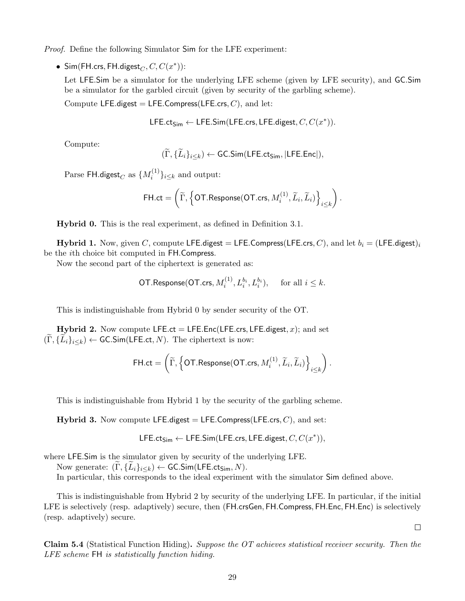Proof. Define the following Simulator Sim for the LFE experiment:

• Sim(FH.crs, FH.digest $_C$ ,  $C$ ,  $C(x^*)$ ):

Let LFE.Sim be a simulator for the underlying LFE scheme (given by LFE security), and GC.Sim be a simulator for the garbled circuit (given by security of the garbling scheme).

Compute LFE.digest = LFE.Compress(LFE.crs,  $C$ ), and let:

LFE.ct<sub>Sim</sub> ← LFE.Sim(LFE.crs, LFE.digest,  $C, C(x^*)$ ).

Compute:

$$
(\widetilde{\Gamma}, \{\widetilde{L}_i\}_{i \leq k}) \leftarrow \mathsf{GC}.\mathsf{Sim}(\mathsf{LFE}.\mathsf{ct}_{\mathsf{Sim}},|\mathsf{LFE}.\mathsf{Enc}|),
$$

 $\mathrm{Parse\ }$  FH.digest $_C$  as  $\{M_i^{(1)}$  $\{e^{(1)}\}_{i\leq k}$  and output:

$$
\mathsf{FH}.\mathsf{ct} = \left(\widetilde{\Gamma}, \left\{\mathsf{OT}. \mathsf{Response}(\mathsf{OT}.\mathsf{crs}, M_i^{(1)}, \widetilde{L}_i, \widetilde{L}_i)\right\}_{i \leq k}\right).
$$

Hybrid 0. This is the real experiment, as defined in Definition [3.1.](#page-11-1)

**Hybrid 1.** Now, given C, compute LFE.digest = LFE.Compress(LFE.crs, C), and let  $b_i = (LFE.digest)_i$ be the ith choice bit computed in FH.Compress.

Now the second part of the ciphertext is generated as:

$$
\textsf{OT}.\mathsf{Response}(\textsf{OT}.\mathsf{crs}, M_i^{(1)}, L_i^{b_i}, L_i^{b_i}), \quad \text{ for all } i \leq k.
$$

This is indistinguishable from Hybrid 0 by sender security of the OT.

**Hybrid 2.** Now compute LFE.ct = LFE.Enc(LFE.crs, LFE.digest, x); and set  $(\Gamma, \{L_i\}_{i\leq k}) \leftarrow$  GC.Sim(LFE.ct, N). The ciphertext is now:

$$
\mathsf{FH}.\mathsf{ct} = \left(\widetilde{\Gamma}, \left\{\mathsf{OT}. \mathsf{Response}(\mathsf{OT}.\mathsf{crs}, M_i^{(1)}, \widetilde{L}_i, \widetilde{L}_i)\right\}_{i \leq k}\right).
$$

This is indistinguishable from Hybrid 1 by the security of the garbling scheme.

**Hybrid 3.** Now compute LFE.digest = LFE.Compress(LFE.crs,  $C$ ), and set:

LFE.ct<sub>Sim</sub> ← LFE.Sim(LFE.crs, LFE.digest,  $C, C(x^*)$ ),

where LFE.Sim is the simulator given by security of the underlying LFE.

Now generate:  $(\Gamma, \{L_i\}_{i\leq k}) \leftarrow$  GC.Sim(LFE.ct<sub>Sim</sub>, N).

In particular, this corresponds to the ideal experiment with the simulator Sim defined above.

This is indistinguishable from Hybrid 2 by security of the underlying LFE. In particular, if the initial LFE is selectively (resp. adaptively) secure, then (FH.crsGen, FH.Compress, FH.Enc, FH.Enc) is selectively (resp. adaptively) secure.

 $\Box$ 

Claim 5.4 (Statistical Function Hiding). Suppose the OT achieves statistical receiver security. Then the LFE scheme FH is statistically function hiding.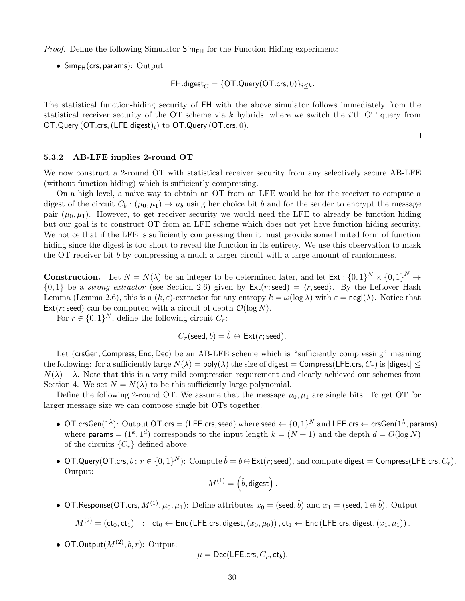*Proof.* Define the following Simulator  $\mathsf{Sim}_{\mathsf{FH}}$  for the Function Hiding experiment:

•  $Simpl(crs, params)$ : Output

$$
\mathsf{FH}. \mathsf{digest}_C = \{\mathsf{OT}. \mathsf{Query}(\mathsf{OT}.\mathsf{crs},0)\}_{i \leq k}.
$$

The statistical function-hiding security of FH with the above simulator follows immediately from the statistical receiver security of the OT scheme via k hybrids, where we switch the  $i$ 'th OT query from OT.Query (OT.crs,  $(LFE.digest)_i)$  to OT.Query (OT.crs, 0).

 $\Box$ 

#### <span id="page-29-0"></span>5.3.2 AB-LFE implies 2-round OT

We now construct a 2-round OT with statistical receiver security from any selectively secure AB-LFE (without function hiding) which is sufficiently compressing.

On a high level, a naive way to obtain an OT from an LFE would be for the receiver to compute a digest of the circuit  $C_b : (\mu_0, \mu_1) \mapsto \mu_b$  using her choice bit b and for the sender to encrypt the message pair  $(\mu_0, \mu_1)$ . However, to get receiver security we would need the LFE to already be function hiding but our goal is to construct OT from an LFE scheme which does not yet have function hiding security. We notice that if the LFE is sufficiently compressing then it must provide some limited form of function hiding since the digest is too short to reveal the function in its entirety. We use this observation to mask the OT receiver bit b by compressing a much a larger circuit with a large amount of randomness.

**Construction.** Let  $N = N(\lambda)$  be an integer to be determined later, and let  $Ext : \{0,1\}^N \times \{0,1\}^N \to$  $\{0,1\}$  be a strong extractor (see Section [2.6\)](#page-10-1) given by  $\textsf{Ext}(r;\textsf{seed}) = \langle r,\textsf{seed}\rangle$ . By the Leftover Hash Lemma (Lemma [2.6\)](#page-11-2), this is a  $(k, \varepsilon)$ -extractor for any entropy  $k = \omega(\log \lambda)$  with  $\varepsilon = \text{negl}(\lambda)$ . Notice that Ext(r; seed) can be computed with a circuit of depth  $\mathcal{O}(\log N)$ .

For  $r \in \{0,1\}^N$ , define the following circuit  $C_r$ :

$$
C_r(\text{seed}, \hat{b}) = \hat{b} \, \oplus \, \text{Ext}(r; \text{seed}).
$$

Let (crsGen, Compress, Enc, Dec) be an AB-LFE scheme which is "sufficiently compressing" meaning the following: for a sufficiently large  $N(\lambda) = \text{poly}(\lambda)$  the size of digest = Compress(LFE.crs,  $C_r$ ) is  $|\text{digest}| \leq$  $N(\lambda) - \lambda$ . Note that this is a very mild compression requirement and clearly achieved our schemes from Section [4.](#page-12-0) We set  $N = N(\lambda)$  to be this sufficiently large polynomial.

Define the following 2-round OT. We assume that the message  $\mu_0, \mu_1$  are single bits. To get OT for larger message size we can compose single bit OTs together.

- $\bullet$  OT.crsGen $(1^{\lambda})$ : Output OT.crs = (LFE.crs, seed) where seed  $\leftarrow \{0,1\}^{N}$  and LFE.crs  $\leftarrow$  crsGen $(1^{\lambda},$  params) where params =  $(1^k, 1^d)$  corresponds to the input length  $k = (N + 1)$  and the depth  $d = O(\log N)$ of the circuits  $\{C_r\}$  defined above.
- OT.Query(OT.crs,  $b$ ;  $r \in \{0,1\}^N$ ): Compute  $\hat{b} = b \oplus \textsf{Ext}(r; \textsf{seed})$ , and compute digest  $=$  Compress(LFE.crs,  $C_r$ ). Output:

$$
M^{(1)}=\left(\hat{b},\mathsf{digest}\right).
$$

• OT.Response(OT.crs,  $M^{(1)}, \mu_0, \mu_1$ ): Define attributes  $x_0=$  (seed,  $\hat{b})$  and  $x_1=$  (seed,  $1 \oplus \hat{b}$ ). Output

 $M^{(2)} = (\text{ct}_0, \text{ct}_1)$  :  $\text{ct}_0 \leftarrow \text{Enc}(\text{LFE}.\text{crs}, \text{digest},(x_0, \mu_0))$ ,  $\text{ct}_1 \leftarrow \text{Enc}(\text{LFE}.\text{crs}, \text{digest},(x_1, \mu_1))$ .

• OT.Output $(M^{(2)}, b, r)$ : Output:

$$
\mu = \mathsf{Dec}(\mathsf{LFE}.\mathsf{crs}, C_r, \mathsf{ct}_b).
$$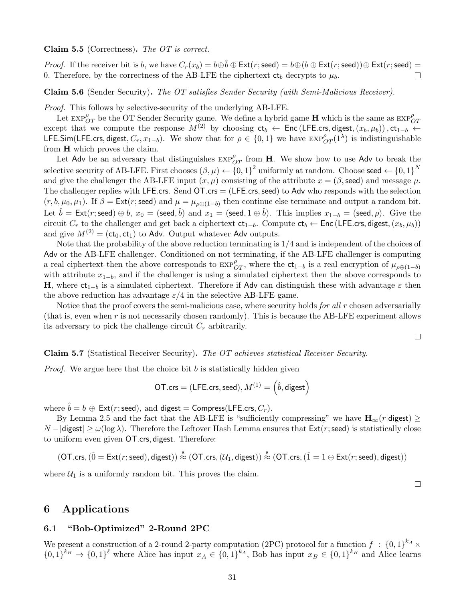#### Claim 5.5 (Correctness). The OT is correct.

*Proof.* If the receiver bit is b, we have  $C_r(x_b) = b \oplus \hat{b} \oplus \text{Ext}(r; \text{seed}) = b \oplus (b \oplus \text{Ext}(r; \text{seed})) \oplus \text{Ext}(r; \text{seed}) =$ 0. Therefore, by the correctness of the AB-LFE the ciphertext  $ct_b$  decrypts to  $\mu_b$ .  $\Box$ 

Claim 5.6 (Sender Security). The OT satisfies Sender Security (with Semi-Malicious Receiver).

Proof. This follows by selective-security of the underlying AB-LFE.

Let  $\exp_{OT}^{\rho}$  be the OT Sender Security game. We define a hybrid game H which is the same as  $\exp_{OT}^{\rho}$ except that we compute the response  $M^{(2)}$  by choosing  $ct_b \leftarrow$  Enc (LFE.crs, digest,  $(x_b, \mu_b)$ ),  $ct_{1-b} \leftarrow$ LFE.Sim(LFE.crs, digest,  $C_r$ ,  $x_{1-b}$ ). We show that for  $\rho \in \{0,1\}$  we have  $\exp^{\rho}_{OT}(1^{\lambda})$  is indistinguishable from H which proves the claim.

Let Adv be an adversary that distinguishes  $\exp_{OT}^{\rho}$  from H. We show how to use Adv to break the selective security of AB-LFE. First chooses  $(\beta, \mu) \leftarrow \{0, 1\}^2$  uniformly at random. Choose seed  $\leftarrow \{0, 1\}^N$ and give the challenger the AB-LFE input  $(x, \mu)$  consisting of the attribute  $x = (\beta, \text{seed})$  and message  $\mu$ . The challenger replies with LFE.crs. Send  $\overline{OT}$ .crs = (LFE.crs, seed) to Adv who responds with the selection  $(r, b, \mu_0, \mu_1)$ . If  $\beta = \text{Ext}(r; \text{seed})$  and  $\mu = \mu_{\rho \oplus (1-b)}$  then continue else terminate and output a random bit. Let  $\hat{b} = \mathsf{Ext}(r;\mathsf{seed}) \oplus b, \ x_0 = (\mathsf{seed}, \hat{b}) \ \text{and} \ x_1 = (\mathsf{seed}, 1 \oplus \hat{b}).$  This implies  $x_{1-b} = (\mathsf{seed}, \rho).$  Give the circuit  $C_r$  to the challenger and get back a ciphertext  $ct_{1-b}$ . Compute  $ct_b \leftarrow$  Enc (LFE.crs, digest,  $(x_b, \mu_b)$ ) and give  $M^{(2)} = (ct_0, ct_1)$  to Adv. Output whatever Adv outputs.

Note that the probability of the above reduction terminating is 1/4 and is independent of the choices of Adv or the AB-LFE challenger. Conditioned on not terminating, if the AB-LFE challenger is computing a real ciphertext then the above corresponds to  $\exp_{OT}^{\rho}$ , where the  $ct_{1-b}$  is a real encryption of  $\mu_{\rho\oplus(1-b)}$ with attribute  $x_{1-b}$ , and if the challenger is using a simulated ciphertext then the above corresponds to H, where  $ct_{1-b}$  is a simulated ciphertext. Therefore if Adv can distinguish these with advantage  $\varepsilon$  then the above reduction has advantage  $\varepsilon/4$  in the selective AB-LFE game.

Notice that the proof covers the semi-malicious case, where security holds for all  $r$  chosen adversarially (that is, even when r is not necessarily chosen randomly). This is because the AB-LFE experiment allows its adversary to pick the challenge circuit  $C_r$  arbitrarily.

Claim 5.7 (Statistical Receiver Security). The OT achieves statistical Receiver Security.

*Proof.* We argue here that the choice bit  $b$  is statistically hidden given

$$
\mathsf{OT}.\mathsf{crs} = (\mathsf{LFE}.\mathsf{crs}, \mathsf{seed}), M^{(1)} = \left(\hat{b}, \mathsf{digest}\right)
$$

where  $\hat{b} = b \oplus \text{Ext}(r; \text{seed})$ , and digest = Compress(LFE.crs,  $C_r$ ).

By Lemma [2.5](#page-10-2) and the fact that the AB-LFE is "sufficiently compressing" we have  $\mathbf{H}_{\infty}(r|\text{digest}) \geq$  $N-|\text{digest}| \geq \omega(\log \lambda)$ . Therefore the Leftover Hash Lemma ensures that  $\text{Ext}(r;\text{seed})$  is statistically close to uniform even given OT.crs, digest. Therefore:

$$
(\mathsf{OT}.\mathsf{crs},(\hat{0} = \mathsf{Ext}(r;\mathsf{seed}),\mathsf{digest})) \stackrel{\hspace{0.1em}\mathsf{\scriptscriptstyle{S}}}{\approx} (\mathsf{OT}.\mathsf{crs},(\mathcal{U}_1,\mathsf{digest})) \stackrel{\hspace{0.1em}\mathsf{\scriptscriptstyle{S}}}{\approx} (\mathsf{OT}.\mathsf{crs},(\hat{1} = 1 \oplus \mathsf{Ext}(r;\mathsf{seed}),\mathsf{digest}))
$$

where  $U_1$  is a uniformly random bit. This proves the claim.

## 6 Applications

#### 6.1 "Bob-Optimized" 2-Round 2PC

We present a construction of a 2-round 2-party computation (2PC) protocol for a function  $f : \{0,1\}^{k_A} \times$  ${0,1}^{k_B} \rightarrow {0,1}^{\ell}$  where Alice has input  $x_A \in {0,1}^{k_A}$ , Bob has input  $x_B \in {0,1}^{k_B}$  and Alice learns

 $\Box$ 

 $\Box$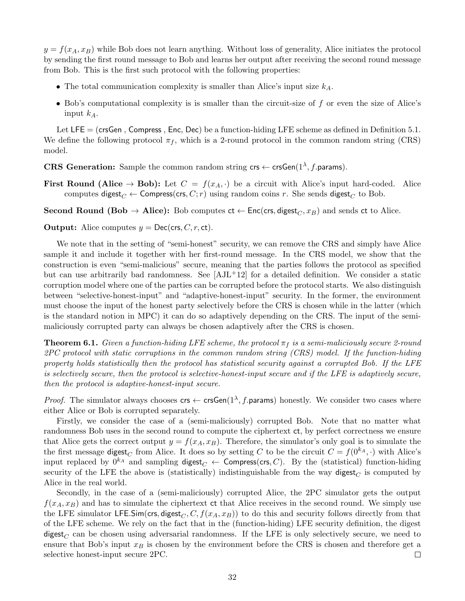$y = f(x_A, x_B)$  while Bob does not learn anything. Without loss of generality, Alice initiates the protocol by sending the first round message to Bob and learns her output after receiving the second round message from Bob. This is the first such protocol with the following properties:

- The total communication complexity is smaller than Alice's input size  $k_A$ .
- Bob's computational complexity is is smaller than the circuit-size of  $f$  or even the size of Alice's input  $k_A$ .

Let LFE = (crsGen, Compress, Enc, Dec) be a function-hiding LFE scheme as defined in Definition [5.1.](#page-25-1) We define the following protocol  $\pi_f$ , which is a 2-round protocol in the common random string (CRS) model.

**CRS Generation:** Sample the common random string  $\mathsf{crs} \leftarrow \mathsf{crsGen}(1^\lambda, f.\mathsf{params}).$ 

First Round (Alice  $\rightarrow$  Bob): Let  $C = f(x_A, \cdot)$  be a circuit with Alice's input hard-coded. Alice computes digest<sub>C</sub> ← Compress(crs, C; r) using random coins r. She sends digest<sub>C</sub> to Bob.

Second Round (Bob  $\rightarrow$  Alice): Bob computes  $ct \leftarrow Enc(crs, digest_C, x_B)$  and sends ct to Alice.

**Output:** Alice computes  $y = \text{Dec}(\text{crs}, C, r, \text{ct})$ .

We note that in the setting of "semi-honest" security, we can remove the CRS and simply have Alice sample it and include it together with her first-round message. In the CRS model, we show that the construction is even "semi-malicious" secure, meaning that the parties follows the protocol as specified but can use arbitrarily bad randomness. See  $[AJL+12]$  for a detailed definition. We consider a static corruption model where one of the parties can be corrupted before the protocol starts. We also distinguish between "selective-honest-input" and "adaptive-honest-input" security. In the former, the environment must choose the input of the honest party selectively before the CRS is chosen while in the latter (which is the standard notion in MPC) it can do so adaptively depending on the CRS. The input of the semimaliciously corrupted party can always be chosen adaptively after the CRS is chosen.

**Theorem 6.1.** Given a function-hiding LFE scheme, the protocol  $\pi_f$  is a semi-maliciously secure 2-round 2PC protocol with static corruptions in the common random string (CRS) model. If the function-hiding property holds statistically then the protocol has statistical security against a corrupted Bob. If the LFE is selectively secure, then the protocol is selective-honest-input secure and if the LFE is adaptively secure, then the protocol is adaptive-honest-input secure.

*Proof.* The simulator always chooses  $\mathsf{crs} \leftarrow \mathsf{crsGen}(1^\lambda, f.\mathsf{params})$  honestly. We consider two cases where either Alice or Bob is corrupted separately.

Firstly, we consider the case of a (semi-maliciously) corrupted Bob. Note that no matter what randomness Bob uses in the second round to compute the ciphertext ct, by perfect correctness we ensure that Alice gets the correct output  $y = f(x_A, x_B)$ . Therefore, the simulator's only goal is to simulate the the first message digest<sub>C</sub> from Alice. It does so by setting C to be the circuit  $C = f(0^{k_A}, \cdot)$  with Alice's input replaced by  $0^{k_A}$  and sampling digest $C \leftarrow$  Compress(crs, C). By the (statistical) function-hiding security of the LFE the above is (statistically) indistinguishable from the way digest<sub>C</sub> is computed by Alice in the real world.

Secondly, in the case of a (semi-maliciously) corrupted Alice, the 2PC simulator gets the output  $f(x_A, x_B)$  and has to simulate the ciphertext ct that Alice receives in the second round. We simply use the LFE simulator LFE.Sim(crs, digest<sub>C</sub>, C,  $f(x_A, x_B)$ ) to do this and security follows directly from that of the LFE scheme. We rely on the fact that in the (function-hiding) LFE security definition, the digest digest<sub>C</sub> can be chosen using adversarial randomness. If the LFE is only selectively secure, we need to ensure that Bob's input  $x_B$  is chosen by the environment before the CRS is chosen and therefore get a selective honest-input secure 2PC.  $\Box$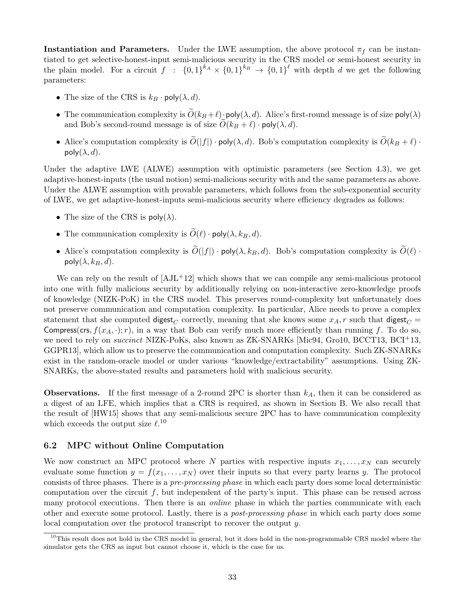**Instantiation and Parameters.** Under the LWE assumption, the above protocol  $\pi_f$  can be instantiated to get selective-honest-input semi-malicious security in the CRS model or semi-honest security in the plain model. For a circuit  $f : \{0,1\}^{k_A} \times \{0,1\}^{k_B} \to \{0,1\}^{\ell}$  with depth d we get the following parameters:

- The size of the CRS is  $k_B \cdot \text{poly}(\lambda, d)$ .
- The communication complexity is  $\widetilde{O}(k_B + \ell) \cdot \text{poly}(\lambda, d)$ . Alice's first-round message is of size  $\text{poly}(\lambda)$ and Bob's second-round message is of size  $O(k_B + \ell) \cdot \text{poly}(\lambda, d)$ .
- Alice's computation complexity is  $\widetilde{O}(|f|)$  · poly( $\lambda, d$ ). Bob's computation complexity is  $\widetilde{O}(k_B + \ell)$  · poly $(\lambda, d)$ .

Under the adaptive LWE (ALWE) assumption with optimistic parameters (see Section [4.3\)](#page-19-0), we get adaptive-honest-inputs (the usual notion) semi-malicious security with and the same parameters as above. Under the ALWE assumption with provable parameters, which follows from the sub-exponential security of LWE, we get adaptive-honest-inputs semi-malicious security where efficiency degrades as follows:

- The size of the CRS is  $poly(\lambda)$ .
- The communication complexity is  $\widetilde{O}(\ell)$  · poly( $\lambda$ ,  $k_B$ , d).
- Alice's computation complexity is  $\widetilde{O}(|f|) \cdot \text{poly}(\lambda, k_B, d)$ . Bob's computation complexity is  $\widetilde{O}(\ell)$ .  $poly(\lambda, k_B, d)$ .

We can rely on the result of  $[AJ<sup>L</sup>+12]$  which shows that we can compile any semi-malicious protocol into one with fully malicious security by additionally relying on non-interactive zero-knowledge proofs of knowledge (NIZK-PoK) in the CRS model. This preserves round-complexity but unfortunately does not preserve communication and computation complexity. In particular, Alice needs to prove a complex statement that she computed digest<sub>C</sub> correctly, meaning that she knows some  $x_A$ , r such that digest<sub>C</sub> = Compress(crs,  $f(x_A, \cdot); r$ ), in a way that Bob can verify much more efficiently than running f. To do so, we need to rely on *succinct* NIZK-PoKs, also known as ZK-SNARKs [\[Mic94,](#page-37-6) [Gro10,](#page-37-7) [BCCT13,](#page-35-2) [BCI](#page-35-3)<sup>+</sup>13, [GGPR13\]](#page-36-9), which allow us to preserve the communication and computation complexity. Such ZK-SNARKs exist in the random-oracle model or under various "knowledge/extractability" assumptions. Using ZK-SNARKs, the above-stated results and parameters hold with malicious security.

**Observations.** If the first message of a 2-round 2PC is shorter than  $k_A$ , then it can be considered as a digest of an LFE, which implies that a CRS is required, as shown in Section [B.](#page-40-0) We also recall that the result of [\[HW15\]](#page-37-5) shows that any semi-malicious secure 2PC has to have communication complexity which exceeds the output size  $\ell$ .<sup>[10](#page-32-0)</sup>

### 6.2 MPC without Online Computation

We now construct an MPC protocol where N parties with respective inputs  $x_1, \ldots, x_N$  can securely evaluate some function  $y = f(x_1, \ldots, x_N)$  over their inputs so that every party learns y. The protocol consists of three phases. There is a pre-processing phase in which each party does some local deterministic computation over the circuit  $f$ , but independent of the party's input. This phase can be reused across many protocol executions. Then there is an *online* phase in which the parties communicate with each other and execute some protocol. Lastly, there is a post-processing phase in which each party does some local computation over the protocol transcript to recover the output y.

<span id="page-32-0"></span> $10$ This result does not hold in the CRS model in general, but it does hold in the non-programmable CRS model where the simulator gets the CRS as input but cannot choose it, which is the case for us.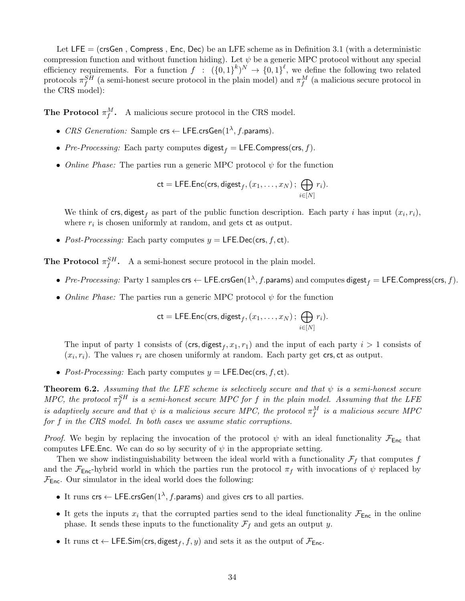Let  $LE = (crsGen, Compress, Enc, Dec)$  be an LFE scheme as in Definition [3.1](#page-11-1) (with a deterministic compression function and without function hiding). Let  $\psi$  be a generic MPC protocol without any special efficiency requirements. For a function  $f : (\{0,1\}^k)^N \to \{0,1\}^{\ell}$ , we define the following two related protocols  $\pi_f^{SH}$  (a semi-honest secure protocol in the plain model) and  $\pi_f^M$  (a malicious secure protocol in the CRS model):

**The Protocol**  $\pi_f^M$ . A malicious secure protocol in the CRS model.

- CRS Generation: Sample  $\mathsf{crs} \leftarrow \mathsf{LFE}.\mathsf{crsGen}(1^\lambda, f.\mathsf{params}).$
- Pre-Processing: Each party computes digest  $f = \text{LFE}$ . Compress(crs, f).
- Online Phase: The parties run a generic MPC protocol  $\psi$  for the function

$$
\mathsf{ct} = \mathsf{LFE}.\mathsf{Enc}(\mathsf{crs}, \mathsf{digest}_f, (x_1, \ldots, x_N) \, ; \, \bigoplus_{i \in [N]} r_i).
$$

We think of crs, digest<sub>f</sub> as part of the public function description. Each party i has input  $(x_i, r_i)$ , where  $r_i$  is chosen uniformly at random, and gets  $ct$  as output.

• Post-Processing: Each party computes  $y = \mathsf{LFE}.\mathsf{Dec}(\mathsf{crs}, f, \mathsf{ct}).$ 

**The Protocol**  $\pi_f^{SH}$ . A a semi-honest secure protocol in the plain model.

- Pre-Processing: Party 1 samples  $\mathsf{crs} \leftarrow \mathsf{LFE}.\mathsf{crsGen}(1^\lambda,f.\mathsf{params})$  and computes  $\mathsf{digest}_f = \mathsf{LFE}.\mathsf{Compress}(\mathsf{crs},f).$
- Online Phase: The parties run a generic MPC protocol  $\psi$  for the function

$$
\mathsf{ct} = \mathsf{LFE}.\mathsf{Enc}(\mathsf{crs}, \mathsf{digest}_f, (x_1, \ldots, x_N) \, ; \, \bigoplus_{i \in [N]} r_i).
$$

The input of party 1 consists of  $(crs, digest_f, x_1, r_1)$  and the input of each party  $i > 1$  consists of  $(x_i, r_i)$ . The values  $r_i$  are chosen uniformly at random. Each party get crs, ct as output.

• Post-Processing: Each party computes  $y = \mathsf{LFE}$ . Dec(crs, f, ct).

**Theorem 6.2.** Assuming that the LFE scheme is selectively secure and that  $\psi$  is a semi-honest secure MPC, the protocol  $\pi_f^{SH}$  is a semi-honest secure MPC for f in the plain model. Assuming that the LFE is adaptively secure and that  $\psi$  is a malicious secure MPC, the protocol  $\pi^M_f$  is a malicious secure MPC for f in the CRS model. In both cases we assume static corruptions.

*Proof.* We begin by replacing the invocation of the protocol  $\psi$  with an ideal functionality  $\mathcal{F}_{\text{Enc}}$  that computes LFE.Enc. We can do so by security of  $\psi$  in the appropriate setting.

Then we show indistinguishability between the ideal world with a functionality  $\mathcal{F}_f$  that computes f and the  $\mathcal{F}_{\text{Enc}}$ -hybrid world in which the parties run the protocol  $\pi_f$  with invocations of  $\psi$  replaced by  $\mathcal{F}_{\mathsf{Enc}}.$  Our simulator in the ideal world does the following:

- It runs crs  $\leftarrow$  LFE.crsGen( $1^{\lambda}$ , f.params) and gives crs to all parties.
- It gets the inputs  $x_i$  that the corrupted parties send to the ideal functionality  $\mathcal{F}_{Enc}$  in the online phase. It sends these inputs to the functionality  $\mathcal{F}_f$  and gets an output y.
- It runs  $ct \leftarrow$  LFE.Sim(crs, digest $_f$ ,  $f$ ,  $y$ ) and sets it as the output of  $\mathcal{F}_{\mathsf{Enc}}$ .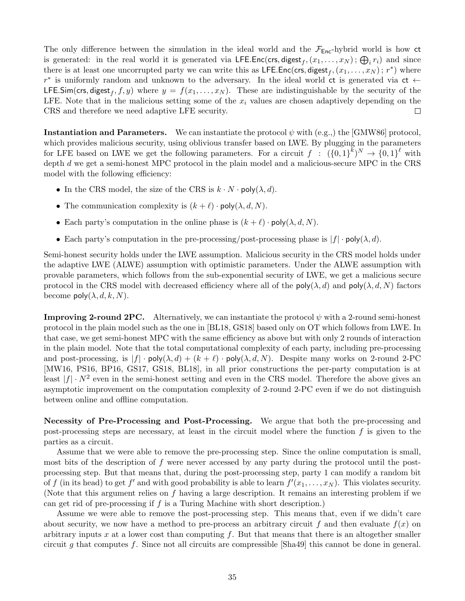The only difference between the simulation in the ideal world and the  $\mathcal{F}_{Enc}$ -hybrid world is how ct is generated: in the real world it is generated via LFE.Enc(crs, digest<sub>f</sub>,  $(x_1, \ldots, x_N)$ ;  $\bigoplus_i r_i$ ) and since there is at least one uncorrupted party we can write this as LFE.Enc(crs, digest<sub>f</sub>,  $(x_1, \ldots, x_N)$ ;  $r^*$ ) where  $r^*$  is uniformly random and unknown to the adversary. In the ideal world ct is generated via ct  $\leftarrow$ **LFE.Sim(crs, digest**<sub>f</sub>, f, y) where  $y = f(x_1, ..., x_N)$ . These are indistinguishable by the security of the LFE. Note that in the malicious setting some of the  $x_i$  values are chosen adaptively depending on the CRS and therefore we need adaptive LFE security.  $\Box$ 

**Instantiation and Parameters.** We can instantiate the protocol  $\psi$  with (e.g.,) the [\[GMW86\]](#page-37-11) protocol, which provides malicious security, using oblivious transfer based on LWE. By plugging in the parameters for LFE based on LWE we get the following parameters. For a circuit  $f : (\{0,1\}^k)^N \to \{0,1\}^{\ell}$  with depth d we get a semi-honest MPC protocol in the plain model and a malicious-secure MPC in the CRS model with the following efficiency:

- In the CRS model, the size of the CRS is  $k \cdot N \cdot \text{poly}(\lambda, d)$ .
- The communication complexity is  $(k + \ell) \cdot \text{poly}(\lambda, d, N)$ .
- Each party's computation in the online phase is  $(k + \ell) \cdot \text{poly}(\lambda, d, N)$ .
- Each party's computation in the pre-processing/post-processing phase is  $|f| \cdot \text{poly}(\lambda, d)$ .

Semi-honest security holds under the LWE assumption. Malicious security in the CRS model holds under the adaptive LWE (ALWE) assumption with optimistic parameters. Under the ALWE assumption with provable parameters, which follows from the sub-exponential security of LWE, we get a malicious secure protocol in the CRS model with decreased efficiency where all of the  $poly(\lambda, d)$  and  $poly(\lambda, d, N)$  factors become  $\text{poly}(\lambda, d, k, N)$ .

**Improving 2-round 2PC.** Alternatively, we can instantiate the protocol  $\psi$  with a 2-round semi-honest protocol in the plain model such as the one in [\[BL18,](#page-35-4) [GS18\]](#page-37-9) based only on OT which follows from LWE. In that case, we get semi-honest MPC with the same efficiency as above but with only 2 rounds of interaction in the plain model. Note that the total computational complexity of each party, including pre-processing and post-processing, is  $|f| \cdot \text{poly}(\lambda, d) + (k + \ell) \cdot \text{poly}(\lambda, d, N)$ . Despite many works on 2-round 2-PC [\[MW16,](#page-38-2) [PS16,](#page-38-3) [BP16,](#page-36-10) [GS17,](#page-37-8) [GS18,](#page-37-9) [BL18\]](#page-35-4), in all prior constructions the per-party computation is at least  $|f| \cdot N^2$  even in the semi-honest setting and even in the CRS model. Therefore the above gives an asymptotic improvement on the computation complexity of 2-round 2-PC even if we do not distinguish between online and offline computation.

Necessity of Pre-Processing and Post-Processing. We argue that both the pre-processing and post-processing steps are necessary, at least in the circuit model where the function  $f$  is given to the parties as a circuit.

Assume that we were able to remove the pre-processing step. Since the online computation is small, most bits of the description of  $f$  were never accessed by any party during the protocol until the postprocessing step. But that means that, during the post-processing step, party 1 can modify a random bit of f (in its head) to get f' and with good probability is able to learn  $f'(x_1, \ldots, x_N)$ . This violates security. (Note that this argument relies on f having a large description. It remains an interesting problem if we can get rid of pre-processing if f is a Turing Machine with short description.)

Assume we were able to remove the post-processing step. This means that, even if we didn't care about security, we now have a method to pre-process an arbitrary circuit f and then evaluate  $f(x)$  on arbitrary inputs x at a lower cost than computing  $f$ . But that means that there is an altogether smaller circuit g that computes f. Since not all circuits are compressible  $[\text{Sha49}]$  this cannot be done in general.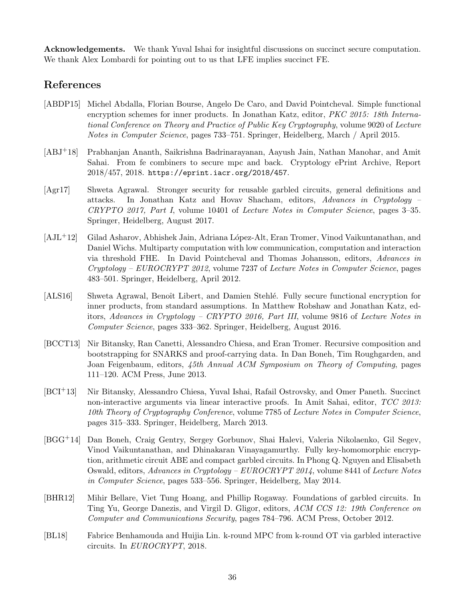Acknowledgements. We thank Yuval Ishai for insightful discussions on succinct secure computation. We thank Alex Lombardi for pointing out to us that LFE implies succinct FE.

# References

- <span id="page-35-8"></span>[ABDP15] Michel Abdalla, Florian Bourse, Angelo De Caro, and David Pointcheval. Simple functional encryption schemes for inner products. In Jonathan Katz, editor, *PKC 2015: 18th Interna*tional Conference on Theory and Practice of Public Key Cryptography, volume 9020 of Lecture Notes in Computer Science, pages 733–751. Springer, Heidelberg, March / April 2015.
- <span id="page-35-5"></span>[ABJ+18] Prabhanjan Ananth, Saikrishna Badrinarayanan, Aayush Jain, Nathan Manohar, and Amit Sahai. From fe combiners to secure mpc and back. Cryptology ePrint Archive, Report 2018/457, 2018. <https://eprint.iacr.org/2018/457>.
- <span id="page-35-1"></span>[Agr17] Shweta Agrawal. Stronger security for reusable garbled circuits, general definitions and attacks. In Jonathan Katz and Hovav Shacham, editors, Advances in Cryptology – CRYPTO 2017, Part I, volume 10401 of Lecture Notes in Computer Science, pages 3–35. Springer, Heidelberg, August 2017.
- <span id="page-35-6"></span>[AJL<sup>+</sup>12] Gilad Asharov, Abhishek Jain, Adriana López-Alt, Eran Tromer, Vinod Vaikuntanathan, and Daniel Wichs. Multiparty computation with low communication, computation and interaction via threshold FHE. In David Pointcheval and Thomas Johansson, editors, Advances in  $Cryptology - EUROCRYPT 2012$ , volume 7237 of Lecture Notes in Computer Science, pages 483–501. Springer, Heidelberg, April 2012.
- <span id="page-35-9"></span>[ALS16] Shweta Agrawal, Benoît Libert, and Damien Stehlé. Fully secure functional encryption for inner products, from standard assumptions. In Matthew Robshaw and Jonathan Katz, editors, Advances in Cryptology – CRYPTO 2016, Part III, volume 9816 of Lecture Notes in Computer Science, pages 333–362. Springer, Heidelberg, August 2016.
- <span id="page-35-2"></span>[BCCT13] Nir Bitansky, Ran Canetti, Alessandro Chiesa, and Eran Tromer. Recursive composition and bootstrapping for SNARKS and proof-carrying data. In Dan Boneh, Tim Roughgarden, and Joan Feigenbaum, editors, 45th Annual ACM Symposium on Theory of Computing, pages 111–120. ACM Press, June 2013.
- <span id="page-35-3"></span>[BCI+13] Nir Bitansky, Alessandro Chiesa, Yuval Ishai, Rafail Ostrovsky, and Omer Paneth. Succinct non-interactive arguments via linear interactive proofs. In Amit Sahai, editor, TCC 2013: 10th Theory of Cryptography Conference, volume 7785 of Lecture Notes in Computer Science, pages 315–333. Springer, Heidelberg, March 2013.
- <span id="page-35-0"></span>[BGG+14] Dan Boneh, Craig Gentry, Sergey Gorbunov, Shai Halevi, Valeria Nikolaenko, Gil Segev, Vinod Vaikuntanathan, and Dhinakaran Vinayagamurthy. Fully key-homomorphic encryption, arithmetic circuit ABE and compact garbled circuits. In Phong Q. Nguyen and Elisabeth Oswald, editors, Advances in Cryptology – EUROCRYPT 2014, volume 8441 of Lecture Notes in Computer Science, pages 533–556. Springer, Heidelberg, May 2014.
- <span id="page-35-7"></span>[BHR12] Mihir Bellare, Viet Tung Hoang, and Phillip Rogaway. Foundations of garbled circuits. In Ting Yu, George Danezis, and Virgil D. Gligor, editors, ACM CCS 12: 19th Conference on Computer and Communications Security, pages 784–796. ACM Press, October 2012.
- <span id="page-35-4"></span>[BL18] Fabrice Benhamouda and Huijia Lin. k-round MPC from k-round OT via garbled interactive circuits. In EUROCRYPT, 2018.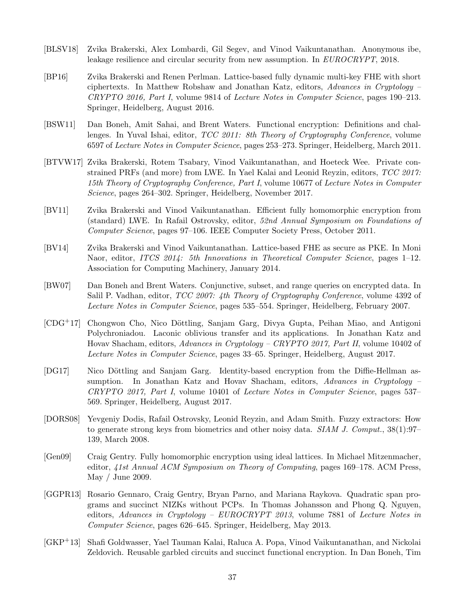- <span id="page-36-2"></span>[BLSV18] Zvika Brakerski, Alex Lombardi, Gil Segev, and Vinod Vaikuntanathan. Anonymous ibe, leakage resilience and circular security from new assumption. In EUROCRYPT, 2018.
- <span id="page-36-10"></span>[BP16] Zvika Brakerski and Renen Perlman. Lattice-based fully dynamic multi-key FHE with short ciphertexts. In Matthew Robshaw and Jonathan Katz, editors, Advances in Cryptology – CRYPTO 2016, Part I, volume 9814 of Lecture Notes in Computer Science, pages 190–213. Springer, Heidelberg, August 2016.
- <span id="page-36-4"></span>[BSW11] Dan Boneh, Amit Sahai, and Brent Waters. Functional encryption: Definitions and challenges. In Yuval Ishai, editor, TCC 2011: 8th Theory of Cryptography Conference, volume 6597 of Lecture Notes in Computer Science, pages 253–273. Springer, Heidelberg, March 2011.
- <span id="page-36-11"></span>[BTVW17] Zvika Brakerski, Rotem Tsabary, Vinod Vaikuntanathan, and Hoeteck Wee. Private constrained PRFs (and more) from LWE. In Yael Kalai and Leonid Reyzin, editors, TCC 2017: 15th Theory of Cryptography Conference, Part I, volume 10677 of Lecture Notes in Computer Science, pages 264–302. Springer, Heidelberg, November 2017.
- <span id="page-36-7"></span>[BV11] Zvika Brakerski and Vinod Vaikuntanathan. Efficient fully homomorphic encryption from (standard) LWE. In Rafail Ostrovsky, editor, 52nd Annual Symposium on Foundations of Computer Science, pages 97–106. IEEE Computer Society Press, October 2011.
- <span id="page-36-8"></span>[BV14] Zvika Brakerski and Vinod Vaikuntanathan. Lattice-based FHE as secure as PKE. In Moni Naor, editor, ITCS 2014: 5th Innovations in Theoretical Computer Science, pages 1–12. Association for Computing Machinery, January 2014.
- <span id="page-36-3"></span>[BW07] Dan Boneh and Brent Waters. Conjunctive, subset, and range queries on encrypted data. In Salil P. Vadhan, editor, *TCC 2007: 4th Theory of Cryptography Conference*, volume 4392 of Lecture Notes in Computer Science, pages 535–554. Springer, Heidelberg, February 2007.
- <span id="page-36-0"></span> $[CDG+17]$  Chongwon Cho, Nico Döttling, Sanjam Garg, Divya Gupta, Peihan Miao, and Antigoni Polychroniadou. Laconic oblivious transfer and its applications. In Jonathan Katz and Hovav Shacham, editors, Advances in Cryptology – CRYPTO 2017, Part II, volume 10402 of Lecture Notes in Computer Science, pages 33–65. Springer, Heidelberg, August 2017.
- <span id="page-36-1"></span>[DG17] Nico Döttling and Sanjam Garg. Identity-based encryption from the Diffie-Hellman assumption. In Jonathan Katz and Hovav Shacham, editors, Advances in Cryptology – CRYPTO 2017, Part I, volume 10401 of Lecture Notes in Computer Science, pages 537– 569. Springer, Heidelberg, August 2017.
- <span id="page-36-12"></span>[DORS08] Yevgeniy Dodis, Rafail Ostrovsky, Leonid Reyzin, and Adam Smith. Fuzzy extractors: How to generate strong keys from biometrics and other noisy data. SIAM J. Comput., 38(1):97– 139, March 2008.
- <span id="page-36-6"></span>[Gen09] Craig Gentry. Fully homomorphic encryption using ideal lattices. In Michael Mitzenmacher, editor, 41st Annual ACM Symposium on Theory of Computing, pages 169–178. ACM Press, May / June 2009.
- <span id="page-36-9"></span>[GGPR13] Rosario Gennaro, Craig Gentry, Bryan Parno, and Mariana Raykova. Quadratic span programs and succinct NIZKs without PCPs. In Thomas Johansson and Phong Q. Nguyen, editors, Advances in Cryptology – EUROCRYPT 2013, volume 7881 of Lecture Notes in Computer Science, pages 626–645. Springer, Heidelberg, May 2013.
- <span id="page-36-5"></span>[GKP+13] Shafi Goldwasser, Yael Tauman Kalai, Raluca A. Popa, Vinod Vaikuntanathan, and Nickolai Zeldovich. Reusable garbled circuits and succinct functional encryption. In Dan Boneh, Tim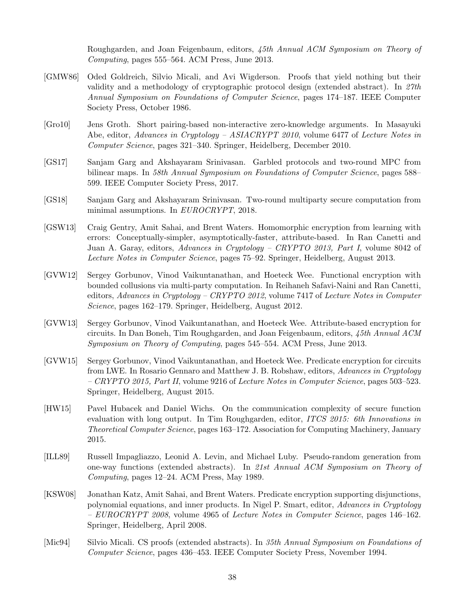Roughgarden, and Joan Feigenbaum, editors, 45th Annual ACM Symposium on Theory of Computing, pages 555–564. ACM Press, June 2013.

- <span id="page-37-11"></span>[GMW86] Oded Goldreich, Silvio Micali, and Avi Wigderson. Proofs that yield nothing but their validity and a methodology of cryptographic protocol design (extended abstract). In 27th Annual Symposium on Foundations of Computer Science, pages 174–187. IEEE Computer Society Press, October 1986.
- <span id="page-37-7"></span>[Gro10] Jens Groth. Short pairing-based non-interactive zero-knowledge arguments. In Masayuki Abe, editor, Advances in Cryptology – ASIACRYPT 2010, volume 6477 of Lecture Notes in Computer Science, pages 321–340. Springer, Heidelberg, December 2010.
- <span id="page-37-8"></span>[GS17] Sanjam Garg and Akshayaram Srinivasan. Garbled protocols and two-round MPC from bilinear maps. In 58th Annual Symposium on Foundations of Computer Science, pages 588– 599. IEEE Computer Society Press, 2017.
- <span id="page-37-9"></span>[GS18] Sanjam Garg and Akshayaram Srinivasan. Two-round multiparty secure computation from minimal assumptions. In EUROCRYPT, 2018.
- <span id="page-37-4"></span>[GSW13] Craig Gentry, Amit Sahai, and Brent Waters. Homomorphic encryption from learning with errors: Conceptually-simpler, asymptotically-faster, attribute-based. In Ran Canetti and Juan A. Garay, editors, Advances in Cryptology – CRYPTO 2013, Part I, volume 8042 of Lecture Notes in Computer Science, pages 75–92. Springer, Heidelberg, August 2013.
- <span id="page-37-1"></span>[GVW12] Sergey Gorbunov, Vinod Vaikuntanathan, and Hoeteck Wee. Functional encryption with bounded collusions via multi-party computation. In Reihaneh Safavi-Naini and Ran Canetti, editors, Advances in Cryptology – CRYPTO 2012, volume 7417 of Lecture Notes in Computer Science, pages 162–179. Springer, Heidelberg, August 2012.
- <span id="page-37-2"></span>[GVW13] Sergey Gorbunov, Vinod Vaikuntanathan, and Hoeteck Wee. Attribute-based encryption for circuits. In Dan Boneh, Tim Roughgarden, and Joan Feigenbaum, editors, 45th Annual ACM Symposium on Theory of Computing, pages 545–554. ACM Press, June 2013.
- <span id="page-37-3"></span>[GVW15] Sergey Gorbunov, Vinod Vaikuntanathan, and Hoeteck Wee. Predicate encryption for circuits from LWE. In Rosario Gennaro and Matthew J. B. Robshaw, editors, Advances in Cryptology – CRYPTO 2015, Part II, volume 9216 of Lecture Notes in Computer Science, pages 503–523. Springer, Heidelberg, August 2015.
- <span id="page-37-5"></span>[HW15] Pavel Hubacek and Daniel Wichs. On the communication complexity of secure function evaluation with long output. In Tim Roughgarden, editor, ITCS 2015: 6th Innovations in Theoretical Computer Science, pages 163–172. Association for Computing Machinery, January 2015.
- <span id="page-37-10"></span>[ILL89] Russell Impagliazzo, Leonid A. Levin, and Michael Luby. Pseudo-random generation from one-way functions (extended abstracts). In 21st Annual ACM Symposium on Theory of Computing, pages 12–24. ACM Press, May 1989.
- <span id="page-37-0"></span>[KSW08] Jonathan Katz, Amit Sahai, and Brent Waters. Predicate encryption supporting disjunctions, polynomial equations, and inner products. In Nigel P. Smart, editor, Advances in Cryptology  $-$  EUROCRYPT 2008, volume 4965 of Lecture Notes in Computer Science, pages 146–162. Springer, Heidelberg, April 2008.
- <span id="page-37-6"></span>[Mic94] Silvio Micali. CS proofs (extended abstracts). In 35th Annual Symposium on Foundations of Computer Science, pages 436–453. IEEE Computer Society Press, November 1994.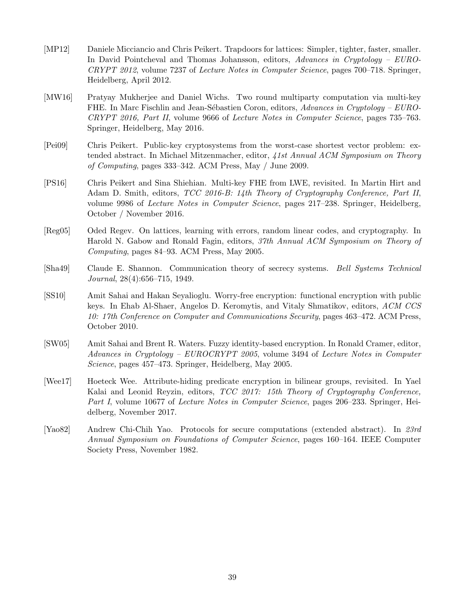- <span id="page-38-4"></span>[MP12] Daniele Micciancio and Chris Peikert. Trapdoors for lattices: Simpler, tighter, faster, smaller. In David Pointcheval and Thomas Johansson, editors, Advances in Cryptology – EURO-CRYPT 2012, volume 7237 of Lecture Notes in Computer Science, pages 700–718. Springer, Heidelberg, April 2012.
- <span id="page-38-2"></span>[MW16] Pratyay Mukherjee and Daniel Wichs. Two round multiparty computation via multi-key FHE. In Marc Fischlin and Jean-Sébastien Coron, editors, Advances in Cryptology – EURO-CRYPT 2016, Part II, volume 9666 of Lecture Notes in Computer Science, pages 735–763. Springer, Heidelberg, May 2016.
- <span id="page-38-6"></span>[Pei09] Chris Peikert. Public-key cryptosystems from the worst-case shortest vector problem: extended abstract. In Michael Mitzenmacher, editor, 41st Annual ACM Symposium on Theory of Computing, pages 333–342. ACM Press, May / June 2009.
- <span id="page-38-3"></span>[PS16] Chris Peikert and Sina Shiehian. Multi-key FHE from LWE, revisited. In Martin Hirt and Adam D. Smith, editors, TCC 2016-B: 14th Theory of Cryptography Conference, Part II, volume 9986 of Lecture Notes in Computer Science, pages 217–238. Springer, Heidelberg, October / November 2016.
- <span id="page-38-5"></span>[Reg05] Oded Regev. On lattices, learning with errors, random linear codes, and cryptography. In Harold N. Gabow and Ronald Fagin, editors, 37th Annual ACM Symposium on Theory of Computing, pages 84–93. ACM Press, May 2005.
- <span id="page-38-8"></span>[Sha49] Claude E. Shannon. Communication theory of secrecy systems. Bell Systems Technical Journal, 28(4):656–715, 1949.
- <span id="page-38-1"></span>[SS10] Amit Sahai and Hakan Seyalioglu. Worry-free encryption: functional encryption with public keys. In Ehab Al-Shaer, Angelos D. Keromytis, and Vitaly Shmatikov, editors, ACM CCS 10: 17th Conference on Computer and Communications Security, pages 463–472. ACM Press, October 2010.
- <span id="page-38-0"></span>[SW05] Amit Sahai and Brent R. Waters. Fuzzy identity-based encryption. In Ronald Cramer, editor, Advances in Cryptology – EUROCRYPT 2005, volume 3494 of Lecture Notes in Computer Science, pages 457–473. Springer, Heidelberg, May 2005.
- <span id="page-38-9"></span>[Wee17] Hoeteck Wee. Attribute-hiding predicate encryption in bilinear groups, revisited. In Yael Kalai and Leonid Reyzin, editors, TCC 2017: 15th Theory of Cryptography Conference, Part I, volume 10677 of Lecture Notes in Computer Science, pages 206–233. Springer, Heidelberg, November 2017.
- <span id="page-38-7"></span>[Yao82] Andrew Chi-Chih Yao. Protocols for secure computations (extended abstract). In 23rd Annual Symposium on Foundations of Computer Science, pages 160–164. IEEE Computer Society Press, November 1982.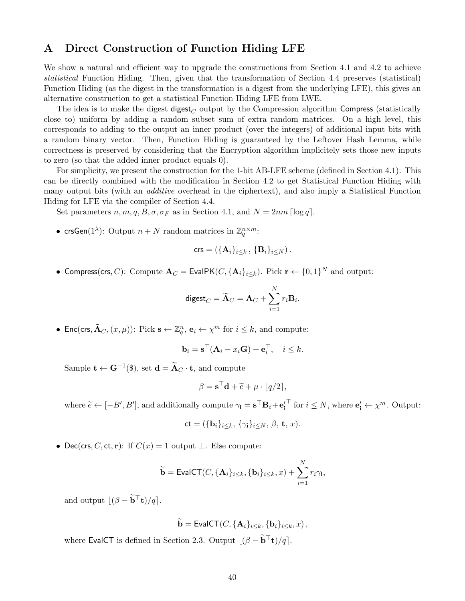## <span id="page-39-0"></span>A Direct Construction of Function Hiding LFE

We show a natural and efficient way to upgrade the constructions from Section [4.1](#page-13-0) and [4.2](#page-15-0) to achieve statistical Function Hiding. Then, given that the transformation of Section [4.4](#page-21-0) preserves (statistical) Function Hiding (as the digest in the transformation is a digest from the underlying LFE), this gives an alternative construction to get a statistical Function Hiding LFE from LWE.

The idea is to make the digest digest<sub>C</sub> output by the Compression algorithm Compress (statistically close to) uniform by adding a random subset sum of extra random matrices. On a high level, this corresponds to adding to the output an inner product (over the integers) of additional input bits with a random binary vector. Then, Function Hiding is guaranteed by the Leftover Hash Lemma, while correctness is preserved by considering that the Encryption algorithm implicitely sets those new inputs to zero (so that the added inner product equals 0).

For simplicity, we present the construction for the 1-bit AB-LFE scheme (defined in Section [4.1\)](#page-13-0). This can be directly combined with the modification in Section [4.2](#page-15-0) to get Statistical Function Hiding with many output bits (with an *additive* overhead in the ciphertext), and also imply a Statistical Function Hiding for LFE via the compiler of Section [4.4.](#page-21-0)

Set parameters  $n, m, q, B, \sigma, \sigma_F$  as in Section [4.1,](#page-13-0) and  $N = 2nm \lceil \log q \rceil$ .

• crsGen(1<sup> $\lambda$ </sup>): Output  $n + N$  random matrices in  $\mathbb{Z}_q^{n \times m}$ :

$$
\mathsf{crs} = \left(\{\mathbf{A}_i\}_{i\leq k}\,,\,\{\mathbf{B}_i\}_{i\leq N}\right).
$$

• Compress(crs, C): Compute  $\mathbf{A}_C = \mathsf{EvalPK}(C, \{\mathbf{A}_i\}_{i\leq k})$ . Pick  $\mathbf{r} \leftarrow \{0, 1\}^N$  and output:

$$
\mathrm{digest}_C = \widetilde{\mathbf{A}}_C = \mathbf{A}_C + \sum_{i=1}^N r_i \mathbf{B}_i.
$$

• Enc(crs,  $\tilde{\mathbf{A}}_C$ ,  $(x, \mu)$ ): Pick  $\mathbf{s} \leftarrow \mathbb{Z}_q^n$ ,  $\mathbf{e}_i \leftarrow \chi^m$  for  $i \leq k$ , and compute:

$$
\mathbf{b}_i = \mathbf{s}^\top (\mathbf{A}_i - x_i \mathbf{G}) + \mathbf{e}_i^\top, \quad i \leq k.
$$

Sample  $\mathbf{t} \leftarrow \mathbf{G}^{-1}(\$), \text{ set } \mathbf{d} = \widetilde{\mathbf{A}}_C \cdot \mathbf{t}, \text{ and compute}$ 

$$
\beta = \mathbf{s}^\top \mathbf{d} + \widetilde{e} + \mu \cdot \lfloor q/2 \rceil,
$$

where  $\widetilde{e} \leftarrow [-B', B'],$  and additionally compute  $\gamma_i = s^{\top} \mathbf{B}_i + \mathbf{e}'_i$  $\top$  for  $i \leq N$ , where  $\mathbf{e}'_i \leftarrow \chi^m$ . Output:

$$
\mathsf{ct} = (\{\mathbf{b}_i\}_{i \leq k}, \{\gamma_i\}_{i \leq N}, \beta, \mathbf{t}, x).
$$

• Dec(crs, C, ct, r): If  $C(x) = 1$  output  $\perp$ . Else compute:

$$
\widetilde{\mathbf{b}} = \mathsf{EvalCT}(C, \{\mathbf{A}_i\}_{i \leq k}, \{\mathbf{b}_i\}_{i \leq k}, x) + \sum_{i=1}^N r_i \gamma_i,
$$

and output  $\lfloor (\beta - \widetilde{\mathbf{b}}^{\top} \mathbf{t})/q \rfloor$ .

 $\widetilde{\mathbf{b}} = \mathsf{EvalCT}(C, {\mathbf{A}_i}_{i \leq k}, {\mathbf{b}_i}_{i \leq k}, x),$ 

where EvalCT is defined in Section [2.3.](#page-8-1) Output  $\left| (\beta - \tilde{b}^\top t)/q \right|$ .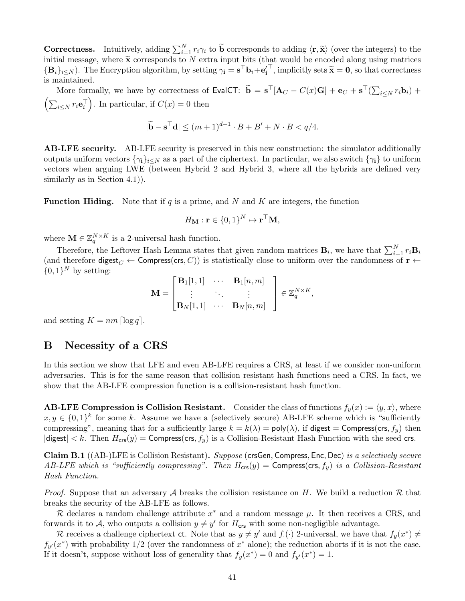**Correctness.** Intuitively, adding  $\sum_{i=1}^{N} r_i \gamma_i$  to  $\widetilde{\mathbf{b}}$  corresponds to adding  $\langle \mathbf{r}, \widetilde{\mathbf{x}} \rangle$  (over the integers) to the initial measure where  $\widetilde{\mathbf{x}}$  corresponds to M extra input bits (that would b initial message, where  $\tilde{\mathbf{x}}$  corresponds to N extra input bits (that would be encoded along using matrices  ${\bf \{B}_i\}_{i\leq N}$ ). The Encryption algorithm, by setting  $\gamma_i = {\bf s}^\top {\bf b}_i + {\bf e}_i'$ <sup>T</sup>, implicitly sets  $\widetilde{\mathbf{x}} = \mathbf{0}$ , so that correctness is maintained.

More formally, we have by correctness of EvalCT:  $\widetilde{\mathbf{b}} = \mathbf{s}^{\top}[\mathbf{A}_C - C(x)\mathbf{G}] + \mathbf{e}_C + \mathbf{s}^{\top}(\sum_{i \leq N} r_i \mathbf{b}_i)$  +  $\left(\sum_{i\leq N} r_i \mathbf{e}_i^{\top}\right)$ . In particular, if  $C(x) = 0$  then

$$
|\widetilde{\mathbf{b}} - \mathbf{s}^\top \mathbf{d}| \le (m+1)^{d+1} \cdot B + B' + N \cdot B < q/4.
$$

AB-LFE security. AB-LFE security is preserved in this new construction: the simulator additionally outputs uniform vectors  $\{\gamma_i\}_{i\leq N}$  as a part of the ciphertext. In particular, we also switch  $\{\gamma_i\}$  to uniform vectors when arguing LWE (between Hybrid 2 and Hybrid 3, where all the hybrids are defined very similarly as in Section [4.1\)](#page-13-0).

**Function Hiding.** Note that if q is a prime, and N and K are integers, the function

$$
H_{\mathbf{M}}: \mathbf{r} \in \{0,1\}^N \mapsto \mathbf{r}^\top \mathbf{M},
$$

where  $\mathbf{M} \in \mathbb{Z}_q^{N \times K}$  is a 2-universal hash function.

Therefore, the Leftover Hash Lemma states that given random matrices  $B_i$ , we have that  $\sum_{i=1}^{N} r_i B_i$ (and therefore digest<sub>C</sub> ← Compress(crs, C)) is statistically close to uniform over the randomness of  $\mathbf{r} \leftarrow$  $\{0,1\}^N$  by setting:

$$
\mathbf{M} = \begin{bmatrix} \mathbf{B}_1[1,1] & \cdots & \mathbf{B}_1[n,m] \\ \vdots & \ddots & \vdots \\ \mathbf{B}_N[1,1] & \cdots & \mathbf{B}_N[n,m] \end{bmatrix} \in \mathbb{Z}_q^{N \times K},
$$

and setting  $K = nm \log q$ .

## <span id="page-40-0"></span>B Necessity of a CRS

In this section we show that LFE and even AB-LFE requires a CRS, at least if we consider non-uniform adversaries. This is for the same reason that collision resistant hash functions need a CRS. In fact, we show that the AB-LFE compression function is a collision-resistant hash function.

**AB-LFE Compression is Collision Resistant.** Consider the class of functions  $f_y(x) := \langle y, x \rangle$ , where  $x, y \in \{0,1\}^k$  for some k. Assume we have a (selectively secure) AB-LFE scheme which is "sufficiently compressing", meaning that for a sufficiently large  $k = k(\lambda) = \text{poly}(\lambda)$ , if digest = Compress(crs,  $f_y$ ) then  $|\text{digest}| < k$ . Then  $H_{\text{crs}}(y) = \text{Compress}(\text{crs}, f_y)$  is a Collision-Resistant Hash Function with the seed crs.

Claim B.1 ((AB-)LFE is Collision Resistant). Suppose (crsGen, Compress, Enc, Dec) is a selectively secure AB-LFE which is "sufficiently compressing". Then  $H_{\text{crs}}(y) = \text{Compress}(\text{crs}, f_y)$  is a Collision-Resistant Hash Function.

*Proof.* Suppose that an adversary A breaks the collision resistance on H. We build a reduction R that breaks the security of the AB-LFE as follows.

R declares a random challenge attribute  $x^*$  and a random message  $\mu$ . It then receives a CRS, and forwards it to A, who outputs a collision  $y \neq y'$  for  $H_{\text{crs}}$  with some non-negligible advantage.

R receives a challenge ciphertext ct. Note that as  $y \neq y'$  and  $f(x)$  2-universal, we have that  $f_y(x^*) \neq$  $f_{y'}(x^*)$  with probability 1/2 (over the randomness of  $x^*$  alone); the reduction aborts if it is not the case. If it doesn't, suppose without loss of generality that  $f_y(x^*) = 0$  and  $f_{y'}(x^*) = 1$ .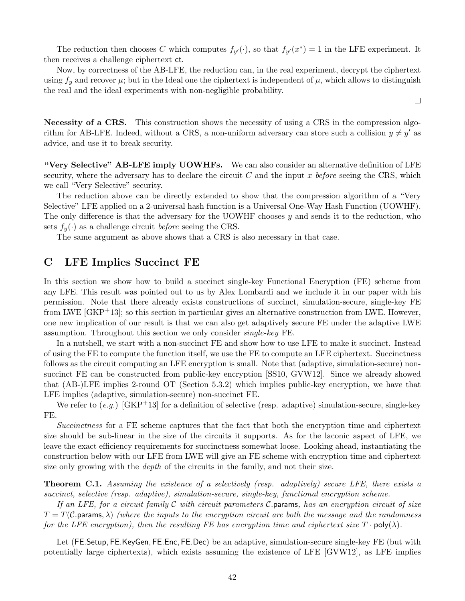The reduction then chooses C which computes  $f_{y'}(\cdot)$ , so that  $f_{y'}(x^*) = 1$  in the LFE experiment. It then receives a challenge ciphertext ct.

Now, by correctness of the AB-LFE, the reduction can, in the real experiment, decrypt the ciphertext using  $f_y$  and recover  $\mu$ ; but in the Ideal one the ciphertext is independent of  $\mu$ , which allows to distinguish the real and the ideal experiments with non-negligible probability.

 $\Box$ 

Necessity of a CRS. This construction shows the necessity of using a CRS in the compression algorithm for AB-LFE. Indeed, without a CRS, a non-uniform adversary can store such a collision  $y \neq y'$  as advice, and use it to break security.

"Very Selective" AB-LFE imply UOWHFs. We can also consider an alternative definition of LFE security, where the adversary has to declare the circuit  $C$  and the input  $x$  before seeing the CRS, which we call "Very Selective" security.

The reduction above can be directly extended to show that the compression algorithm of a "Very Selective" LFE applied on a 2-universal hash function is a Universal One-Way Hash Function (UOWHF). The only difference is that the adversary for the UOWHF chooses  $y$  and sends it to the reduction, who sets  $f_y(\cdot)$  as a challenge circuit *before* seeing the CRS.

The same argument as above shows that a CRS is also necessary in that case.

## <span id="page-41-0"></span>C LFE Implies Succinct FE

In this section we show how to build a succinct single-key Functional Encryption (FE) scheme from any LFE. This result was pointed out to us by Alex Lombardi and we include it in our paper with his permission. Note that there already exists constructions of succinct, simulation-secure, single-key FE from LWE [\[GKP](#page-36-5)+13]; so this section in particular gives an alternative construction from LWE. However, one new implication of our result is that we can also get adaptively secure FE under the adaptive LWE assumption. Throughout this section we only consider single-key FE.

In a nutshell, we start with a non-succinct FE and show how to use LFE to make it succinct. Instead of using the FE to compute the function itself, we use the FE to compute an LFE ciphertext. Succinctness follows as the circuit computing an LFE encryption is small. Note that (adaptive, simulation-secure) nonsuccinct FE can be constructed from public-key encryption [\[SS10,](#page-38-1) [GVW12\]](#page-37-1). Since we already showed that (AB-)LFE implies 2-round OT (Section [5.3.2\)](#page-29-0) which implies public-key encryption, we have that LFE implies (adaptive, simulation-secure) non-succinct FE.

We refer to  $(e,q)$  [\[GKP](#page-36-5)<sup>+</sup>13] for a definition of selective (resp. adaptive) simulation-secure, single-key FE.

Succinctness for a FE scheme captures that the fact that both the encryption time and ciphertext size should be sub-linear in the size of the circuits it supports. As for the laconic aspect of LFE, we leave the exact efficiency requirements for succinctness somewhat loose. Looking ahead, instantiating the construction below with our LFE from LWE will give an FE scheme with encryption time and ciphertext size only growing with the *depth* of the circuits in the family, and not their size.

**Theorem C.1.** Assuming the existence of a selectively (resp. adaptively) secure LFE, there exists a succinct, selective (resp. adaptive), simulation-secure, single-key, functional encryption scheme.

If an LFE, for a circuit family  $\mathcal C$  with circuit parameters  $\mathcal C$ . params, has an encryption circuit of size  $T = T(\mathcal{C})$  params,  $\lambda$ ) (where the inputs to the encryption circuit are both the message and the randomness for the LFE encryption), then the resulting FE has encryption time and ciphertext size  $T \cdot \text{poly}(\lambda)$ .

Let (FE.Setup, FE.KeyGen, FE.Enc, FE.Dec) be an adaptive, simulation-secure single-key FE (but with potentially large ciphertexts), which exists assuming the existence of LFE [\[GVW12\]](#page-37-1), as LFE implies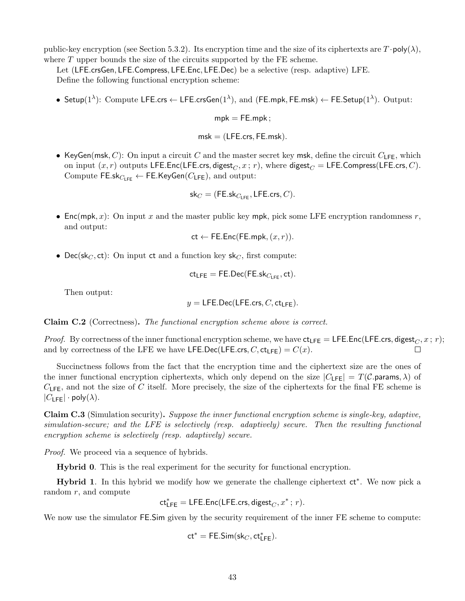public-key encryption (see Section [5.3.2\)](#page-29-0). Its encryption time and the size of its ciphertexts are  $T \cdot \text{poly}(\lambda)$ , where  $T$  upper bounds the size of the circuits supported by the FE scheme.

Let (LFE.crsGen, LFE.Compress, LFE.Enc, LFE.Dec) be a selective (resp. adaptive) LFE. Define the following functional encryption scheme:

• Setup( $1^{\lambda}$ ): Compute LFE.crs  $\leftarrow$  LFE.crsGen( $1^{\lambda}$ ), and (FE.mpk, FE.msk)  $\leftarrow$  FE.Setup( $1^{\lambda}$ ). Output:

 $mpk = FE.mpk$ :

 $msk = (LFE.cs, FE.msk).$ 

• KeyGen(msk, C): On input a circuit C and the master secret key msk, define the circuit  $C_1$ <sub>FF</sub>, which on input  $(x, r)$  outputs LFE.Enc(LFE.crs, digest<sub>C</sub>, x; r), where digest<sub>C</sub> = LFE.Compress(LFE.crs, C). Compute FE.sk $_{C_{\text{LFE}}} \leftarrow$  FE.KeyGen( $C_{\text{LFE}}$ ), and output:

$$
\mathsf{sk}_C = (\mathsf{FE}.\mathsf{sk}_{C_{\mathsf{LFE}}}, \mathsf{LFE}.\mathsf{crs}, C).
$$

• Enc(mpk, x): On input x and the master public key mpk, pick some LFE encryption randomness r, and output:

$$
\mathsf{ct} \leftarrow \mathsf{FE}.\mathsf{Enc}(\mathsf{FE}.\mathsf{mpk}, (x, r)).
$$

• Dec(sk<sub>C</sub>, ct): On input ct and a function key sk<sub>C</sub>, first compute:

$$
\mathsf{ct}_{\mathsf{LFE}} = \mathsf{FE}.\mathsf{Dec}(\mathsf{FE}.\mathsf{sk}_{C_{\mathsf{LFE}}}, \mathsf{ct}).
$$

Then output:

$$
y = \mathsf{LFE}.\mathsf{Dec}(\mathsf{LFE}.\mathsf{crs}, C, \mathsf{ct}_{\mathsf{LFE}}).
$$

Claim C.2 (Correctness). The functional encryption scheme above is correct.

*Proof.* By correctness of the inner functional encryption scheme, we have  $ct_{\text{LFE}} = \text{LFE}.\text{Enc}(\text{LFE}.\text{crs}, \text{digest}_C, x; r);$ and by correctness of the LFE we have LFE.Dec(LFE.crs, C,  $ct_{LFE}$ ) =  $C(x)$ .  $\Box$ 

Succinctness follows from the fact that the encryption time and the ciphertext size are the ones of the inner functional encryption ciphertexts, which only depend on the size  $|C_{\text{LFE}}| = T(\mathcal{C}.\text{params}, \lambda)$  of  $C_{\text{LFE}}$ , and not the size of C itself. More precisely, the size of the ciphertexts for the final FE scheme is  $|C_{\text{LFE}}| \cdot \text{poly}(\lambda).$ 

Claim C.3 (Simulation security). Suppose the inner functional encryption scheme is single-key, adaptive, simulation-secure; and the LFE is selectively (resp. adaptively) secure. Then the resulting functional encryption scheme is selectively (resp. adaptively) secure.

*Proof.* We proceed via a sequence of hybrids.

Hybrid 0. This is the real experiment for the security for functional encryption.

Hybrid 1. In this hybrid we modify how we generate the challenge ciphertext ct<sup>\*</sup>. We now pick a random  $r$ , and compute

$$
\mathsf{ct}^*_\mathsf{LFE} = \mathsf{LFE}.\mathsf{Enc}(\mathsf{LFE}.\mathsf{crs}, \mathsf{digest}_C, x^* \, ; \, r).
$$

We now use the simulator FE.Sim given by the security requirement of the inner FE scheme to compute:

$$
\mathsf{ct}^* = \mathsf{FE}.\mathsf{Sim}(\mathsf{sk}_C,\mathsf{ct}^*_{\mathsf{LFE}}).
$$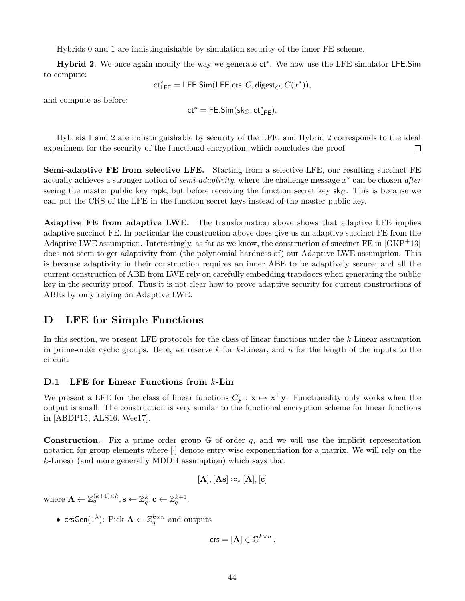Hybrids 0 and 1 are indistinguishable by simulation security of the inner FE scheme.

Hybrid 2. We once again modify the way we generate ct<sup>\*</sup>. We now use the LFE simulator LFE.Sim to compute:

$$
\mathsf{ct_{LFE}^*} = \mathsf{LFE}.\mathsf{Sim}(\mathsf{LFE}.\mathsf{crs},C,\mathsf{digest}_C,C(x^*)),
$$

and compute as before:

$$
\mathsf{ct}^* = \mathsf{FE}.\mathsf{Sim}(\mathsf{sk}_C,\mathsf{ct}^*_{\mathsf{LFE}}).
$$

Hybrids 1 and 2 are indistinguishable by security of the LFE, and Hybrid 2 corresponds to the ideal experiment for the security of the functional encryption, which concludes the proof.  $\Box$ 

Semi-adaptive FE from selective LFE. Starting from a selective LFE, our resulting succinct FE actually achieves a stronger notion of *semi-adaptivity*, where the challenge message  $x^*$  can be chosen *after* seeing the master public key mpk, but before receiving the function secret key  $sk_C$ . This is because we can put the CRS of the LFE in the function secret keys instead of the master public key.

Adaptive FE from adaptive LWE. The transformation above shows that adaptive LFE implies adaptive succinct FE. In particular the construction above does give us an adaptive succinct FE from the Adaptive LWE assumption. Interestingly, as far as we know, the construction of succinct  $FE$  in  $[GKP^+13]$ does not seem to get adaptivity from (the polynomial hardness of) our Adaptive LWE assumption. This is because adaptivity in their construction requires an inner ABE to be adaptively secure; and all the current construction of ABE from LWE rely on carefully embedding trapdoors when generating the public key in the security proof. Thus it is not clear how to prove adaptive security for current constructions of ABEs by only relying on Adaptive LWE.

## <span id="page-43-0"></span>D LFE for Simple Functions

In this section, we present LFE protocols for the class of linear functions under the k-Linear assumption in prime-order cyclic groups. Here, we reserve k for k-Linear, and n for the length of the inputs to the circuit.

### D.1 LFE for Linear Functions from k-Lin

We present a LFE for the class of linear functions  $C_{\mathbf{y}} : \mathbf{x} \mapsto \mathbf{x}^{\top} \mathbf{y}$ . Functionality only works when the output is small. The construction is very similar to the functional encryption scheme for linear functions in [\[ABDP15,](#page-35-8) [ALS16,](#page-35-9) [Wee17\]](#page-38-9).

**Construction.** Fix a prime order group  $\mathbb{G}$  of order q, and we will use the implicit representation notation for group elements where [·] denote entry-wise exponentiation for a matrix. We will rely on the k-Linear (and more generally MDDH assumption) which says that

$$
[\mathbf{A}], [\mathbf{As}] \approx_c [\mathbf{A}], [\mathbf{c}]
$$

where  $\mathbf{A} \leftarrow \mathbb{Z}_q^{(k+1)\times k}, \mathbf{s} \leftarrow \mathbb{Z}_q^k, \mathbf{c} \leftarrow \mathbb{Z}_q^{k+1}.$ 

• crsGen(1<sup> $\lambda$ </sup>): Pick  $\mathbf{A} \leftarrow \mathbb{Z}_q^{k \times n}$  and outputs

$$
\mathsf{crs} = [\mathbf{A}] \in \mathbb{G}^{k \times n} \, .
$$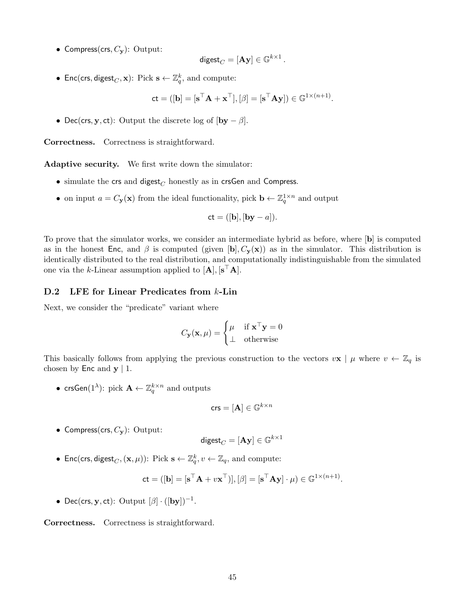• Compress(crs,  $C_{\mathbf{y}}$ ): Output:

$$
\mathsf{digest}_C = [\mathbf{A}\mathbf{y}] \in \mathbb{G}^{k \times 1} \, .
$$

• Enc(crs, digest<sub>*C*</sub>, **x**): Pick  $\mathbf{s} \leftarrow \mathbb{Z}_q^k$ , and compute:

$$
\mathbf{ct} = ([\mathbf{b}] = [\mathbf{s}^\top \mathbf{A} + \mathbf{x}^\top], [\beta] = [\mathbf{s}^\top \mathbf{A} \mathbf{y}]) \in \mathbb{G}^{1 \times (n+1)}.
$$

• Dec(crs, y, ct): Output the discrete log of  $[by - \beta]$ .

Correctness. Correctness is straightforward.

Adaptive security. We first write down the simulator:

- simulate the crs and digest<sub> $C$ </sub> honestly as in crsGen and Compress.
- on input  $a = C_{\mathbf{y}}(\mathbf{x})$  from the ideal functionality, pick  $\mathbf{b} \leftarrow \mathbb{Z}_q^{1 \times n}$  and output

$$
ct = ([b],[by - a]).
$$

To prove that the simulator works, we consider an intermediate hybrid as before, where [b] is computed as in the honest Enc, and  $\beta$  is computed (given [b],  $C_y(\mathbf{x})$  as in the simulator. This distribution is identically distributed to the real distribution, and computationally indistinguishable from the simulated one via the k-Linear assumption applied to  $[A], [s^{\top}A].$ 

#### D.2 LFE for Linear Predicates from k-Lin

Next, we consider the "predicate" variant where

$$
C_{\mathbf{y}}(\mathbf{x}, \mu) = \begin{cases} \mu & \text{if } \mathbf{x}^{\top} \mathbf{y} = 0 \\ \bot & \text{otherwise} \end{cases}
$$

This basically follows from applying the previous construction to the vectors  $v\mathbf{x} \mid \mu$  where  $v \leftarrow \mathbb{Z}_q$  is chosen by  $\textsf{Enc}$  and  $\textbf{y} \mid 1$ .

• crsGen(1<sup> $\lambda$ </sup>): pick  $\mathbf{A} \leftarrow \mathbb{Z}_q^{k \times n}$  and outputs

$$
\mathsf{crs} = [\mathbf{A}] \in \mathbb{G}^{k \times n}
$$

• Compress(crs,  $C_{\mathbf{y}}$ ): Output:

$$
\mathsf{digest}_C = [\mathbf{A}\mathbf{y}] \in \mathbb{G}^{k \times 1}
$$

• Enc(crs, digest<sub>C</sub>,  $(\mathbf{x}, \mu)$ ): Pick  $\mathbf{s} \leftarrow \mathbb{Z}_q^k$ ,  $v \leftarrow \mathbb{Z}_q$ , and compute:

$$
\mathbf{ct} = ([\mathbf{b}] = [\mathbf{s}^\top \mathbf{A} + v \mathbf{x}^\top)], [\beta] = [\mathbf{s}^\top \mathbf{A} \mathbf{y}] \cdot \mu) \in \mathbb{G}^{1 \times (n+1)}.
$$

• Dec(crs, y, ct): Output  $[\beta] \cdot ([by])^{-1}$ .

Correctness. Correctness is straightforward.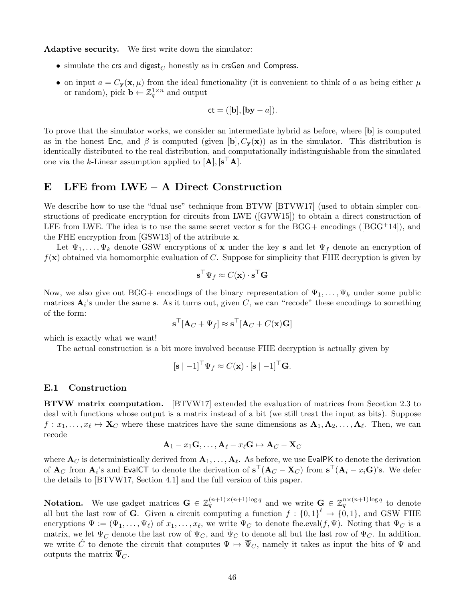Adaptive security. We first write down the simulator:

- simulate the crs and digest<sub> $C$ </sub> honestly as in crsGen and Compress.
- on input  $a = C_{\mathbf{y}}(\mathbf{x}, \mu)$  from the ideal functionality (it is convenient to think of a as being either  $\mu$ or random), pick  $\mathbf{b} \leftarrow \mathbb{Z}_q^{1 \times n}$  and output

$$
ct = ([b],[by - a]).
$$

To prove that the simulator works, we consider an intermediate hybrid as before, where [b] is computed as in the honest Enc, and  $\beta$  is computed (given [b],  $C_y(\mathbf{x})$  as in the simulator. This distribution is identically distributed to the real distribution, and computationally indistinguishable from the simulated one via the k-Linear assumption applied to  $[A], [s^{\top}A].$ 

## <span id="page-45-0"></span>E LFE from LWE – A Direct Construction

We describe how to use the "dual use" technique from BTVW [\[BTVW17\]](#page-36-11) (used to obtain simpler constructions of predicate encryption for circuits from LWE ([\[GVW15\]](#page-37-3)) to obtain a direct construction of LFEfrom LWE. The idea is to use the same secret vector  $\bf{s}$  for the BGG+ encodings ([\[BGG](#page-35-0)+14]), and the FHE encryption from [\[GSW13\]](#page-37-4) of the attribute x.

Let  $\Psi_1, \ldots, \Psi_k$  denote GSW encryptions of **x** under the key **s** and let  $\Psi_f$  denote an encryption of  $f(\mathbf{x})$  obtained via homomorphic evaluation of C. Suppose for simplicity that FHE decryption is given by

$$
\mathbf{s}^\top \Psi_f \approx C(\mathbf{x}) \cdot \mathbf{s}^\top \mathbf{G}
$$

Now, we also give out BGG+ encodings of the binary representation of  $\Psi_1, \ldots, \Psi_k$  under some public matrices  $\mathbf{A}_i$ 's under the same s. As it turns out, given C, we can "recode" these encodings to something of the form:

$$
\mathbf{s}^\top[\mathbf{A}_C + \Psi_f] \approx \mathbf{s}^\top[\mathbf{A}_C + C(\mathbf{x})\mathbf{G}]
$$

which is exactly what we want!

The actual construction is a bit more involved because FHE decryption is actually given by

$$
[\mathbf{s} | -1]^\top \Psi_f \approx C(\mathbf{x}) \cdot [\mathbf{s} | -1]^\top \mathbf{G}.
$$

#### E.1 Construction

BTVW matrix computation. [\[BTVW17\]](#page-36-11) extended the evaluation of matrices from Secetion [2.3](#page-8-1) to deal with functions whose output is a matrix instead of a bit (we still treat the input as bits). Suppose  $f: x_1, \ldots, x_\ell \mapsto \mathbf{X}_C$  where these matrices have the same dimensions as  $\mathbf{A}_1, \mathbf{A}_2, \ldots, \mathbf{A}_\ell$ . Then, we can recode

$$
\mathbf{A}_1 - x_1 \mathbf{G}, \dots, \mathbf{A}_{\ell} - x_{\ell} \mathbf{G} \mapsto \mathbf{A}_C - \mathbf{X}_C
$$

where  ${\bf A}_C$  is deterministically derived from  ${\bf A}_1,\ldots,{\bf A}_{\ell}.$  As before, we use <code>EvalPK</code> to denote the derivation of  $\mathbf{A}_C$  from  $\mathbf{A}_i$ 's and EvalCT to denote the derivation of  $\mathbf{s}^\top (\mathbf{A}_C - \mathbf{X}_C)$  from  $\mathbf{s}^\top (\mathbf{A}_i - x_i \mathbf{G})$ 's. We defer the details to [\[BTVW17,](#page-36-11) Section 4.1] and the full version of this paper.

**Notation.** We use gadget matrices  $\mathbf{G} \in \mathbb{Z}_q^{(n+1)\times(n+1)\log q}$  and we write  $\overline{\mathbf{G}} \in \mathbb{Z}_q^{n\times(n+1)\log q}$  to denote all but the last row of **G**. Given a circuit computing a function  $f: \{0,1\}^{\ell} \to \{0,1\}$ , and GSW FHE encryptions  $\Psi := (\Psi_1, \ldots, \Psi_\ell)$  of  $x_1, \ldots, x_\ell$ , we write  $\Psi_C$  to denote fhe.eval $(f, \Psi)$ . Noting that  $\Psi_C$  is a matrix, we let  $\underline{\Psi}_C$  denote the last row of  $\Psi_C$ , and  $\overline{\Psi}_C$  to denote all but the last row of  $\Psi_C$ . In addition, we write  $\hat{C}$  to denote the circuit that computes  $\Psi \mapsto \overline{\Psi}_C$ , namely it takes as input the bits of  $\Psi$  and outputs the matrix  $\overline{\Psi}_C$ .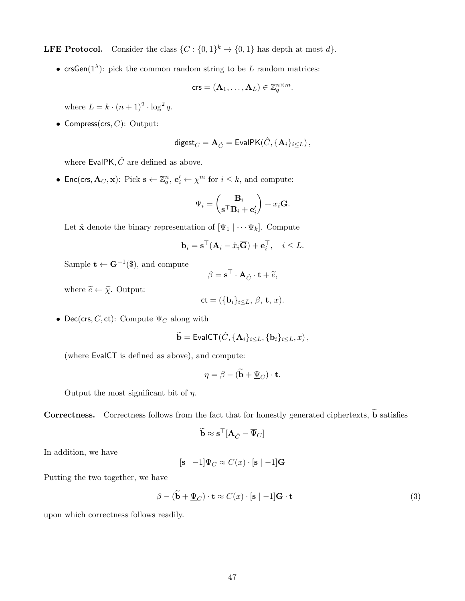**LFE Protocol.** Consider the class  $\{C : \{0,1\}^k \to \{0,1\}$  has depth at most d.

• crsGen( $1^{\lambda}$ ): pick the common random string to be L random matrices:

$$
\mathsf{crs}=(\mathbf{A}_1,\ldots,\mathbf{A}_L)\in\mathbb{Z}_q^{n\times m}.
$$

where  $L = k \cdot (n+1)^2 \cdot \log^2 q$ .

• Compress(crs,  $C$ ): Output:

$$
\mathsf{digest}_C = \mathbf{A}_{\hat{C}} = \mathsf{EvalPK}(\hat{C}, \{\mathbf{A}_i\}_{i\leq L})\,,
$$

where EvalPK,  $\hat{C}$  are defined as above.

• Enc(crs,  $\mathbf{A}_C, \mathbf{x}$ ): Pick  $\mathbf{s} \leftarrow \mathbb{Z}_q^n$ ,  $\mathbf{e}'_i \leftarrow \chi^m$  for  $i \leq k$ , and compute:

$$
\Psi_i = \begin{pmatrix} \mathbf{B}_i \\ \mathbf{s}^\top \mathbf{B}_i + \mathbf{e}'_i \end{pmatrix} + x_i \mathbf{G}.
$$

Let  $\hat{\mathbf{x}}$  denote the binary representation of  $[\Psi_1 | \cdots \Psi_k]$ . Compute

$$
\mathbf{b}_i = \mathbf{s}^\top (\mathbf{A}_i - \hat{x}_i \overline{\mathbf{G}}) + \mathbf{e}_i^\top, \quad i \leq L.
$$

Sample  $\mathbf{t} \leftarrow \mathbf{G}^{-1}(\$)$ , and compute

$$
\beta = \mathbf{s}^{\top} \cdot \mathbf{A}_{\hat{C}} \cdot \mathbf{t} + \tilde{e},
$$

where  $\widetilde{e} \leftarrow \widetilde{\chi}$ . Output:

$$
\mathsf{ct} = (\{\mathbf{b}_i\}_{i \leq L}, \beta, \mathbf{t}, x).
$$

• Dec(crs, C, ct): Compute  $\Psi_C$  along with

$$
\widetilde{\mathbf{b}} = \mathsf{EvalCT}(\hat{C}, {\mathbf{A}_i}_{i \leq L}, {\mathbf{b}_i}_{i \leq L}, x),
$$

(where EvalCT is defined as above), and compute:

$$
\eta = \beta - (\mathbf{b} + \underline{\Psi}_C) \cdot \mathbf{t}.
$$

Output the most significant bit of  $\eta$ .

**Correctness.** Correctness follows from the fact that for honestly generated ciphertexts,  $\tilde{\mathbf{b}}$  satisfies

$$
\widetilde{\mathbf{b}} \approx \mathbf{s}^\top [\mathbf{A}_{\hat{C}} - \overline{\Psi}_C]
$$

In addition, we have

$$
[\mathbf{s} \mid -1] \Psi_C \approx C(x) \cdot [\mathbf{s} \mid -1] \mathbf{G}
$$

Putting the two together, we have

<span id="page-46-0"></span>
$$
\beta - (\mathbf{b} + \underline{\Psi}_C) \cdot \mathbf{t} \approx C(x) \cdot [\mathbf{s} | -1] \mathbf{G} \cdot \mathbf{t}
$$
\n(3)

upon which correctness follows readily.